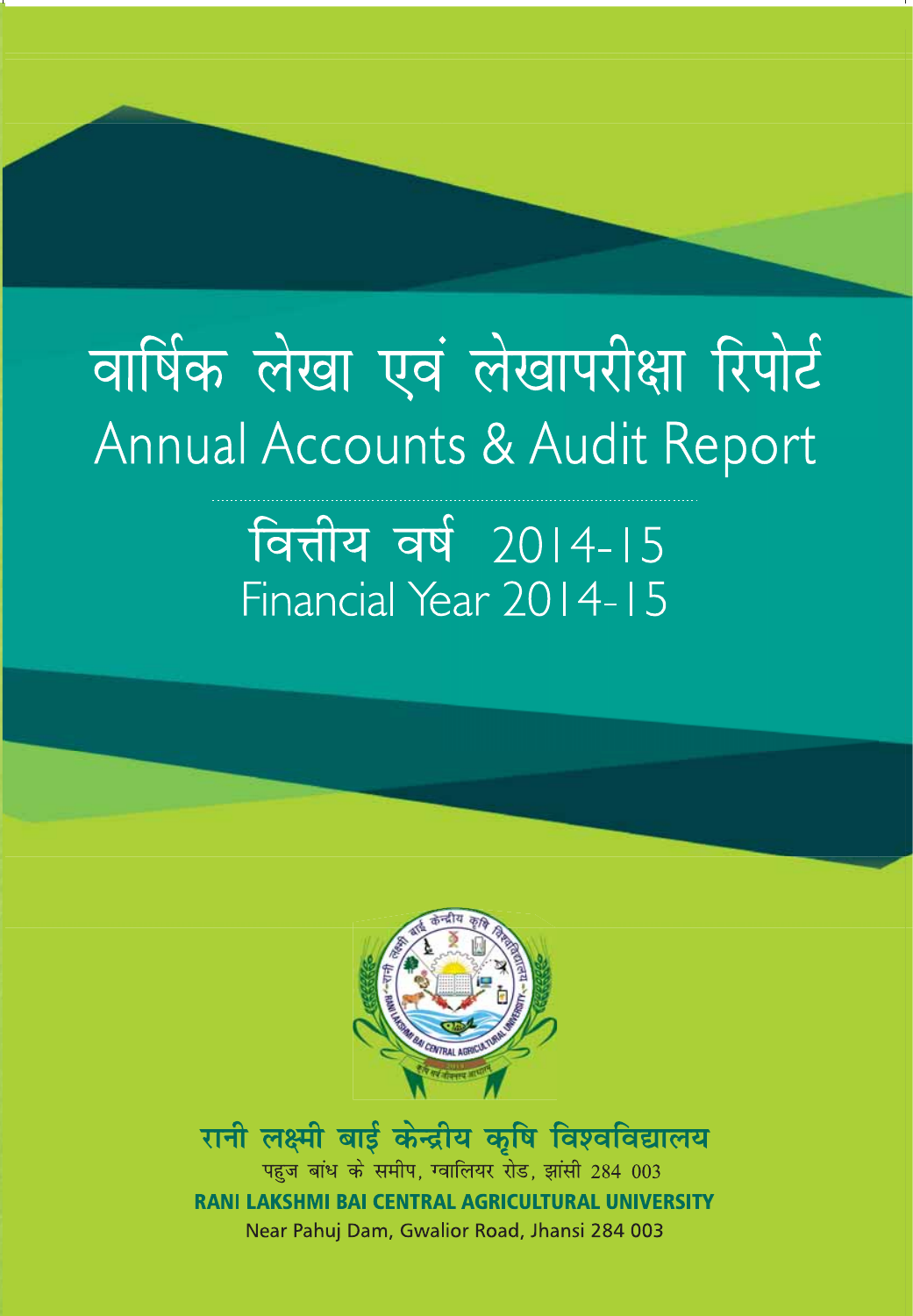### वार्षिक लेखा एवं लेखापरीक्षा रिपोर्ट Annual Accounts & Audit Report

### वित्तीय वर्ष 2014-15 Financial Year 2014-15



रानी लक्ष्मी बार्ड केन्द्रीय कृषि विश्वविद्यालय पहज बांध के समीप, ग्वालियर रोड, झांसी 284 003 **RANI LAKSHMI BAI CENTRAL AGRICULTURAL UNIVERSITY** Near Pahuj Dam, Gwalior Road, Jhansi 284 003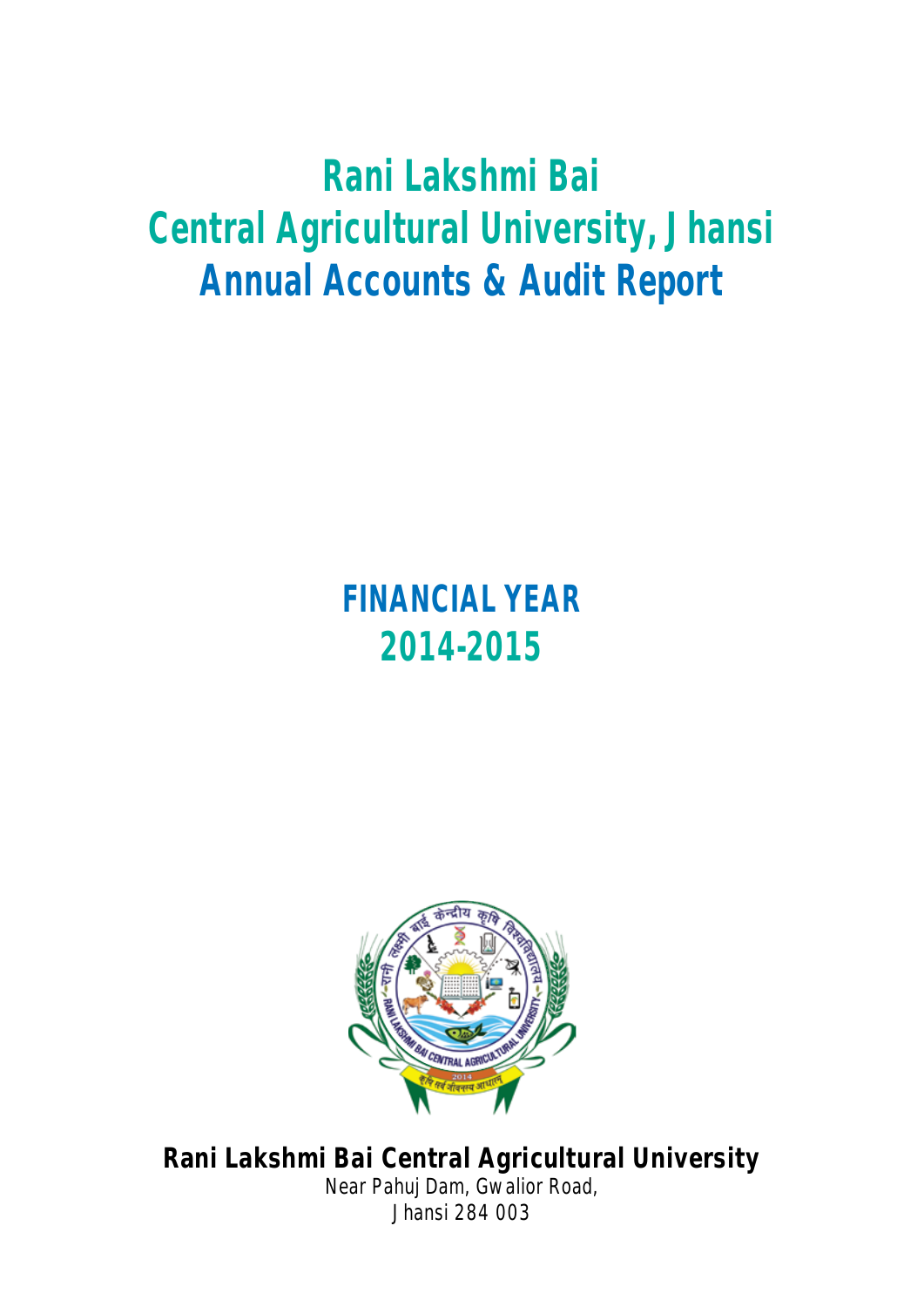### **Rani Lakshmi Bai Central Agricultural University, Jhansi Annual Accounts & Audit Report**

### **FINANCIAL YEAR 2014-2015**



**Rani Lakshmi Bai Central Agricultural University** Near Pahuj Dam, Gwalior Road, Jhansi 284 003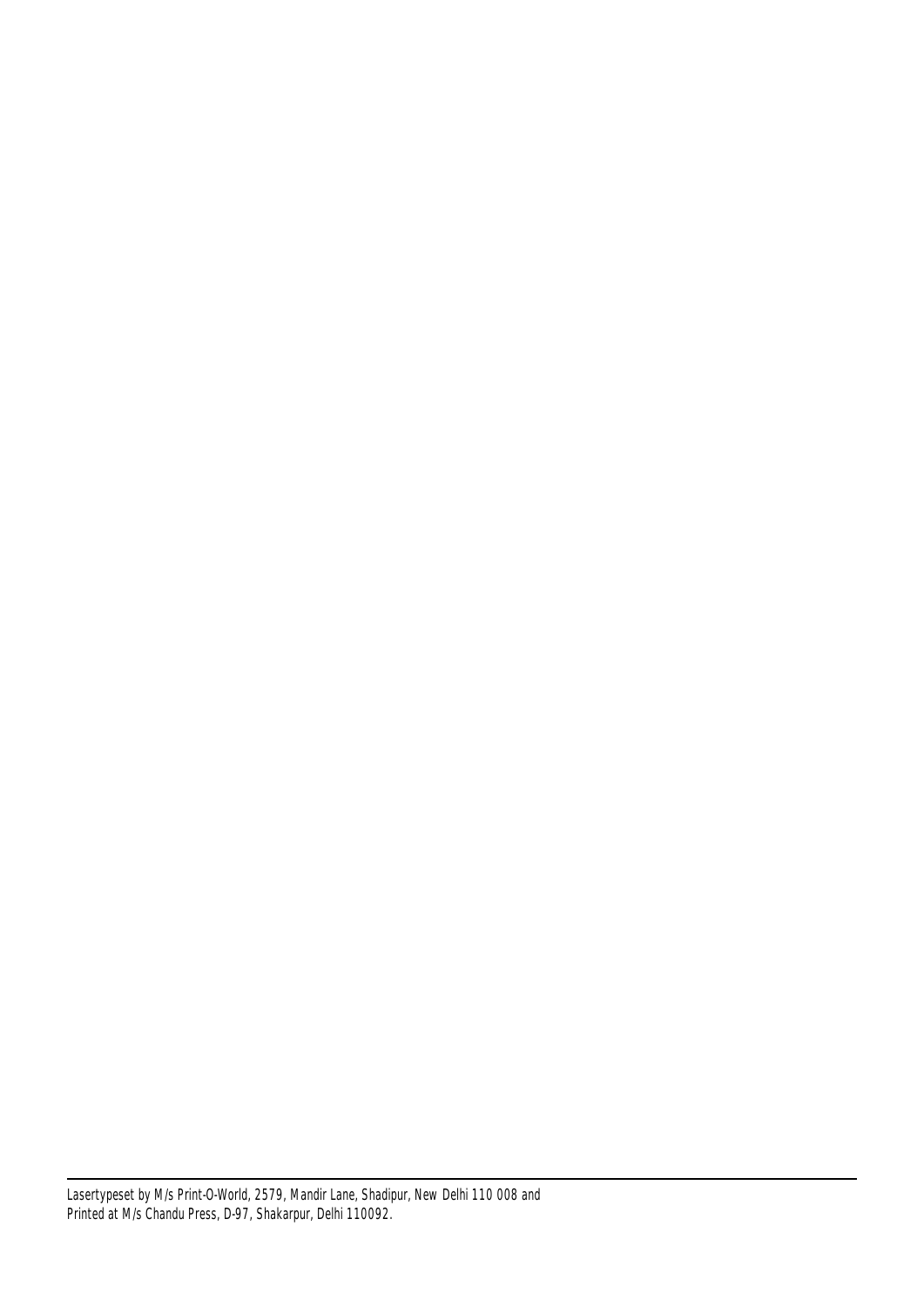Lasertypeset by M/s Print-O-World, 2579, Mandir Lane, Shadipur, New Delhi 110 008 and Printed at M/s Chandu Press, D-97, Shakarpur, Delhi 110092.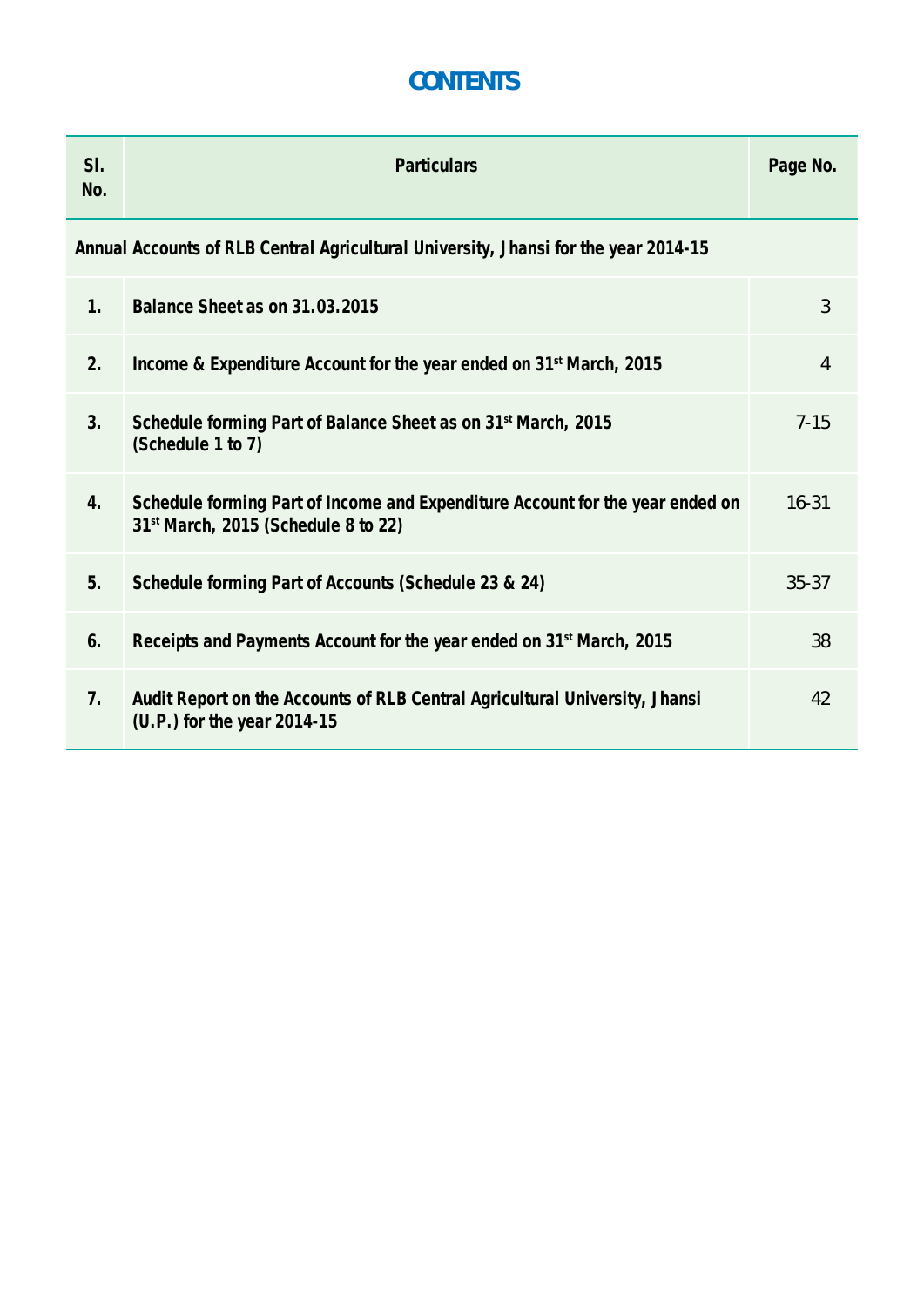### **CONTENTS**

| SI.<br>No.     | <b>Particulars</b>                                                                                                   | Page No.       |
|----------------|----------------------------------------------------------------------------------------------------------------------|----------------|
|                | Annual Accounts of RLB Central Agricultural University, Jhansi for the year 2014-15                                  |                |
| 1.             | Balance Sheet as on 31.03.2015                                                                                       | 3              |
| 2.             | Income & Expenditure Account for the year ended on 31 <sup>st</sup> March, 2015                                      | $\overline{4}$ |
| 3.             | Schedule forming Part of Balance Sheet as on 31 <sup>st</sup> March, 2015<br>(Schedule 1 to 7)                       | $7 - 15$       |
| 4.             | Schedule forming Part of Income and Expenditure Account for the year ended on<br>31st March, 2015 (Schedule 8 to 22) | $16 - 31$      |
| 5.             | Schedule forming Part of Accounts (Schedule 23 & 24)                                                                 | $35 - 37$      |
| 6.             | Receipts and Payments Account for the year ended on 31 <sup>st</sup> March, 2015                                     | 38             |
| 7 <sub>1</sub> | Audit Report on the Accounts of RLB Central Agricultural University, Jhansi<br>(U.P.) for the year 2014-15           | 42             |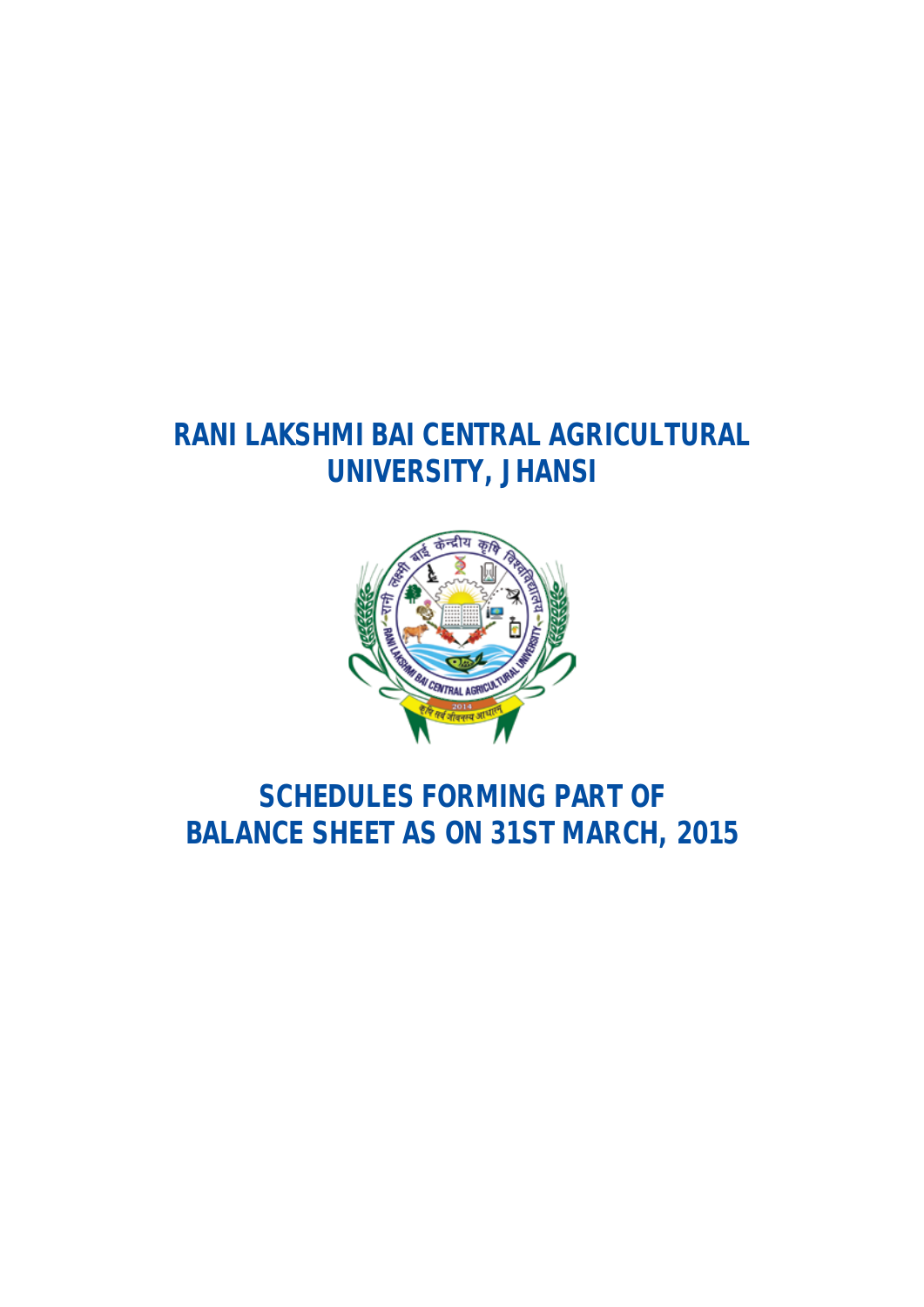### **RANI LAKSHMI BAI CENTRAL AGRICULTURAL UNIVERSITY, JHANSI**



### **SCHEDULES FORMING PART OF BALANCE SHEET AS ON 31ST MARCH, 2015**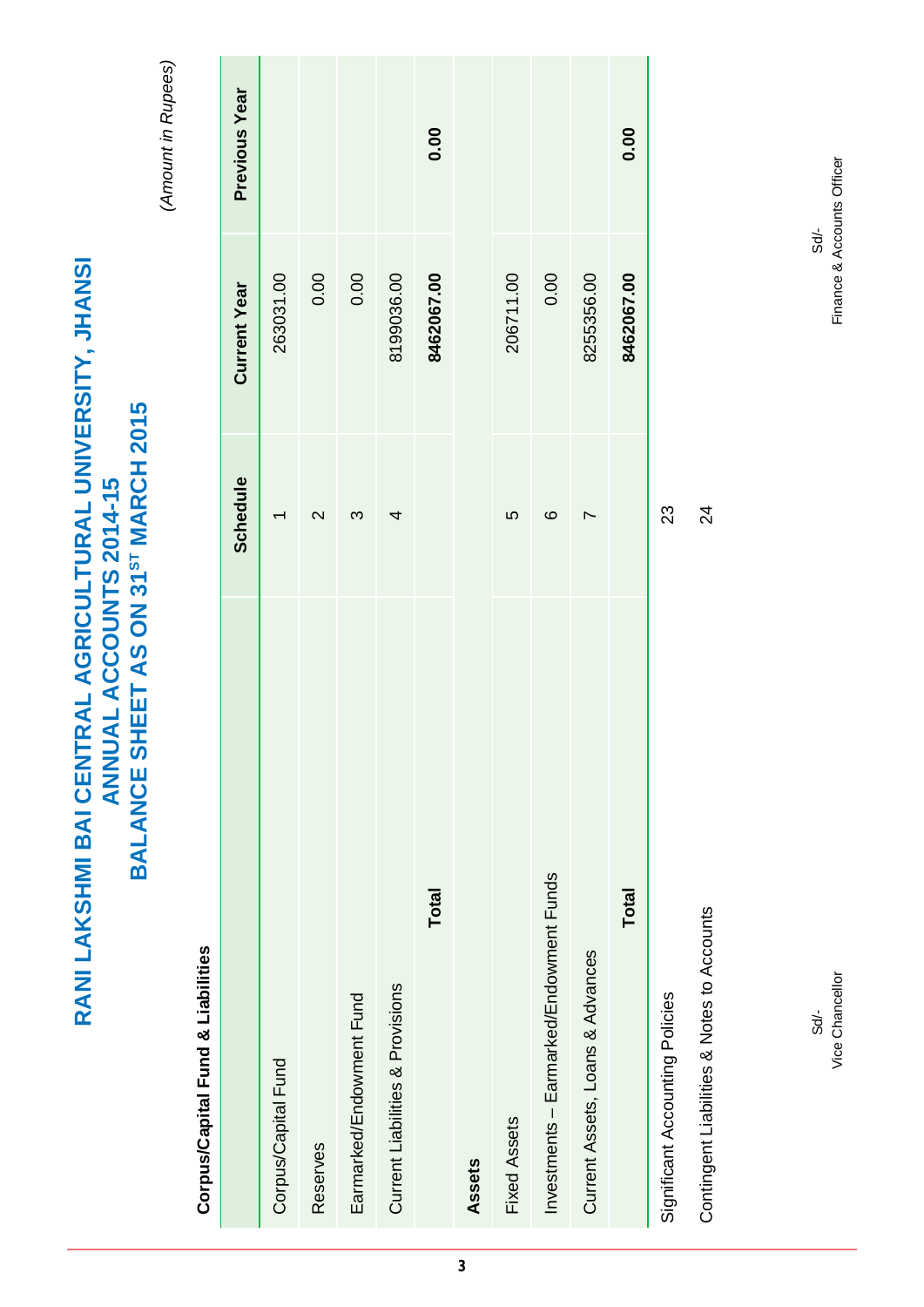(Amount in Rupees) *(Amount in Rupees)*

**RANI LAKSHMI BAI CENTRAL AGRICULTURAL UNIVERSITY, JHANSI ANNUAL ACCOUNTS 2014-15 BALANCE SHEET AS ON 31ST MARCH 2015**

ANNUAL ACCOUNTS 2014-15<br>BALANCE SHEET AS ON 31<sup>ST</sup> MARCH 2015

RANI LAKSHMI BAI CENTRAL AGRICULTURAL UNIVERSITY, JHANSI

### Corpus/Capital Fund & Liabilities **Corpus/Capital Fund & Liabilities**

|                                            | Schedule        | <b>Current Year</b> | Previous Year |
|--------------------------------------------|-----------------|---------------------|---------------|
| Corpus/Capital Fund                        |                 | 263031.00           |               |
| Reserves                                   | $\mathsf{\sim}$ | 0.00                |               |
| Earmarked/Endowment Fund                   | ო               | 0.00                |               |
| Current Liabilities & Provisions           | 4               | 8199036.00          |               |
| <b>Total</b>                               |                 | 8462067.00          | 0.00          |
| Assets                                     |                 |                     |               |
| <b>Fixed Assets</b>                        | 5               | 206711.00           |               |
| Investments - Earmarked/Endowment Funds    | ဖ               | 0.00                |               |
| Current Assets, Loans & Advances           |                 | 8255356.00          |               |
| Total                                      |                 | 8462067.00          | 0.00          |
| Significant Accounting Policies            | 23              |                     |               |
| Contingent Liabilities & Notes to Accounts | $\overline{2}$  |                     |               |

 $500$  Sd. Vice Chancellor  $Sd'$ -

Finance & Accounts Officer Vice Chancellor Finance & Accounts Officer Sd/-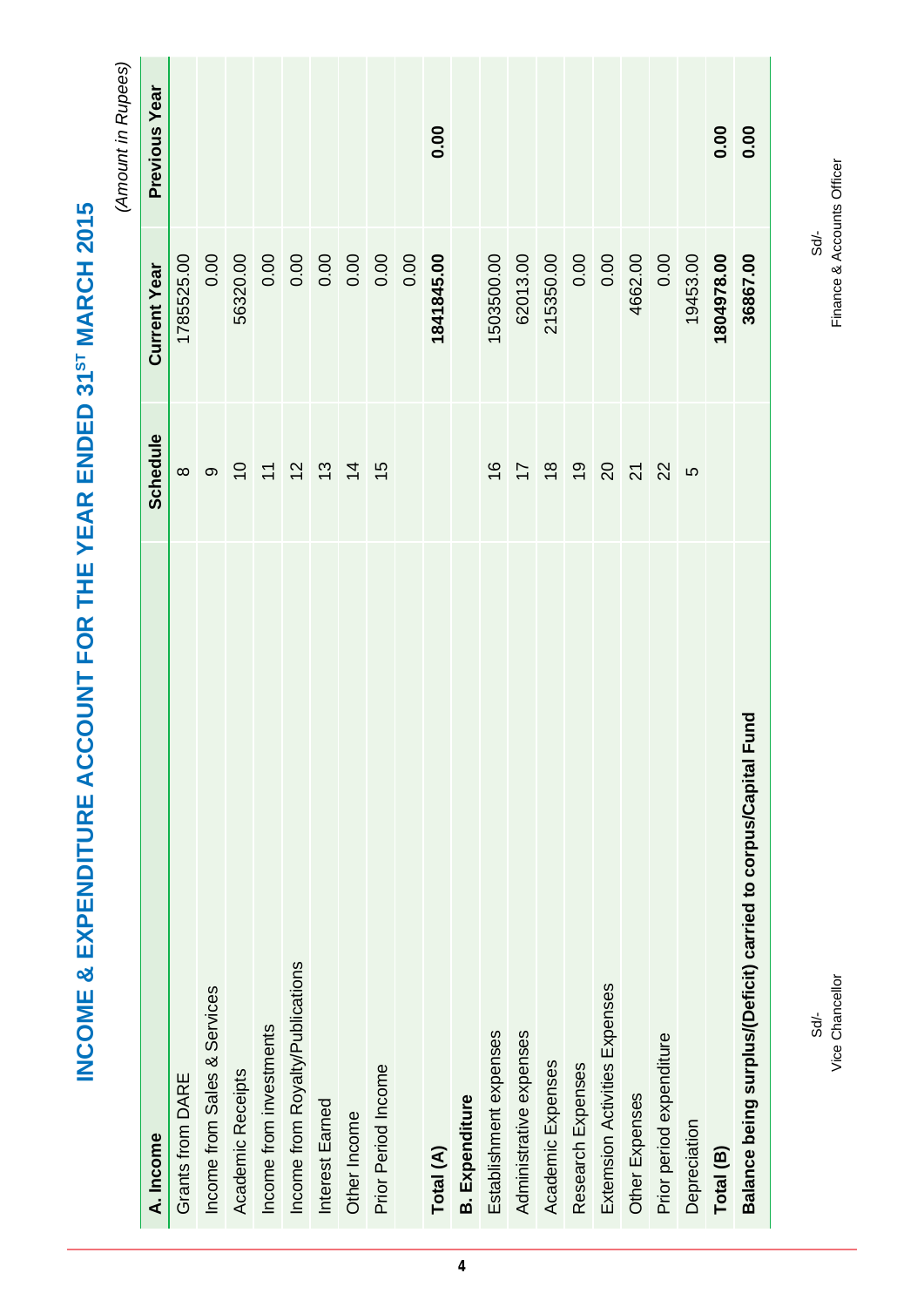|                                                                   |                                                         |                     | (Amount in Rupees)   |
|-------------------------------------------------------------------|---------------------------------------------------------|---------------------|----------------------|
| A. Income                                                         | Schedule                                                | <b>Current Year</b> | <b>Previous Year</b> |
| Grants from DARE                                                  | $\infty$                                                | 1785525.00          |                      |
| Income from Sales & Services                                      | တ                                                       | 0.00                |                      |
| Academic Receipts                                                 |                                                         | 56320.00            |                      |
| Income from investments                                           |                                                         | 0.00                |                      |
| Income from Royalty/Publications                                  | $\begin{array}{ccc} 5 & 5 & 5 \\ 5 & 5 & 5 \end{array}$ | 0.00                |                      |
| Interest Earned                                                   |                                                         | 0.00                |                      |
| Other Income                                                      | $\overline{4}$                                          | 0.00                |                      |
| Prior Period Income                                               | $\frac{15}{2}$                                          | 0.00                |                      |
|                                                                   |                                                         | 0.00                |                      |
| Total (A)                                                         |                                                         | 1841845.00          | 0.00                 |
| <b>B.</b> Expenditure                                             |                                                         |                     |                      |
| Establishment expenses                                            | $\frac{6}{1}$                                           | 1503500.00          |                      |
| Administrative expenses                                           | 78                                                      | 62013.00            |                      |
| Academic Expenses                                                 |                                                         | 215350.00           |                      |
| Research Expenses                                                 | $\frac{1}{2}$                                           | 0.00                |                      |
| Extemsion Activities Expenses                                     | $\overline{20}$                                         | 0.00                |                      |
| Other Expenses                                                    | $\overline{2}$                                          | 4662.00             |                      |
| Prior period expenditure                                          | 22                                                      | 0.00                |                      |
| Depreciation                                                      | LO                                                      | 19453.00            |                      |
| Total (B)                                                         |                                                         | 1804978.00          | 0.00                 |
| Fund<br>Balance being surplus/(Deficit) carried to corpus/Capital |                                                         | 36867.00            | 0.00                 |
|                                                                   |                                                         |                     |                      |

INCOME & EXPENDITURE ACCOUNT FOR THE YEAR ENDED 31ST MARCH 2015 **INCOME & EXPENDITURE ACCOUNT FOR THE YEAR ENDED 31ST MARCH 2015**

Vice Chancellor  $Sd'$ -

Finance & Accounts Officer Vice Chancellor Finance & Accounts OfficerSd/- $300$  SOM  $-$  SOM  $-$  SOM  $-$  SOM  $-$  SOM  $-$  SOM  $-$  SOM  $-$  SOM  $-$  SOM  $-$  SOM  $-$  SOM  $-$  SOM  $-$  SOM  $-$  SOM  $-$  SOM  $-$  SOM  $-$  SOM  $-$  SOM  $-$  SOM  $-$  SOM  $-$  SOM  $-$  SOM  $-$  SOM  $-$  SOM  $-$  SOM  $-$  SOM  $-$  SOM  $-$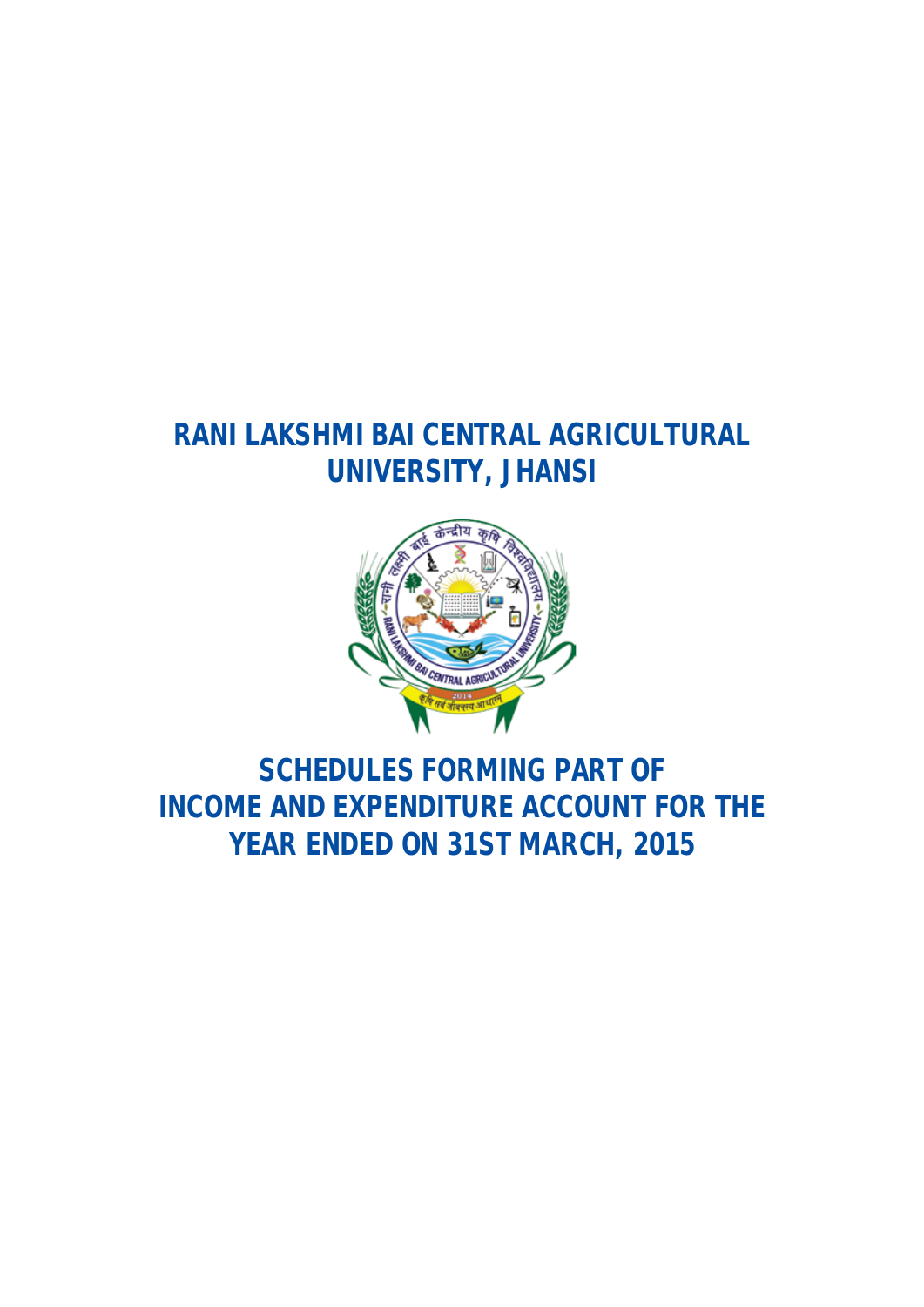### **RANI LAKSHMI BAI CENTRAL AGRICULTURAL UNIVERSITY, JHANSI**



### **SCHEDULES FORMING PART OF INCOME AND EXPENDITURE ACCOUNT FOR THE YEAR ENDED ON 31ST MARCH, 2015**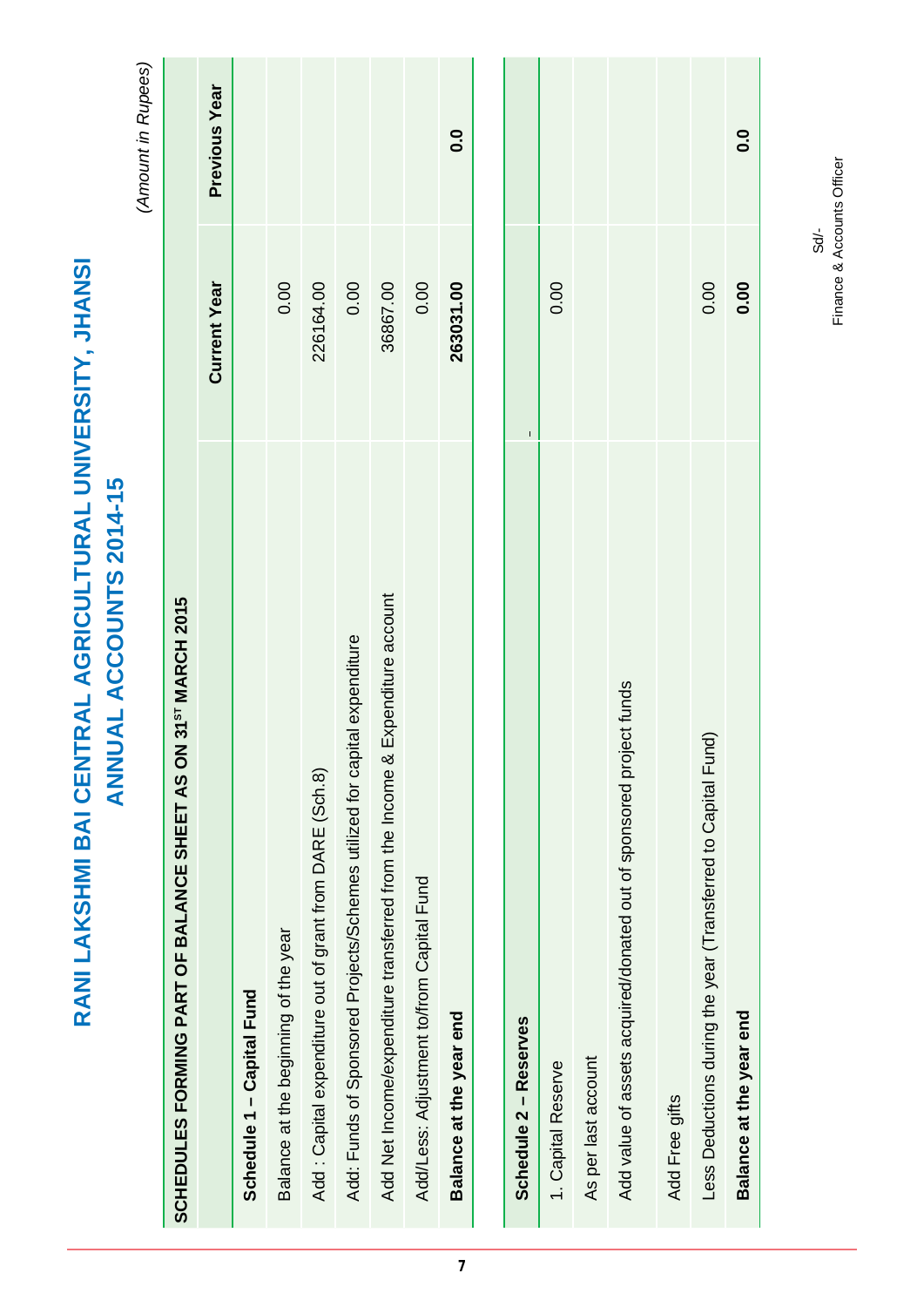| <b>UAL ACCOUNTS 2014-15</b><br><b>NN</b>                                     |                     |                    |
|------------------------------------------------------------------------------|---------------------|--------------------|
|                                                                              |                     | (Amount in Rupees) |
| SCHEDULES FORMING PART OF BALANCE SHEET AS ON 31 <sup>51</sup> MARCH 2015    |                     |                    |
|                                                                              | <b>Current Year</b> | Previous Year      |
| Schedule 1 - Capital Fund                                                    |                     |                    |
| Balance at the beginning of the year                                         | 0.00                |                    |
| Add: Capital expenditure out of grant from DARE (Sch.8)                      | 226164.00           |                    |
| Add: Funds of Sponsored Projects/Schemes utilized for capital expenditure    | 0.00                |                    |
| Add Net Income/expenditure transferred from the Income & Expenditure account | 36867.00            |                    |
| Add/Less: Adjustment to/from Capital Fund                                    | 0.00                |                    |
| Balance at the year end                                                      | 263031.00           | 0.0                |
|                                                                              |                     |                    |
| Schedule 2 - Reserves                                                        |                     |                    |
| 1. Capital Reserve                                                           | 0.00                |                    |
| As per last account                                                          |                     |                    |
| Add value of assets acquired/donated out of sponsored project funds          |                     |                    |
| Add Free gifts                                                               |                     |                    |
| Less Deductions during the year (Transferred to Capital Fund)                | 0.00                |                    |
| Balance at the year end                                                      | 0.00                | 0.0                |

**RANI LAKSHMI BAI CENTRAL AGRICULTURAL UNIVERSITY, JHANSI**

RANI LAKSHMI BAI CENTRAL AGRICULTURAL UNIVERSITY, JHANSI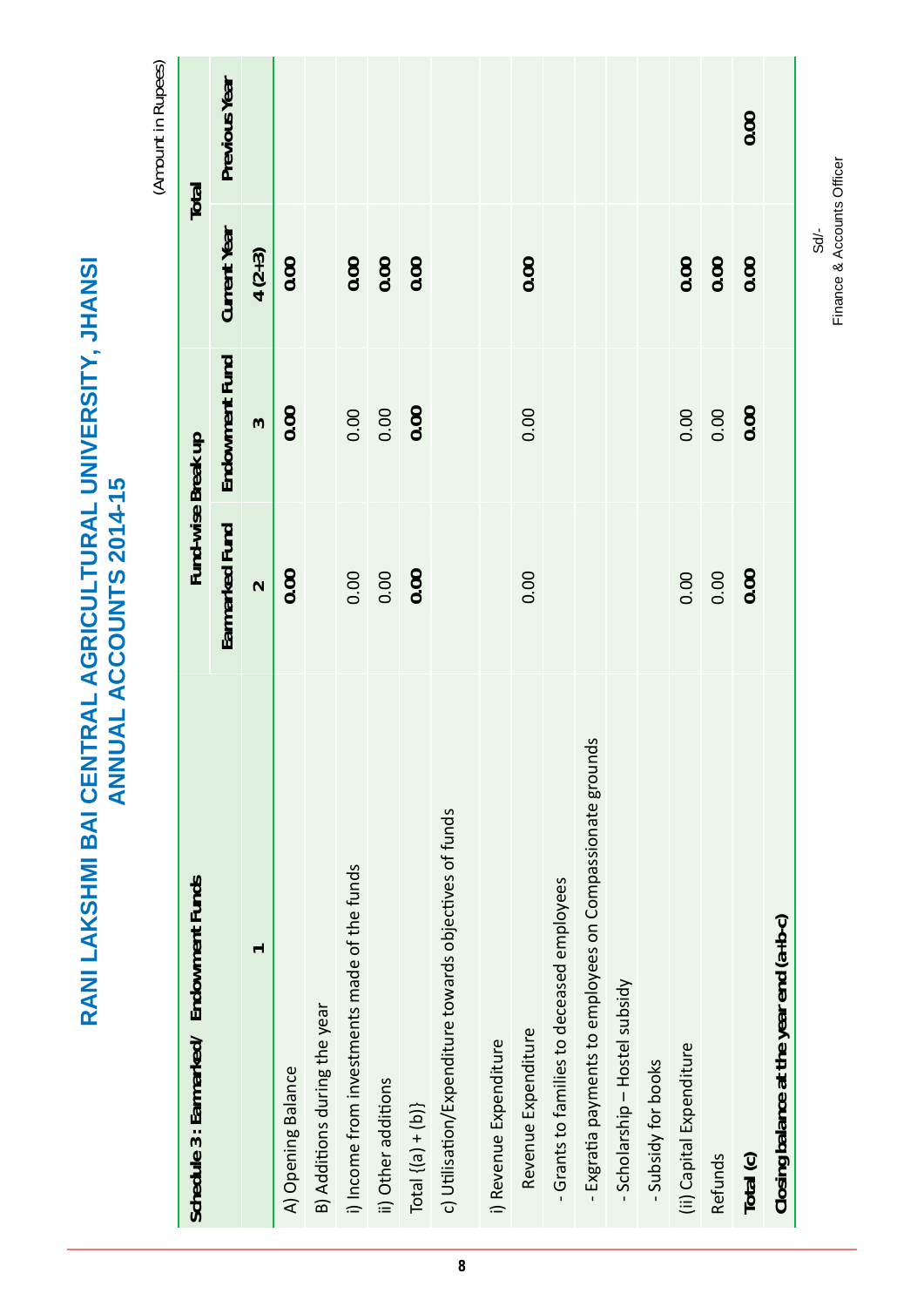RANI LAKSHMI BAI CENTRAL AGRICULTURAL UNIVERSITY, JHANSI<br>ANNUAL ACCOUNTS 2014-15 **RANI LAKSHMI BAI CENTRAL AGRICULTURAL UNIVERSITY, JHANSI ANNUAL ACCOUNTS 2014-15**

(Amount in Rupees) *(Amount in Rupees)*

| Schedule 3 : Earmarked/ Endowment Funds                   | Fund-wise Break up |                |              | Total         |
|-----------------------------------------------------------|--------------------|----------------|--------------|---------------|
|                                                           | Earmarked Fund     | Endowment Fund | Current Year | Previous Year |
| ᠇                                                         | $\sim$             | $\sim$         | $4(2+3)$     |               |
| A) Opening Balance                                        | 0.00               | 0.00           | 0.00         |               |
| B) Additions during the year                              |                    |                |              |               |
| i) Income from investments made of the funds              | 0.00               | 0.00           | 0.00         |               |
| ii) Other additions                                       | 0.00               | 0.00           | 0.00         |               |
| Total $\{(a) + (b)\}$                                     | 0.00               | 0.00           | 0.00         |               |
| c) Utilisation/Expenditure towards objectives of funds    |                    |                |              |               |
| i) Revenue Expenditure                                    |                    |                |              |               |
| Revenue Expenditure                                       | 0.00               | 0.00           | 0.00         |               |
| -Grants to families to deceased employees                 |                    |                |              |               |
| - Exgratia payments to employees on Compassionate grounds |                    |                |              |               |
| - Scholarship - Hostel subsidy                            |                    |                |              |               |
| - Subsidy for books                                       |                    |                |              |               |
| (ii) Capital Expenditure                                  | 0.00               | 0.00           | 0.00         |               |
| Refunds                                                   | 0.00               | 0.00           | 0.00         |               |
| Total (c)                                                 | 0.00               | 0.00           | 0.00         | 0.00          |
| Closing balance at the year end (a+b-c)                   |                    |                |              |               |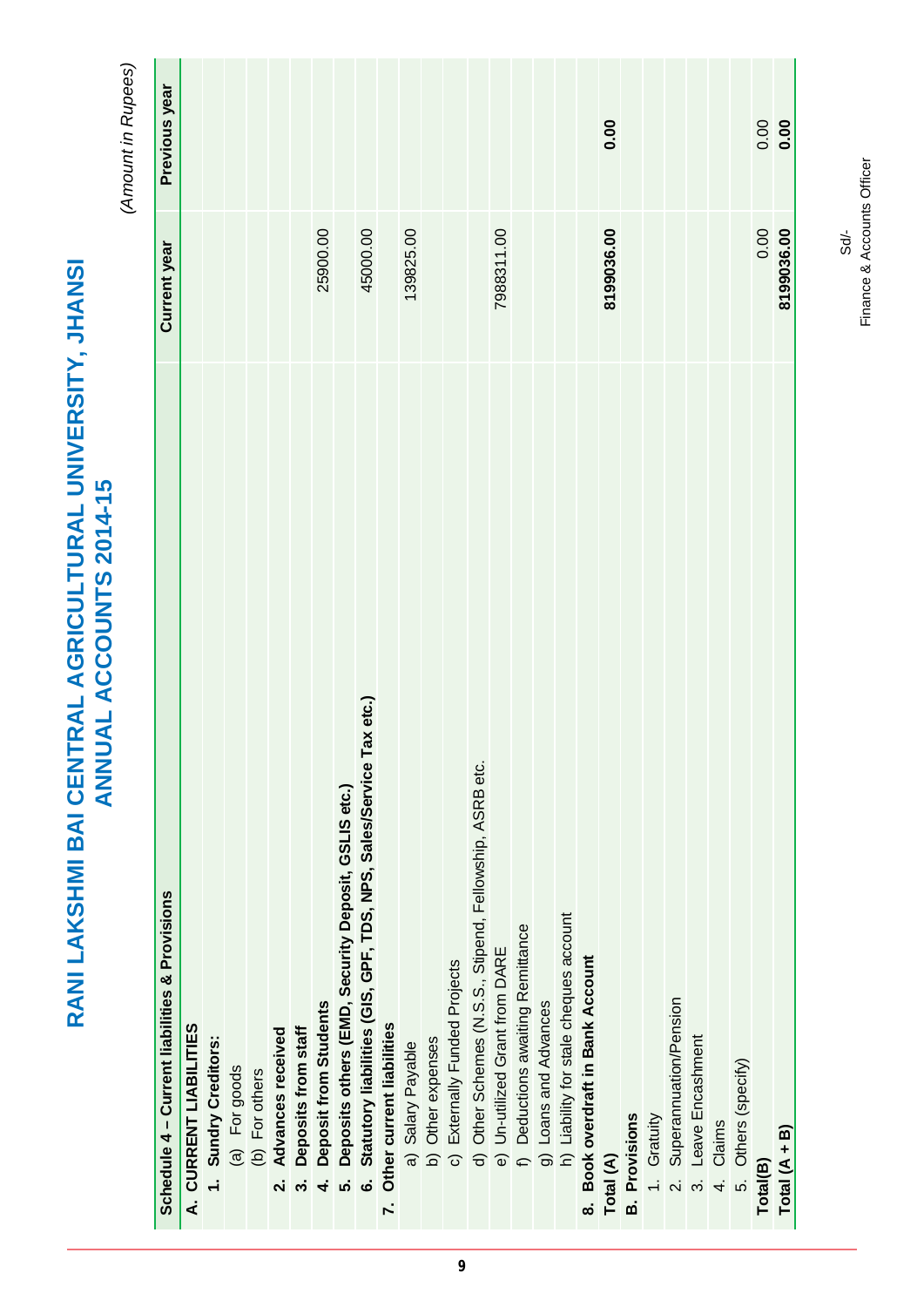| RANI LAKSHMI BAI CENTRAL AGRICULTURAL UNIVERSITY, JHANSI<br><b>ANNUAL ACCOUNTS 2014-15</b> |              | (Amount in Rupees) |
|--------------------------------------------------------------------------------------------|--------------|--------------------|
| Schedule 4 - Current liabilities & Provisions                                              | Current year | Previous year      |
| A. CURRENT LIABILITIES                                                                     |              |                    |
| 1. Sundry Creditors:                                                                       |              |                    |
| (a) For goods                                                                              |              |                    |
| (b) For others                                                                             |              |                    |
| 2. Advances received                                                                       |              |                    |
| 3. Deposits from staff                                                                     |              |                    |
| 4. Deposit from Students                                                                   | 25900.00     |                    |
| 5. Deposits others (EMD, Security Deposit, GSLIS etc.)                                     |              |                    |

|                        |                      |               |                |                                              |                           | 25900.00                           |                                                                  | 45000.00                                                                     |                              | 139825.00         |                   |                               |                                                          | 7988311.00                     |                                   |                       |                                        |                                   | 0.00<br>8199036.00 |                      |             |                           |                     |           |                     | 0.00<br>0.00 | 0.00<br>8199036.00 |
|------------------------|----------------------|---------------|----------------|----------------------------------------------|---------------------------|------------------------------------|------------------------------------------------------------------|------------------------------------------------------------------------------|------------------------------|-------------------|-------------------|-------------------------------|----------------------------------------------------------|--------------------------------|-----------------------------------|-----------------------|----------------------------------------|-----------------------------------|--------------------|----------------------|-------------|---------------------------|---------------------|-----------|---------------------|--------------|--------------------|
| A. CURRENT LIABILITIES | 1. Sundry Creditors: | (a) For goods | (b) For others | Advances received<br>$\overline{\mathbf{v}}$ | Deposits from staff<br>က် | Deposit from Students<br>$\dot{+}$ | Deposits others (EMD, Security Deposit, GSLIS etc.)<br><u>ທ່</u> | Statutory liabilities (GIS, GPF, TDS, NPS, Sales/Service Tax etc.)<br>.<br>ම | 7. Other current liabilities | a) Salary Payable | b) Other expenses | c) Externally Funded Projects | d) Other Schemes (N.S.S., Stipend, Fellowship, ASRB etc. | e) Un-utilized Grant from DARE | f) Deductions awaiting Remittance | g) Loans and Advances | h) Liability for stale cheques account | 8. Book overdraft in Bank Account | Total (A)          | <b>B.</b> Provisions | 1. Gratuity | 2. Superannuation/Pension | 3. Leave Encashment | 4. Claims | 5. Others (specify) | Total(B)     | Total $(A + B)$    |

Finance & Accounts Officer Finance & Accounts OfficerSd/-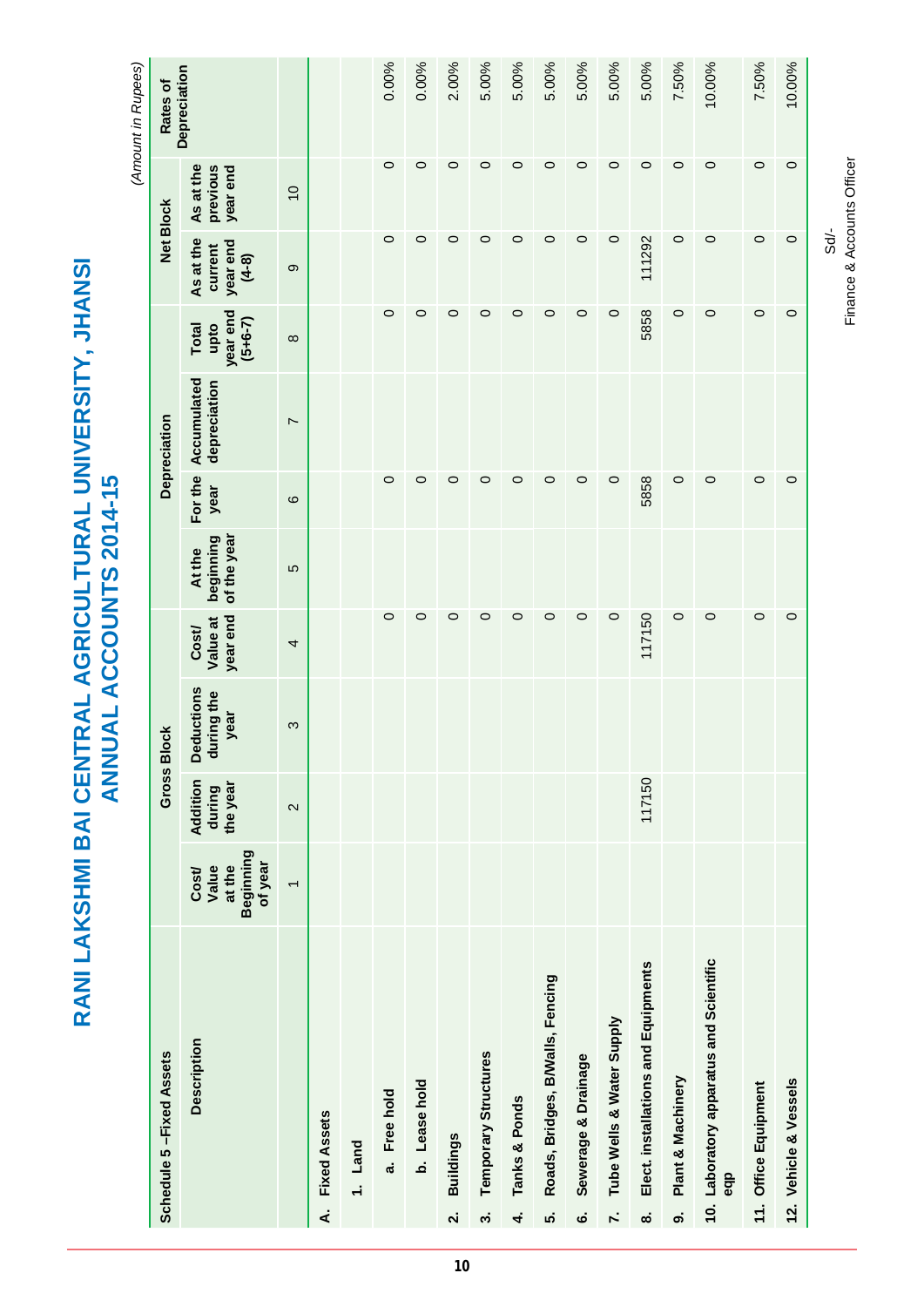|                                                          | ANNUAL ACCOUNTS 2014-15 |
|----------------------------------------------------------|-------------------------|
| RANI LAKSHMI BAI CENTRAL AGRICULTURAL UNIVERSITY, JHANSI |                         |

(Amount in Rupees) *(Amount in Rupees)*

| Schedule 5-Fixed Assets                        |                                                 |                                | Gross Block                      |                              |                                    |                 | Depreciation                |                                               |                                             | <b>Net Block</b>                  | Rates of     |
|------------------------------------------------|-------------------------------------------------|--------------------------------|----------------------------------|------------------------------|------------------------------------|-----------------|-----------------------------|-----------------------------------------------|---------------------------------------------|-----------------------------------|--------------|
| Description                                    | Beginning<br>of year<br>at the<br>Value<br>Cost | Addition<br>the year<br>during | Deductions<br>during the<br>year | year end<br>Value at<br>Cost | of the year<br>beginning<br>At the | For the<br>year | Accumulated<br>depreciation | year end<br>$(5+6-7)$<br><b>Total</b><br>upto | As at the<br>year end<br>current<br>$(4-8)$ | As at the<br>previous<br>year end | Depreciation |
|                                                | $\overline{\phantom{0}}$                        | $\mathbf{\Omega}$              | S                                | 4                            | 5                                  | $\circ$         | $\overline{ }$              | $\infty$                                      | တ                                           | $\overline{0}$                    |              |
| <b>Fixed Assets</b><br>∢                       |                                                 |                                |                                  |                              |                                    |                 |                             |                                               |                                             |                                   |              |
| 1. Land                                        |                                                 |                                |                                  |                              |                                    |                 |                             |                                               |                                             |                                   |              |
| Free hold<br>ದ                                 |                                                 |                                |                                  | $\circ$                      |                                    | $\circ$         |                             | 0                                             | $\circ$                                     | 0                                 | 0.00%        |
| b. Lease hold                                  |                                                 |                                |                                  | $\circ$                      |                                    | $\circ$         |                             | $\circ$                                       | $\circ$                                     | $\circ$                           | 0.00%        |
| <b>Buildings</b><br>$\overline{\mathbf{v}}$    |                                                 |                                |                                  | $\circ$                      |                                    | $\circ$         |                             | $\circ$                                       | $\circ$                                     | $\circ$                           | 2.00%        |
| Temporary Structures<br>က                      |                                                 |                                |                                  | $\circ$                      |                                    | $\circ$         |                             | $\circ$                                       | $\circ$                                     | 0                                 | 5.00%        |
| Tanks & Ponds<br>4                             |                                                 |                                |                                  | $\circ$                      |                                    | $\circ$         |                             | $\circ$                                       | $\circ$                                     | $\circ$                           | 5.00%        |
| Roads, Bridges, B/Walls, Fencing<br>ທ່         |                                                 |                                |                                  | $\circ$                      |                                    | $\circ$         |                             | $\circ$                                       | $\circ$                                     | $\circ$                           | 5.00%        |
| Sewerage & Drainage<br>Ġ                       |                                                 |                                |                                  | $\circ$                      |                                    | $\circ$         |                             | $\circ$                                       | $\circ$                                     | $\circ$                           | 5.00%        |
| Tube Wells & Water Supply<br>$\mathbf{r}$      |                                                 |                                |                                  | $\circ$                      |                                    | $\circ$         |                             | 0                                             | $\circ$                                     | $\circ$                           | 5.00%        |
| Elect. installations and Equipments<br>ထံ      |                                                 | 117150                         |                                  | 117150                       |                                    | 5858            |                             | 5858                                          | 111292                                      | $\circ$                           | 5.00%        |
| Plant & Machinery<br>တ                         |                                                 |                                |                                  | $\circ$                      |                                    | $\circ$         |                             | $\circ$                                       | $\circ$                                     | $\circ$                           | 7.50%        |
| 10. Laboratory apparatus and Scientific<br>eqp |                                                 |                                |                                  | $\circ$                      |                                    | $\circ$         |                             | $\circ$                                       | $\circ$                                     | $\circ$                           | 10.00%       |
| 11. Office Equipment                           |                                                 |                                |                                  | $\circ$                      |                                    | $\circ$         |                             | $\circ$                                       | $\circ$                                     | $\circ$                           | 7.50%        |
| 12. Vehicle & Vessels                          |                                                 |                                |                                  | $\circ$                      |                                    | $\circ$         |                             | $\circ$                                       | $\circ$                                     | $\circ$                           | 10.00%       |
|                                                |                                                 |                                |                                  |                              |                                    |                 |                             |                                               |                                             |                                   |              |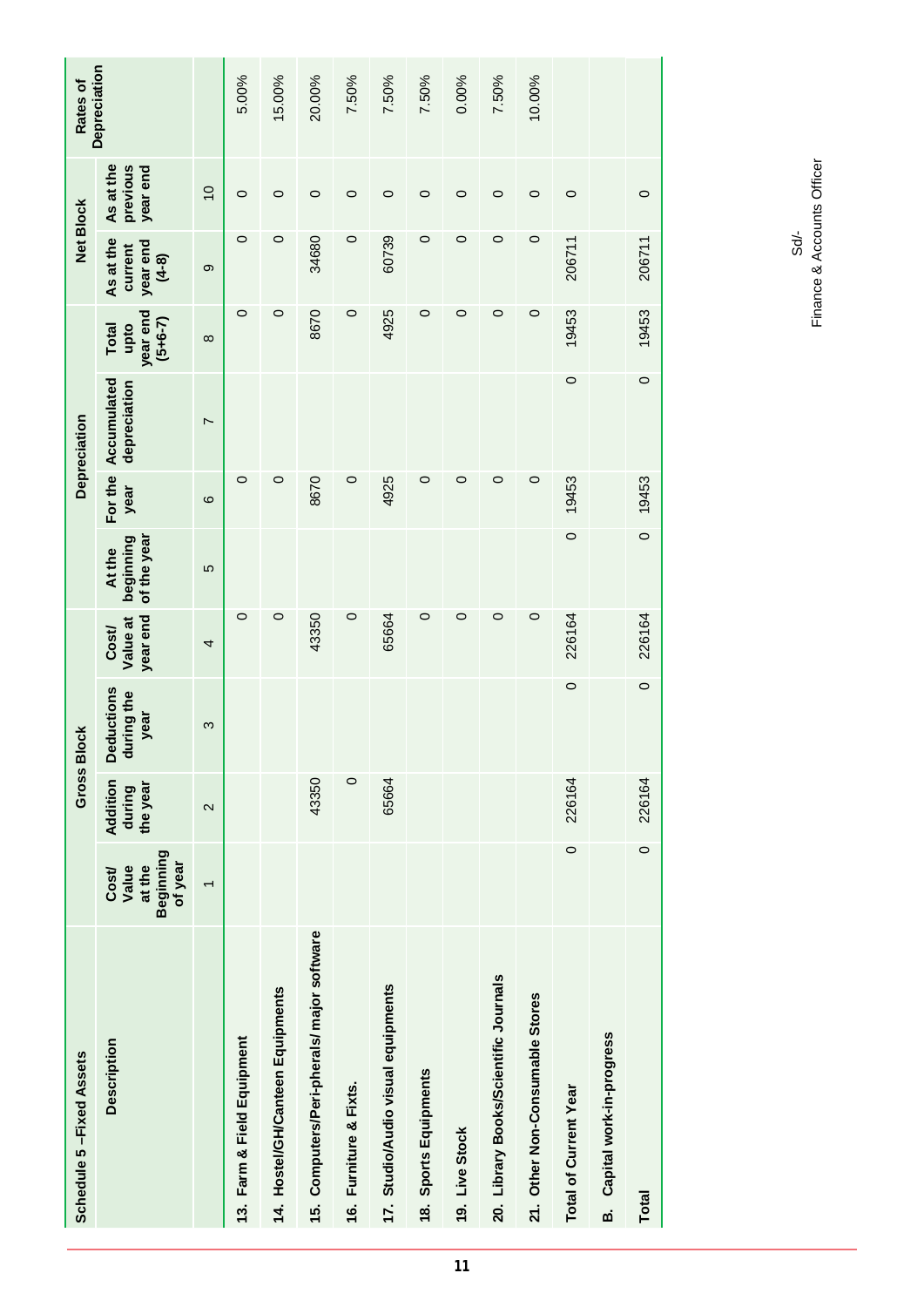|                                                 | Gross Bl                       | <b>lock</b>                             |                              |                                    |                 | Depreciation                |                                        | <b>Net Block</b>                            |                                   | Rates of     |
|-------------------------------------------------|--------------------------------|-----------------------------------------|------------------------------|------------------------------------|-----------------|-----------------------------|----------------------------------------|---------------------------------------------|-----------------------------------|--------------|
| Beginning<br>of year<br>Value<br>at the<br>Cost | Addition<br>the year<br>during | <b>Deductions</b><br>during the<br>year | year end<br>Value at<br>Cost | of the year<br>beginning<br>At the | For the<br>year | Accumulated<br>depreciation | year end<br>$(5+6-7)$<br>upto<br>Total | As at the<br>year end<br>current<br>$(4-8)$ | As at the<br>previous<br>year end | Depreciation |
| $\overline{\phantom{0}}$                        | $\mathbf{\Omega}$              | S                                       | 4                            | 5                                  | $\circ$         | L                           | $\infty$                               | တ                                           | $\overline{0}$                    |              |
|                                                 |                                |                                         | $\circ$                      |                                    | $\circ$         |                             | $\circ$                                | $\circ$                                     | $\circ$                           | 5.00%        |
|                                                 |                                |                                         | $\circ$                      |                                    | 0               |                             | 0                                      | $\circ$                                     | $\circ$                           | 15.00%       |
|                                                 | 43350                          |                                         | 43350                        |                                    | 8670            |                             | 8670                                   | 34680                                       | $\circ$                           | 20.00%       |
|                                                 | $\circ$                        |                                         | $\circ$                      |                                    | $\circ$         |                             | $\circ$                                | $\circ$                                     | $\circ$                           | 7.50%        |
|                                                 | 65664                          |                                         | 65664                        |                                    | 4925            |                             | 4925                                   | 60739                                       | $\circ$                           | 7.50%        |
|                                                 |                                |                                         | 0                            |                                    | 0               |                             | $\circ$                                | $\circ$                                     | $\circ$                           | 7.50%        |
|                                                 |                                |                                         | $\circ$                      |                                    | 0               |                             | 0                                      | 0                                           | $\circ$                           | 0.00%        |
|                                                 |                                |                                         | $\circ$                      |                                    | $\circ$         |                             | 0                                      | $\circ$                                     | $\circ$                           | 7.50%        |
|                                                 |                                |                                         | $\circ$                      |                                    | $\circ$         |                             | 0                                      | $\circ$                                     | $\circ$                           | 10.00%       |
| $\circ$                                         | 226164                         | $\circ$                                 | 226164                       | $\circ$                            | 19453           | $\circ$                     | 19453                                  | 206711                                      | $\circ$                           |              |
|                                                 |                                |                                         |                              |                                    |                 |                             |                                        |                                             |                                   |              |
| $\circ$                                         | 226164                         | $\circ$                                 | 226164                       |                                    | 19453           | $\circ$                     |                                        | 206711                                      | $\circ$                           |              |
|                                                 |                                |                                         |                              |                                    |                 | $\circ$                     |                                        |                                             | 19453                             |              |

Sd/-<br>Finance & Accounts Officer Finance & Accounts Officer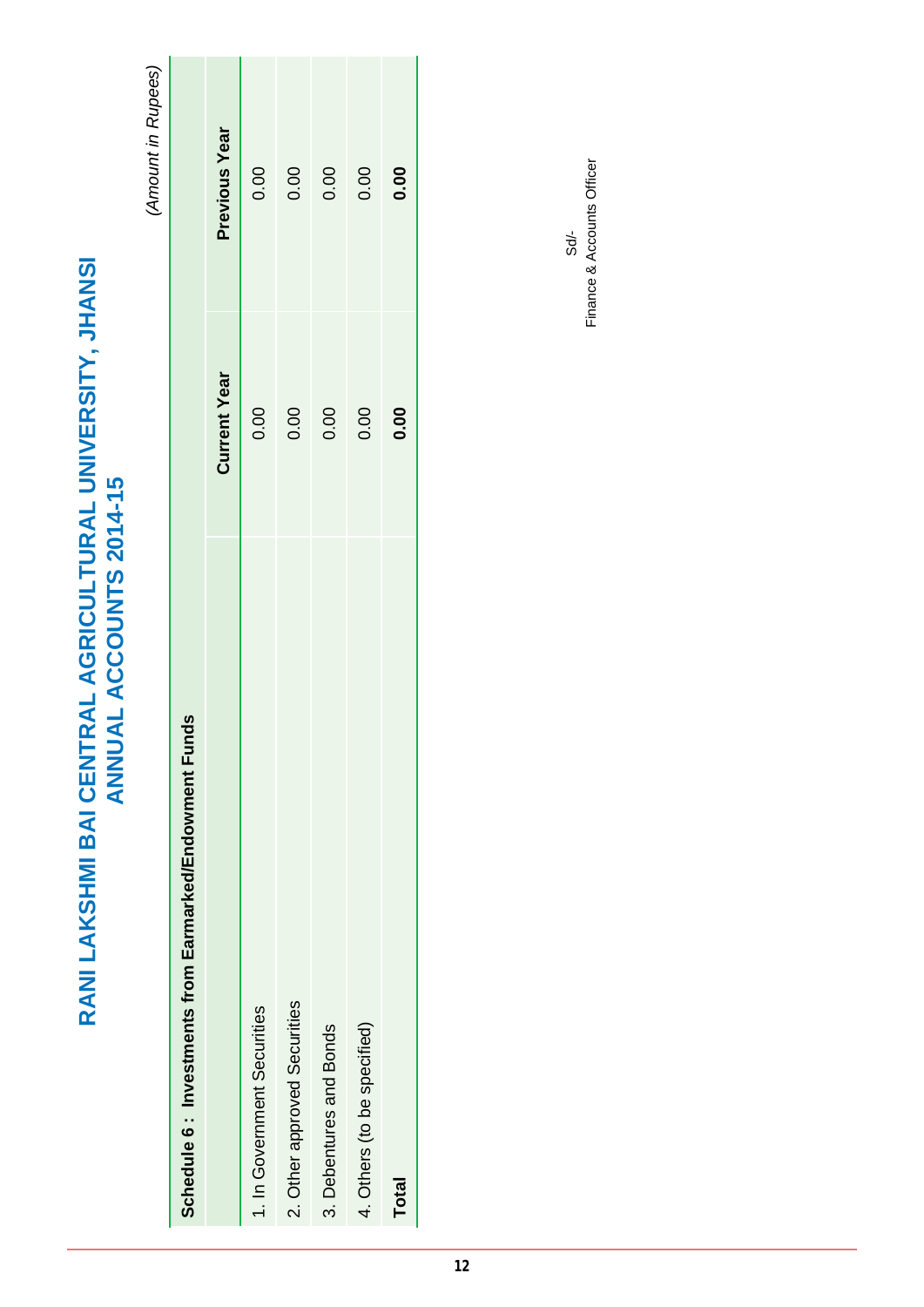RANI LAKSHMI BAI CENTRAL AGRICULTURAL UNIVERSITY, JHANSI<br>ANNUAL ACCOUNTS 2014-15 **RANI LAKSHMI BAI CENTRAL AGRICULTURAL UNIVERSITY, JHANSI ANNUAL ACCOUNTS 2014-15**

(Amount in Rupees) *(Amount in Rupees)*

| Schedule 6 : Investments from Earmarked/Endowment Funds |                     |               |
|---------------------------------------------------------|---------------------|---------------|
|                                                         | <b>Current Year</b> | Previous Year |
| 1. In Government Securities                             | 0.00                | 0.00          |
| 2. Other approved Securities                            | 0.00                | 0.00          |
| 3. Debentures and Bonds                                 | 0.00                | 0.00          |
| 4. Others (to be specified)                             | 0.00                | 0.00          |
| Total                                                   | 0.00                | 0.00          |
|                                                         |                     |               |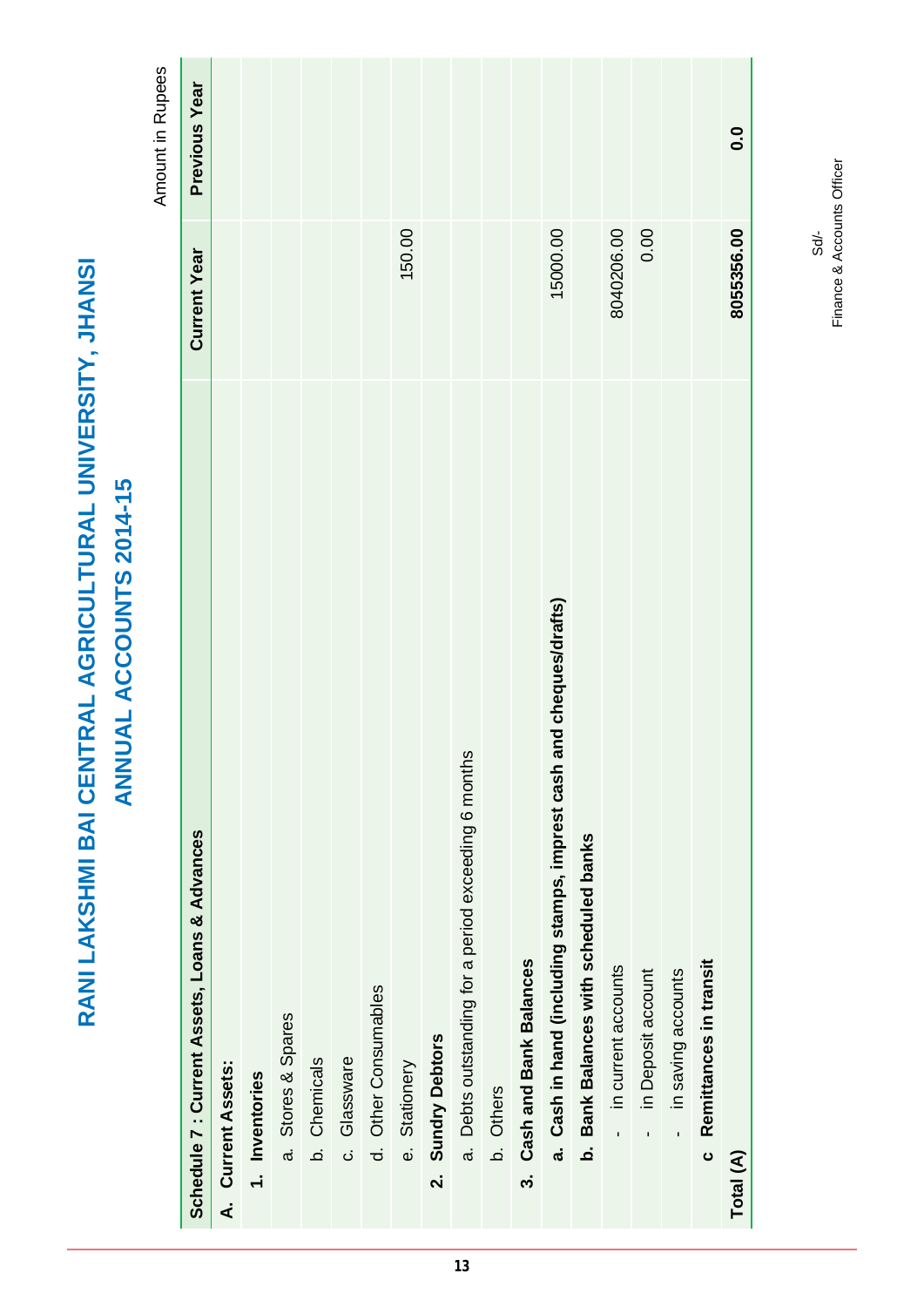|                                                          | <b>ANNUAL ACCOUNTS 2014-15</b> |
|----------------------------------------------------------|--------------------------------|
|                                                          |                                |
| RANI LAKSHMI BAI CENTRAL AGRICULTURAL UNIVERSITY, JHANSI |                                |

Amount in Rupees Amount in Rupees

| Schedule 7 : Current Assets, Loans & Advances                          | <b>Current Year</b> | Previous Year |
|------------------------------------------------------------------------|---------------------|---------------|
| A. Current Assets:                                                     |                     |               |
| 1. Inventories                                                         |                     |               |
| a. Stores & Spares                                                     |                     |               |
| b. Chemicals                                                           |                     |               |
| c. Glassware                                                           |                     |               |
| d. Other Consumables                                                   |                     |               |
| e. Stationery                                                          | 150.00              |               |
| <b>Sundry Debtors</b><br>$\mathbf{a}$                                  |                     |               |
| a. Debts outstanding for a period exceeding 6 months                   |                     |               |
| b. Others                                                              |                     |               |
| <b>Cash and Bank Balances</b><br>.<br>ო                                |                     |               |
| and cheques/drafts)<br>a. Cash in hand (including stamps, imprest cash | 15000.00            |               |
| Bank Balances with scheduled banks<br>.<br>ف                           |                     |               |
| in current accounts                                                    | 8040206.00          |               |
| in Deposit account<br>ï                                                | 0.00                |               |
| in saving accounts<br>$\mathbf{I}$                                     |                     |               |
| Remittances in transit<br>ပ                                            |                     |               |
| Total (A)                                                              | 8055356.00          | 0.0           |
|                                                                        |                     |               |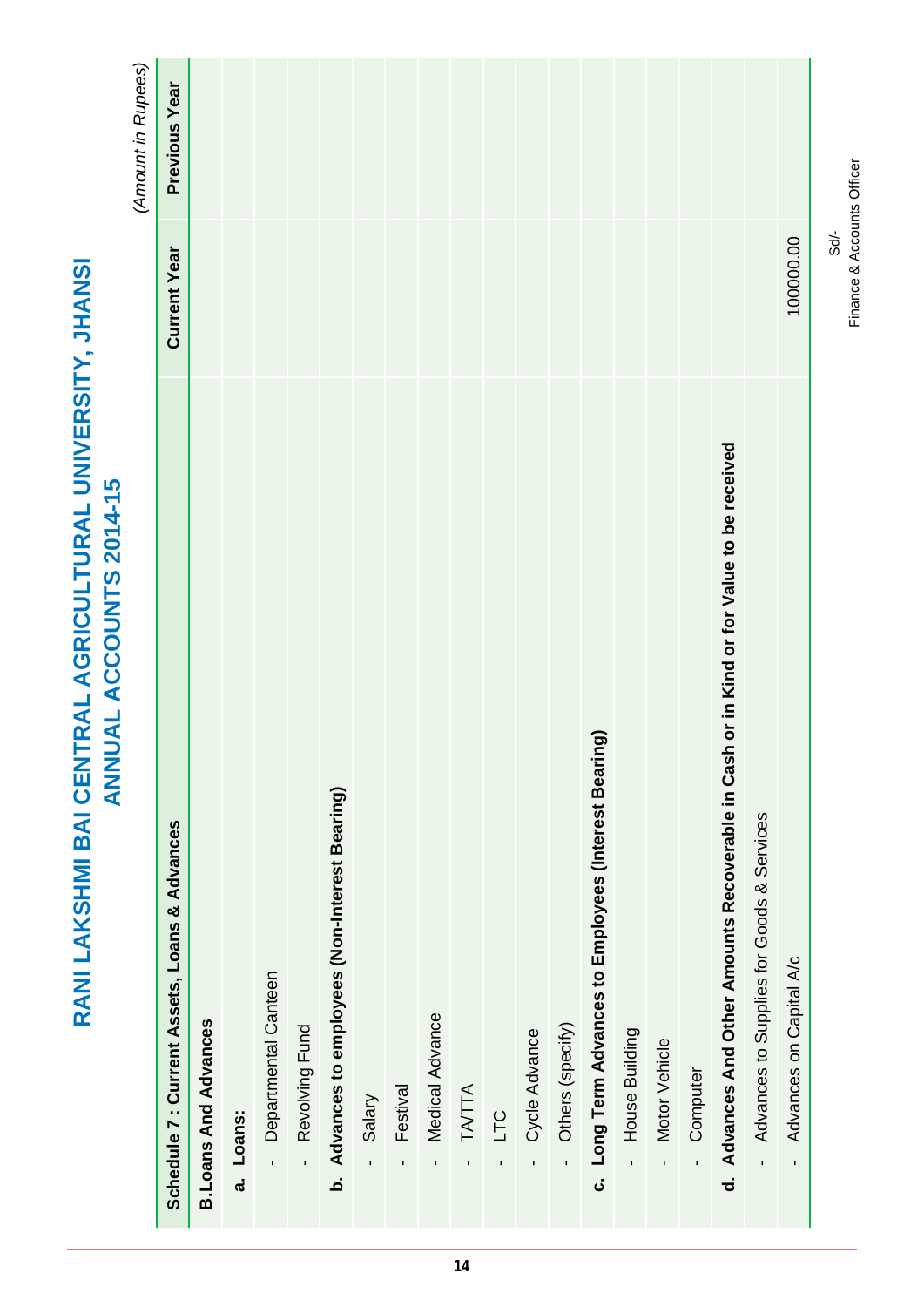| <b>UAL ACCOUNTS 2014-15</b><br><b>NN</b>                                                 |                     | (Amount in Rupees) |
|------------------------------------------------------------------------------------------|---------------------|--------------------|
| Schedule 7: Current Assets, Loans & Advances                                             | <b>Current Year</b> | Previous Year      |
| <b>B. Loans And Advances</b>                                                             |                     |                    |
| Loans:<br>$\ddot{a}$                                                                     |                     |                    |
| Departmental Canteen                                                                     |                     |                    |
| Revolving Fund<br>$\mathbf{r}$                                                           |                     |                    |
| b. Advances to employees (Non-Interest Bearing)                                          |                     |                    |
| Salary<br>$\mathbf{I}$                                                                   |                     |                    |
| Festival<br>$\blacksquare$                                                               |                     |                    |
| Medical Advance<br>$\mathbf{I}$                                                          |                     |                    |
| TATTA<br>$\mathbf{I}$                                                                    |                     |                    |
| <b>DLT</b><br>$\blacksquare$                                                             |                     |                    |
| Cycle Advance                                                                            |                     |                    |
| Others (specify)<br>$\mathbf{r}$                                                         |                     |                    |
| (Bui<br>c. Long Term Advances to Employees (Interest Beari                               |                     |                    |
| House Building                                                                           |                     |                    |
| Motor Vehicle<br>$\mathbf{r}$                                                            |                     |                    |
| Computer                                                                                 |                     |                    |
| d. Advances And Other Amounts Recoverable in Cash or in Kind or for Value to be received |                     |                    |
| Advances to Supplies for Goods & Services<br>l,                                          |                     |                    |
| Advances on Capital A/c<br>$\mathbf{I}$                                                  | 100000.00           |                    |
|                                                                                          |                     |                    |

**RANI LAKSHMI BAI CENTRAL AGRICULTURAL UNIVERSITY, JHANSI**

RANI LAKSHMI BAI CENTRAL AGRICULTURAL UNIVERSITY, JHANSI

 $\overline{\phantom{0}}$ Т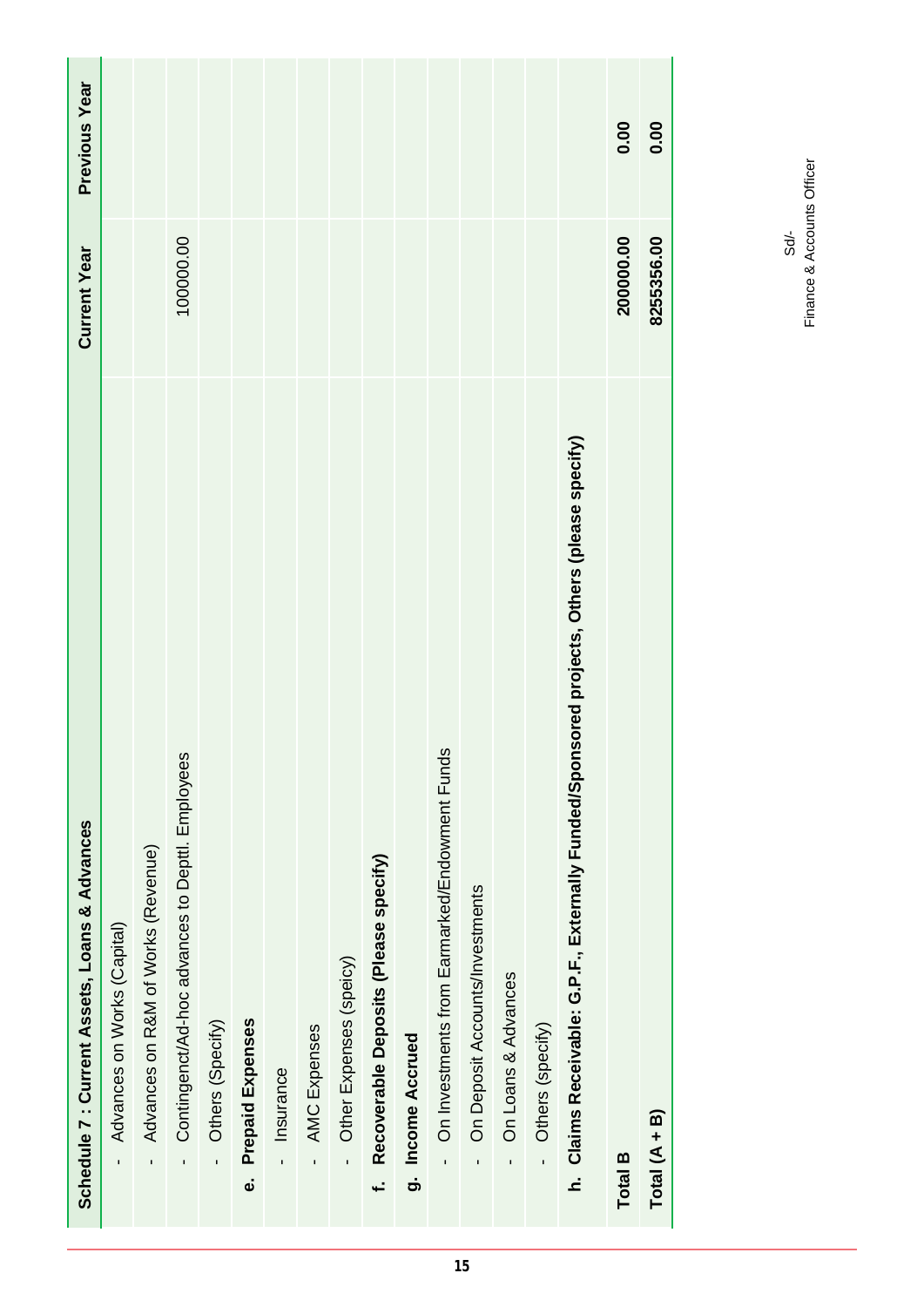| Schedule 7 : Current Assets, Loans & Advances                                                    | <b>Current Year</b> | Previous Year |
|--------------------------------------------------------------------------------------------------|---------------------|---------------|
| Advances on Works (Capital)<br>$\mathbf{I}$                                                      |                     |               |
| Advances on R&M of Works (Revenue)<br>$\blacksquare$                                             |                     |               |
| Contingenct/Ad-hoc advances to Depttl. Employees<br>$\blacksquare$                               | 100000.00           |               |
| Others (Specify)<br>$\mathbf{r}$                                                                 |                     |               |
| <b>Prepaid Expenses</b><br>نه                                                                    |                     |               |
| Insurance<br>$\overline{1}$                                                                      |                     |               |
| AMC Expenses<br>$\mathbf{I}$                                                                     |                     |               |
| Other Expenses (speicy)                                                                          |                     |               |
| Recoverable Deposits (Please specify)<br>ب<br>پ                                                  |                     |               |
| g. Income Accrued                                                                                |                     |               |
| On Investments from Earmarked/Endowment Funds                                                    |                     |               |
| On Deposit Accounts/Investments<br>$\mathbf{I}$                                                  |                     |               |
| On Loans & Advances                                                                              |                     |               |
| Others (specify)<br>$\mathbf{r}$                                                                 |                     |               |
| isored projects, Others (please specify)<br>h. Claims Receivable: G.P.F., Externally Funded/Spon |                     |               |
| Total B                                                                                          | 200000.00           | 0.00          |
| Total $(A + B)$                                                                                  | 8255356.00          | 0.00          |

Sd/-<br>Finance & Accounts Officer Finance & Accounts Officer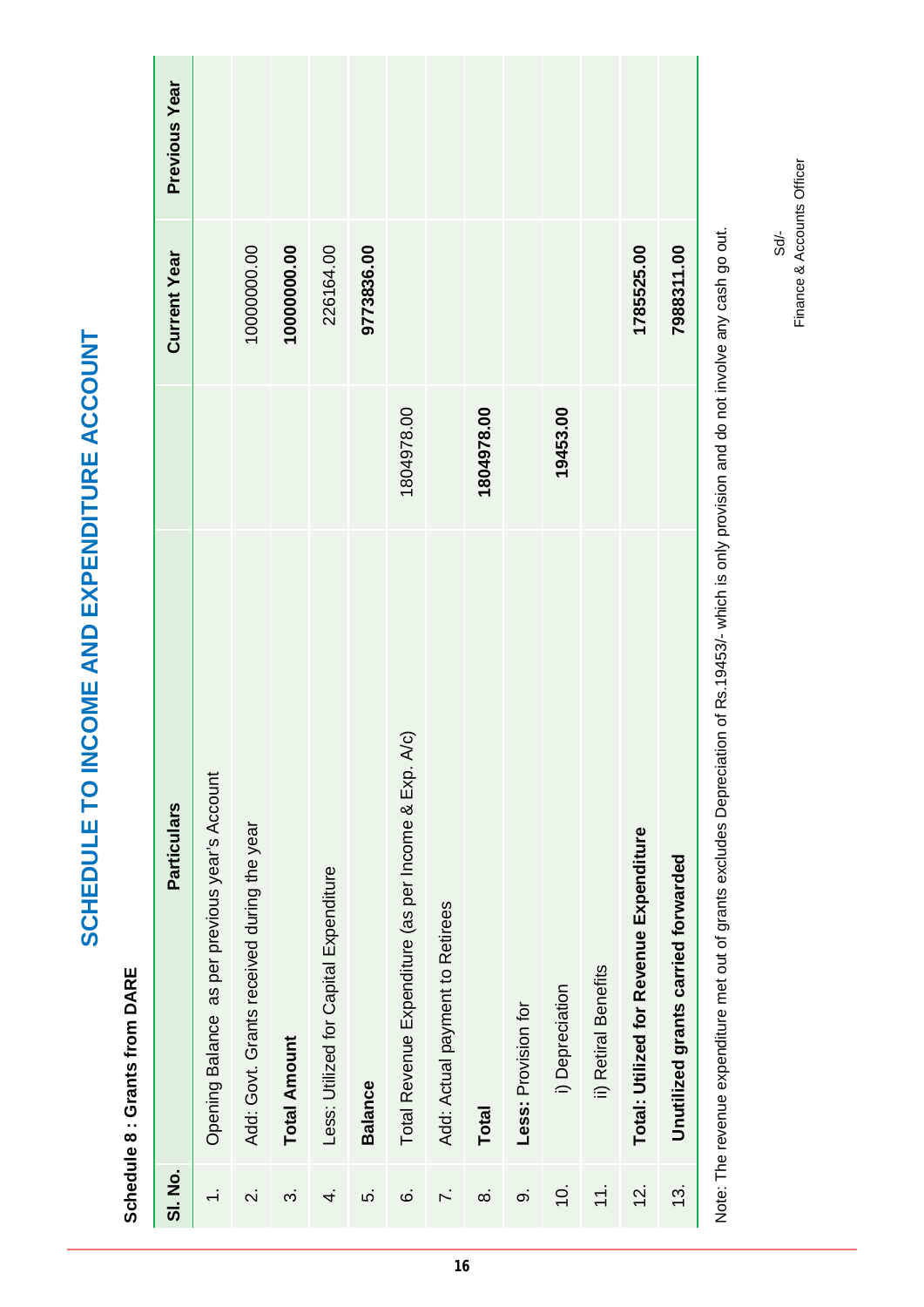Schedule 8 : Grants from DARE **Schedule 8 : Grants from DARE**

**SCHEDULE TO INCOME AND EXPENDITURE ACCOUNT**

SCHEDULE TO INCOME AND EXPENDITURE ACCOUNT

| 10000000.00<br>10000000.00<br><b>Current Year</b><br>19453.00<br>1804978.00<br>1804978.00<br>Total Revenue Expenditure (as per Income & Exp. A/c)<br>Opening Balance as per previous year's Account<br><b>Particulars</b><br>Add: Govt. Grants received during the year<br>Total: Utilized for Revenue Expenditure<br>Unutilized grants carried forwarded<br>Less: Utilized for Capital Expenditure<br>Add: Actual payment to Retirees<br>ii) Retiral Benefits<br>i) Depreciation<br>Less: Provision for<br><b>Total Amount</b><br><b>Balance</b><br>Total<br><b>SI. No.</b><br>$\div$<br><u>is</u><br>$\overline{Q}$ .<br>13.<br>$\overline{\mathcal{N}}$<br>Ġ<br><sup>-</sup><br>တဲ<br>က်<br>ທ່<br>ထံ<br>4. |  |            |               |
|---------------------------------------------------------------------------------------------------------------------------------------------------------------------------------------------------------------------------------------------------------------------------------------------------------------------------------------------------------------------------------------------------------------------------------------------------------------------------------------------------------------------------------------------------------------------------------------------------------------------------------------------------------------------------------------------------------------|--|------------|---------------|
|                                                                                                                                                                                                                                                                                                                                                                                                                                                                                                                                                                                                                                                                                                               |  |            | Previous Year |
|                                                                                                                                                                                                                                                                                                                                                                                                                                                                                                                                                                                                                                                                                                               |  |            |               |
|                                                                                                                                                                                                                                                                                                                                                                                                                                                                                                                                                                                                                                                                                                               |  |            |               |
|                                                                                                                                                                                                                                                                                                                                                                                                                                                                                                                                                                                                                                                                                                               |  |            |               |
|                                                                                                                                                                                                                                                                                                                                                                                                                                                                                                                                                                                                                                                                                                               |  | 226164.00  |               |
|                                                                                                                                                                                                                                                                                                                                                                                                                                                                                                                                                                                                                                                                                                               |  | 9773836.00 |               |
|                                                                                                                                                                                                                                                                                                                                                                                                                                                                                                                                                                                                                                                                                                               |  |            |               |
|                                                                                                                                                                                                                                                                                                                                                                                                                                                                                                                                                                                                                                                                                                               |  |            |               |
|                                                                                                                                                                                                                                                                                                                                                                                                                                                                                                                                                                                                                                                                                                               |  |            |               |
|                                                                                                                                                                                                                                                                                                                                                                                                                                                                                                                                                                                                                                                                                                               |  |            |               |
|                                                                                                                                                                                                                                                                                                                                                                                                                                                                                                                                                                                                                                                                                                               |  |            |               |
|                                                                                                                                                                                                                                                                                                                                                                                                                                                                                                                                                                                                                                                                                                               |  |            |               |
|                                                                                                                                                                                                                                                                                                                                                                                                                                                                                                                                                                                                                                                                                                               |  | 1785525.00 |               |
|                                                                                                                                                                                                                                                                                                                                                                                                                                                                                                                                                                                                                                                                                                               |  | 7988311.00 |               |

Note: The revenue expenditure met out of grants excludes Depreciation of Rs.19453/- which is only provision and do not involve any cash go out. Note: The revenue expenditure met out of grants excludes Depreciation of Rs.19453/- which is only provision and do not involve any cash go out.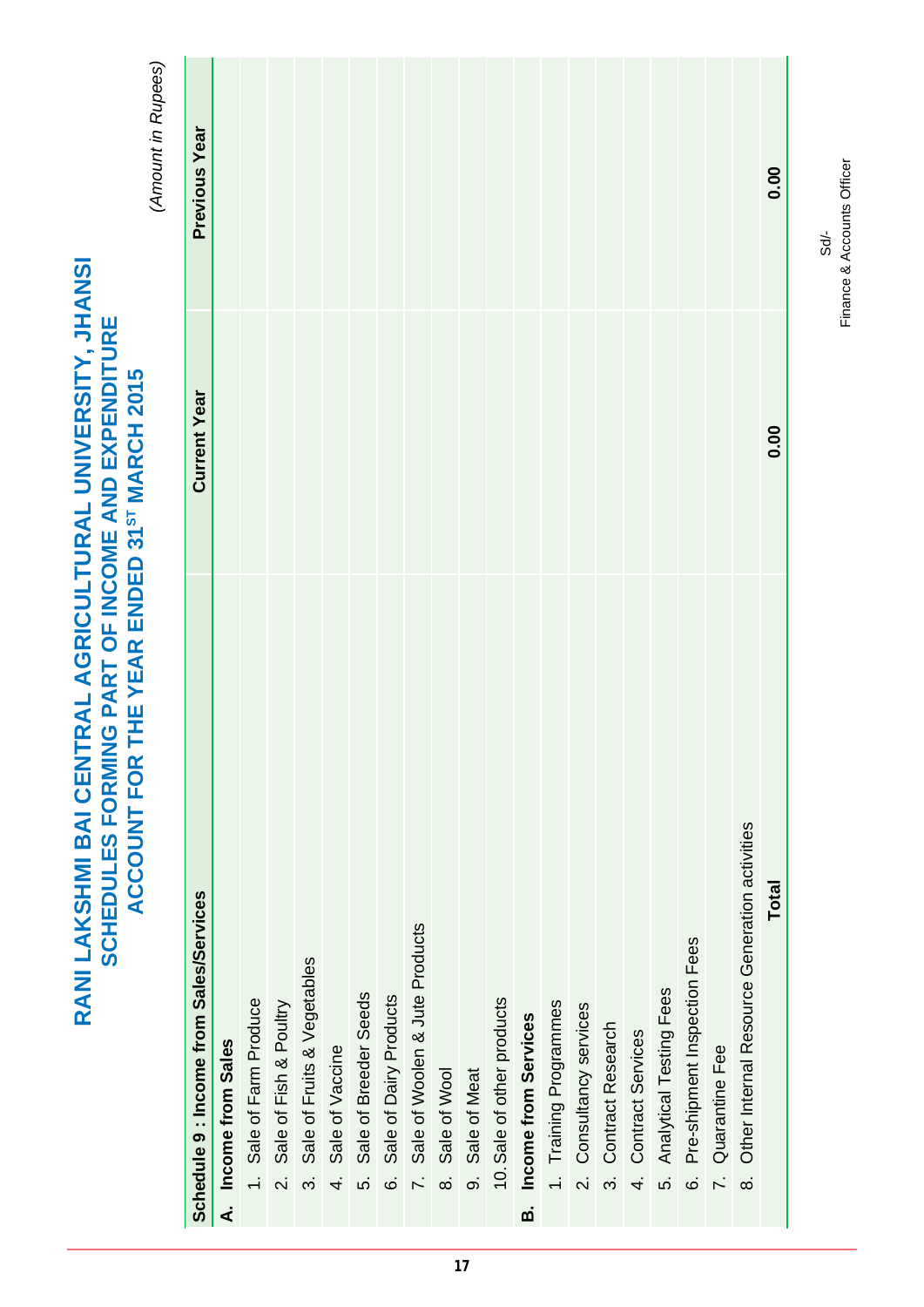|                         | THE YEAR ENDED 31 <sup>8T</sup> MARCH 2015<br><b>ACCOUNT FOR</b> |                     | (Amount in Rupees) |
|-------------------------|------------------------------------------------------------------|---------------------|--------------------|
|                         | Schedule 9 : Income from Sales/Services                          | <b>Current Year</b> | Previous Year      |
| ∢ٰ                      | Income from Sales                                                |                     |                    |
|                         | 1. Sale of Farm Produce                                          |                     |                    |
| $\overline{\mathsf{N}}$ | Sale of Fish & Poultry                                           |                     |                    |
| က်                      | Sale of Fruits & Vegetables                                      |                     |                    |
| $\dot{+}$               | Sale of Vaccine                                                  |                     |                    |
| ທ່                      | Sale of Breeder Seeds                                            |                     |                    |
| $\dot{\circ}$           | Sale of Dairy Products                                           |                     |                    |
| $\overline{r}$          | Sale of Woolen & Jute Products                                   |                     |                    |
| ထံ                      | Sale of Wool                                                     |                     |                    |
|                         | 9. Sale of Meat                                                  |                     |                    |
|                         | 10. Sale of other products                                       |                     |                    |
| ø                       | Income from Services                                             |                     |                    |
|                         | 1. Training Programmes                                           |                     |                    |
|                         | 2. Consultancy services                                          |                     |                    |
|                         | Contract Research<br>.<br>က                                      |                     |                    |
| 4.                      | Contract Services                                                |                     |                    |
| s.                      | <b>Analytical Testing Fees</b>                                   |                     |                    |
| 6                       | Pre-shipment Inspection Fees                                     |                     |                    |
| $\overline{r}$          | Quarantine Fee                                                   |                     |                    |
| $\dot{\infty}$          | Other Internal Resource Generation activities                    |                     |                    |
|                         | Total                                                            | 0.00                | 0.00               |
|                         |                                                                  |                     |                    |

Finance & Accounts Officer Finance & Accounts OfficerSd/-

**RANI LAKSHMI BAI CENTRAL AGRICULTURAL UNIVERSITY, JHANSI SCHEDULES FORMING PART OF INCOME AND EXPENDITURE** 

RANI LAKSHMI BAI CENTRAL AGRICULTURAL UNIVERSITY, JHANSI SCHEDULES FORMING PART OF INCOME AND EXPENDITURE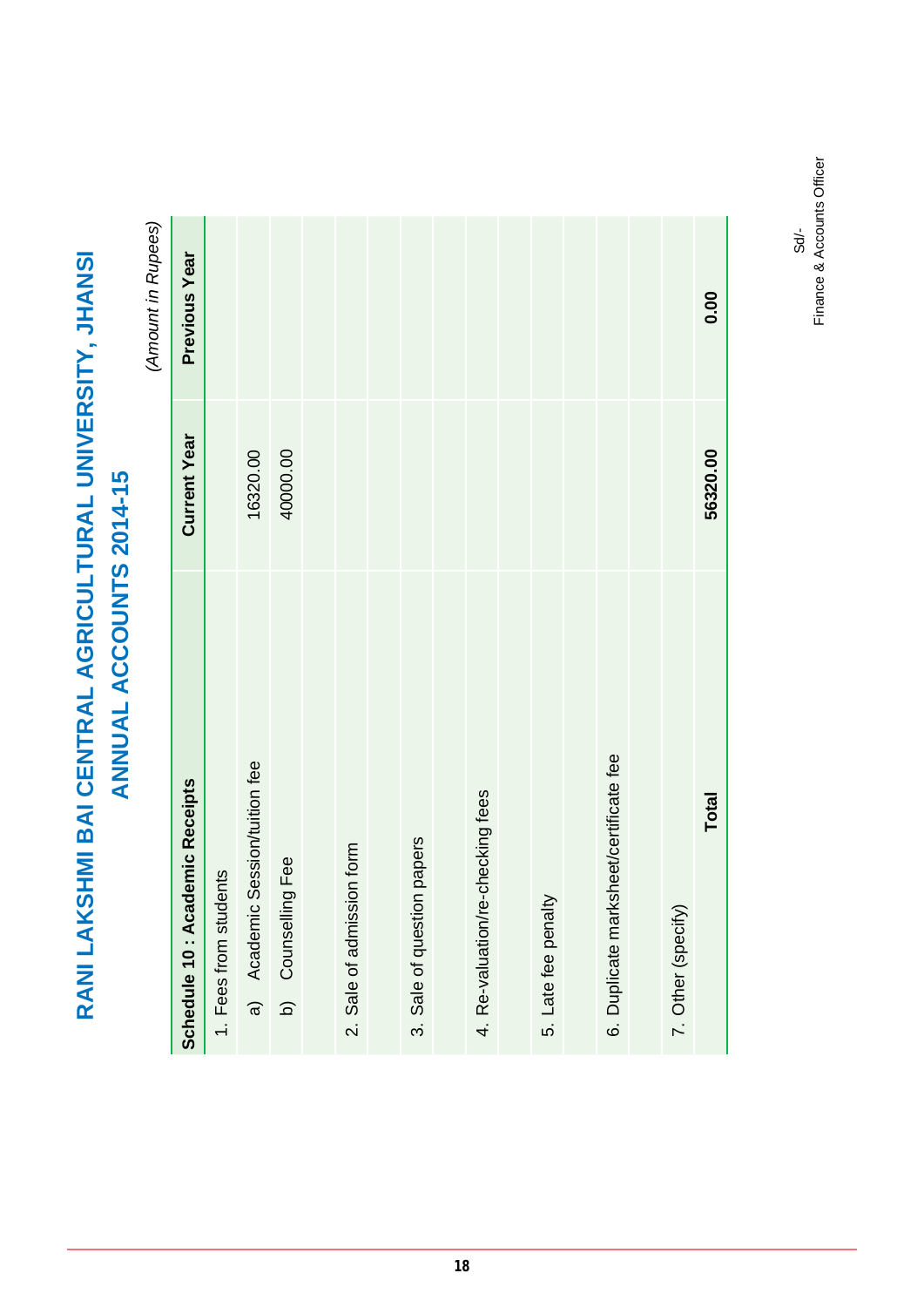*(Amount in Rupees)*  $\tilde{Q}$  $\ddot{\cdot}$  $\tilde{\mathcal{L}}$ 

|                                        |                     | (Amount in Rupees) |
|----------------------------------------|---------------------|--------------------|
| demic Receipts<br>Schedule 10: Aca     | <b>Current Year</b> | Previous Year      |
| 1. Fees from students                  |                     |                    |
| Session/tuition fee<br>a) Academic     | 16320.00            |                    |
| b) Counselling Fee                     | 40000.00            |                    |
|                                        |                     |                    |
| 2. Sale of admission form              |                     |                    |
|                                        |                     |                    |
| 3. Sale of question papers             |                     |                    |
|                                        |                     |                    |
| 4. Re-valuation/re-checking fees       |                     |                    |
|                                        |                     |                    |
| 5. Late fee penalty                    |                     |                    |
|                                        |                     |                    |
| 6. Duplicate marksheet/certificate fee |                     |                    |
|                                        |                     |                    |
| 7. Other (specify)                     |                     |                    |
| Total                                  | 56320.00            | 0.00               |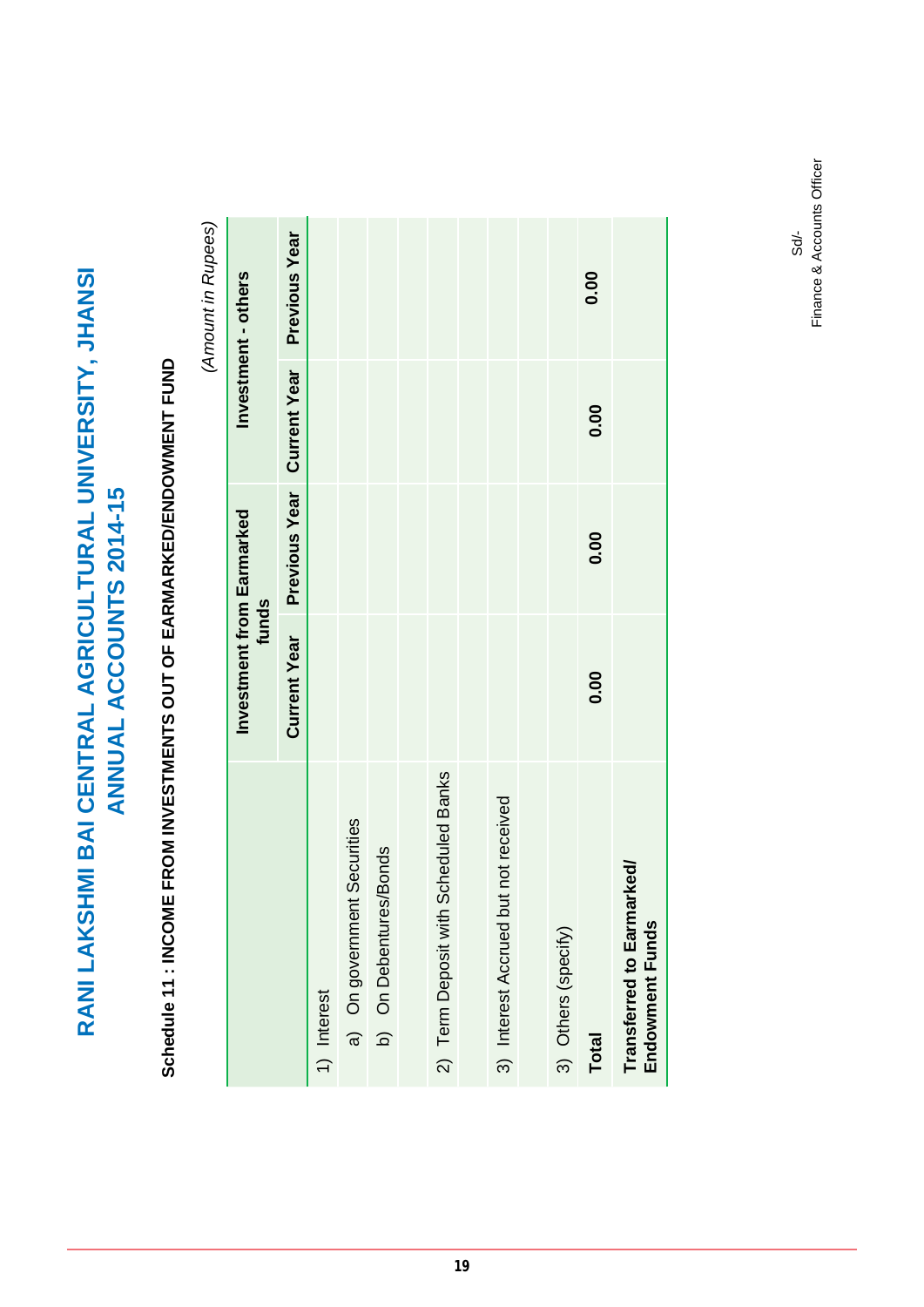# Schedule 11 : INCOME FROM INVESTMENTS OUT OF EARMARKED/ENDOWMENT FUND **Schedule 11 : INCOME FROM INVESTMENTS OUT OF EARMARKED/ENDOWMENT FUND**

(Amount in Rupees) *(Amount in Rupees)*

|                                                | Investment from Earmarked<br>funds |      |                            | Investment - others  |
|------------------------------------------------|------------------------------------|------|----------------------------|----------------------|
|                                                | <b>Current Year</b>                |      | Previous Year Current Year | <b>Previous Year</b> |
| 1) Interest                                    |                                    |      |                            |                      |
| a) On government Securities                    |                                    |      |                            |                      |
| b) On Debentures/Bonds                         |                                    |      |                            |                      |
|                                                |                                    |      |                            |                      |
| <b>Scheduled Banks</b><br>2) Term Deposit with |                                    |      |                            |                      |
|                                                |                                    |      |                            |                      |
| 3) Interest Accrued but not received           |                                    |      |                            |                      |
|                                                |                                    |      |                            |                      |
| 3) Others (specify)                            |                                    |      |                            |                      |
| <b>Total</b>                                   | 0.00                               | 0.00 | 0.00                       | 0.00                 |
| Transferred to Earmarked/<br>Endowment Funds   |                                    |      |                            |                      |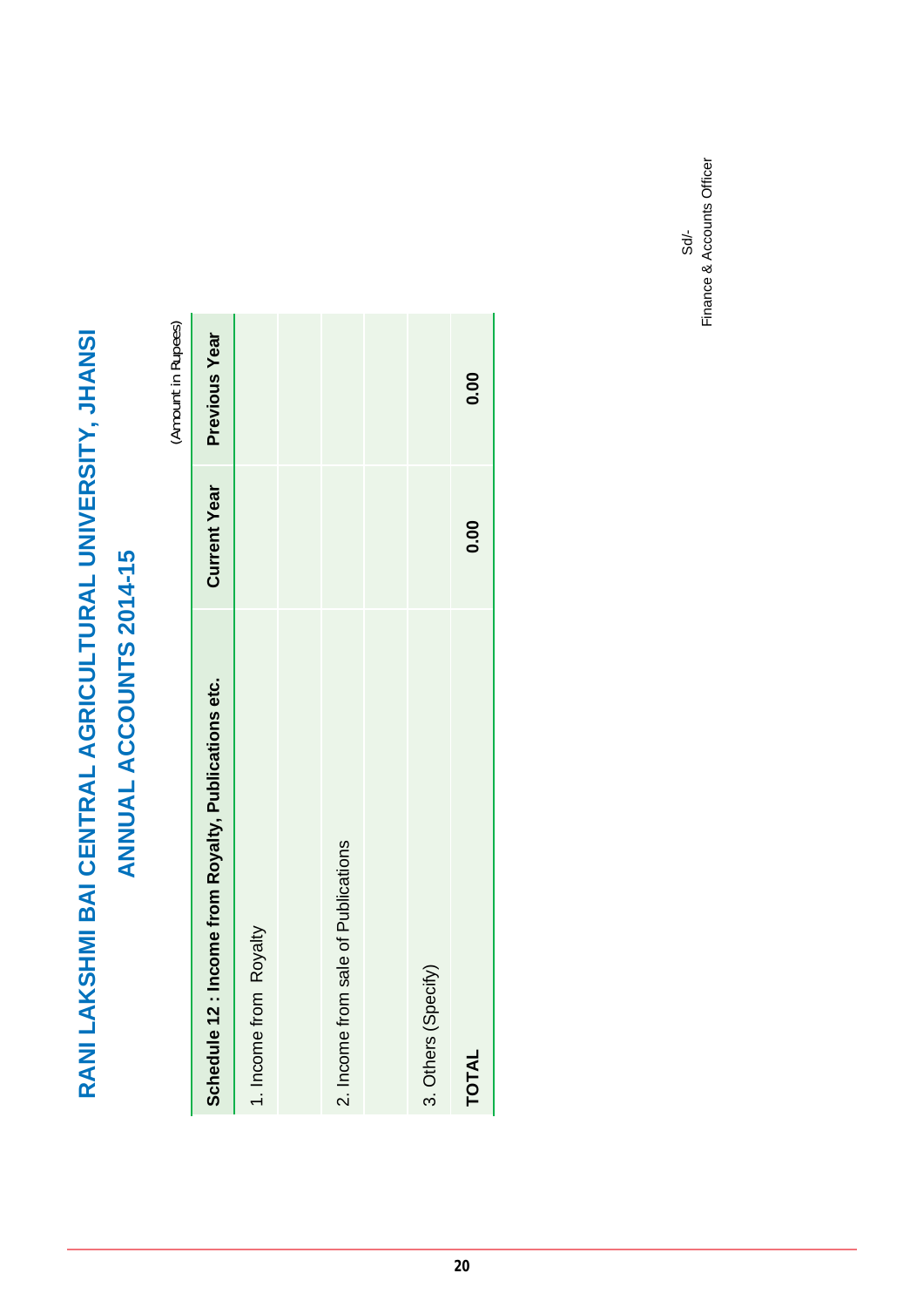|                                                        |                     | (Amount in Rupees) |
|--------------------------------------------------------|---------------------|--------------------|
| Income from Royalty, Publications etc.<br>Schedule 12: | <b>Current Year</b> | Previous Year      |
| Royalty<br>1. Income from                              |                     |                    |
|                                                        |                     |                    |
| sale of Publications<br>2. Income from                 |                     |                    |
|                                                        |                     |                    |
| 3. Others (Specify)                                    |                     |                    |
| <b>TOTAL</b>                                           | 0.00                | 0.00               |

Sd/-<br>Finance & Accounts Officer Finance & Accounts Officer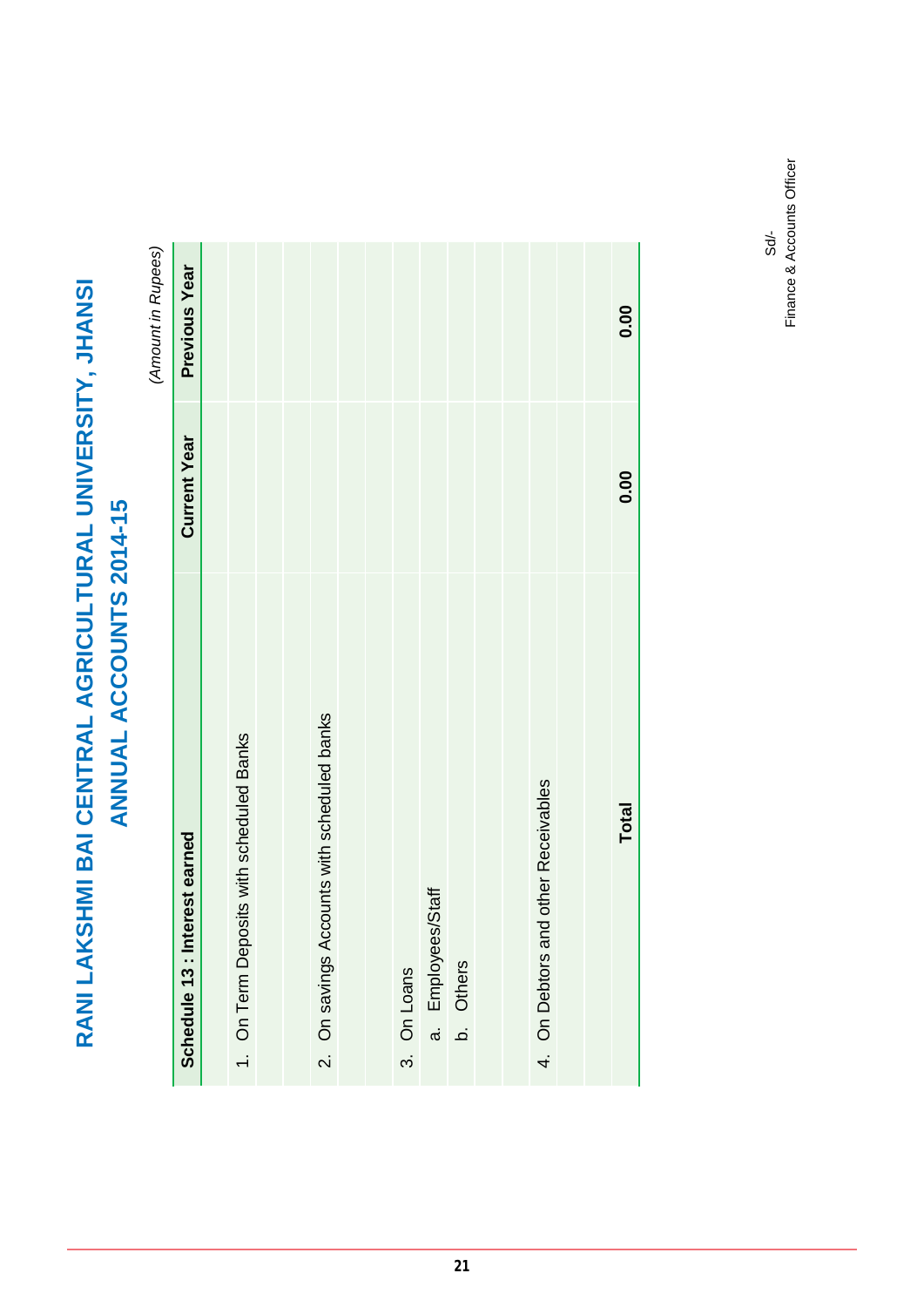(Amount in Rupees) *(Amount in Rupees)*

|                                             |                     | $\{x_1, x_2, \ldots, x_n\}$ |
|---------------------------------------------|---------------------|-----------------------------|
| Schedule 13 : Interest earned               | <b>Current Year</b> | Previous Year               |
|                                             |                     |                             |
| 1. On Term Deposits with scheduled Banks    |                     |                             |
|                                             |                     |                             |
|                                             |                     |                             |
| 2. On savings Accounts with scheduled banks |                     |                             |
|                                             |                     |                             |
|                                             |                     |                             |
| 3. On Loans                                 |                     |                             |
| a. Employees/Staff                          |                     |                             |
| b. Others                                   |                     |                             |
|                                             |                     |                             |
|                                             |                     |                             |
| 4. On Debtors and other Receivables         |                     |                             |
|                                             |                     |                             |
|                                             |                     |                             |
| Total                                       | 0.00                | 0.00                        |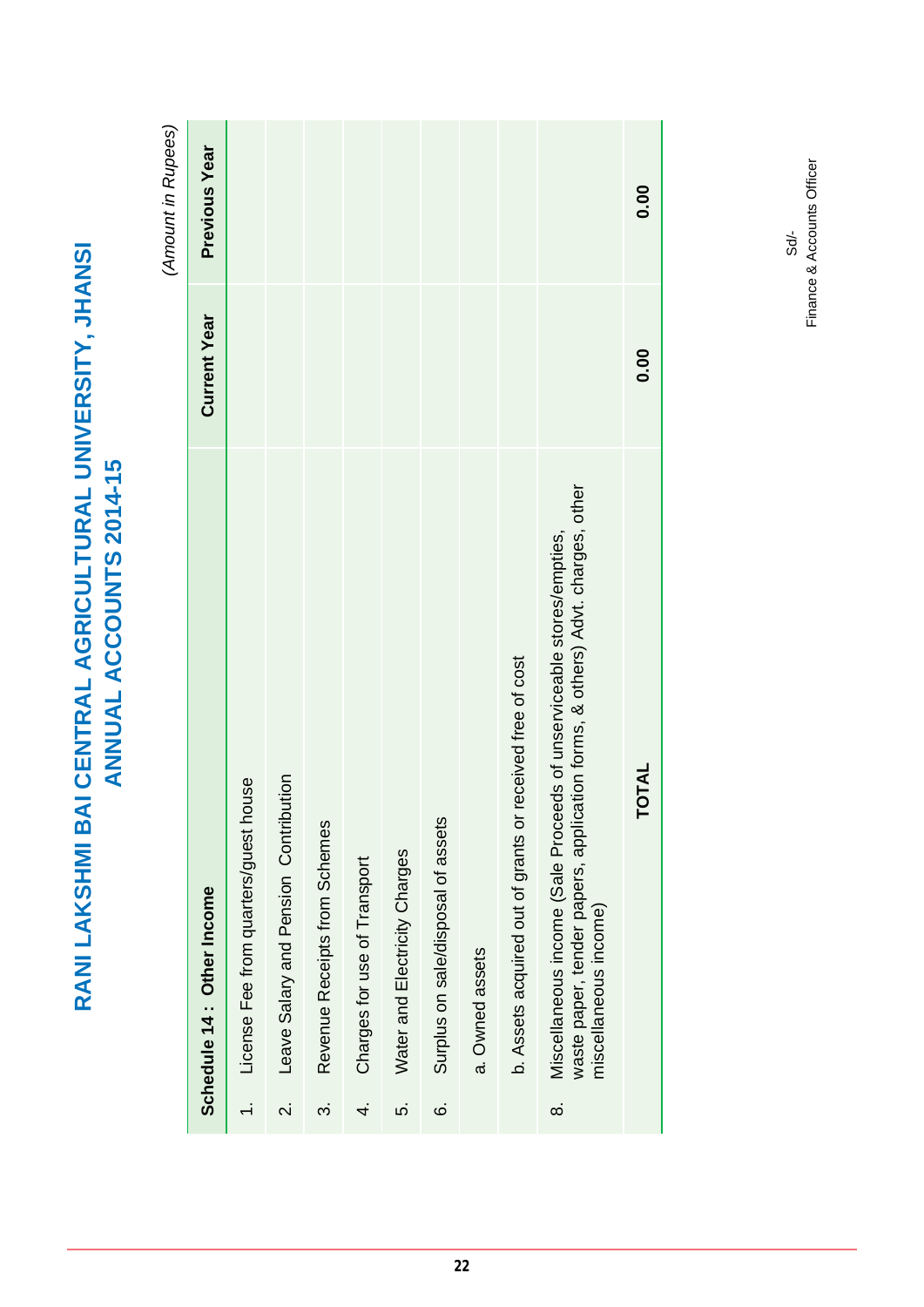|                          |                                                                                                                                                                                    |                     | (Amount in Rupees)   |
|--------------------------|------------------------------------------------------------------------------------------------------------------------------------------------------------------------------------|---------------------|----------------------|
|                          | Schedule 14: Other Income                                                                                                                                                          | <b>Current Year</b> | <b>Previous Year</b> |
|                          | License Fee from quarters/guest house                                                                                                                                              |                     |                      |
| $\overline{\mathcal{N}}$ | nution<br>Leave Salary and Pension Contrib                                                                                                                                         |                     |                      |
| က                        | Revenue Receipts from Schemes                                                                                                                                                      |                     |                      |
| 4.                       | Charges for use of Transport                                                                                                                                                       |                     |                      |
| ເດ່                      | Water and Electricity Charges                                                                                                                                                      |                     |                      |
| <u>ٰ</u>                 | Surplus on sale/disposal of assets                                                                                                                                                 |                     |                      |
|                          | a. Owned assets                                                                                                                                                                    |                     |                      |
|                          | received free of cost<br>b. Assets acquired out of grants or                                                                                                                       |                     |                      |
| ထံ                       | waste paper, tender papers, application forms, & others) Advt. charges, other<br>eds of unserviceable stores/empties,<br>Miscellaneous income (Sale Proce<br>miscellaneous income) |                     |                      |
|                          | <b>TOTAL</b>                                                                                                                                                                       | 0.00                | 0.00                 |

**RANI LAKSHMI BAI CENTRAL AGRICULTURAL UNIVERSITY, JHANSI ANNUAL ACCOUNTS 2014-15**

RANI LAKSHMI BAI CENTRAL AGRICULTURAL UNIVERSITY, JHANSI<br>ANNUAL ACCOUNTS 2014-15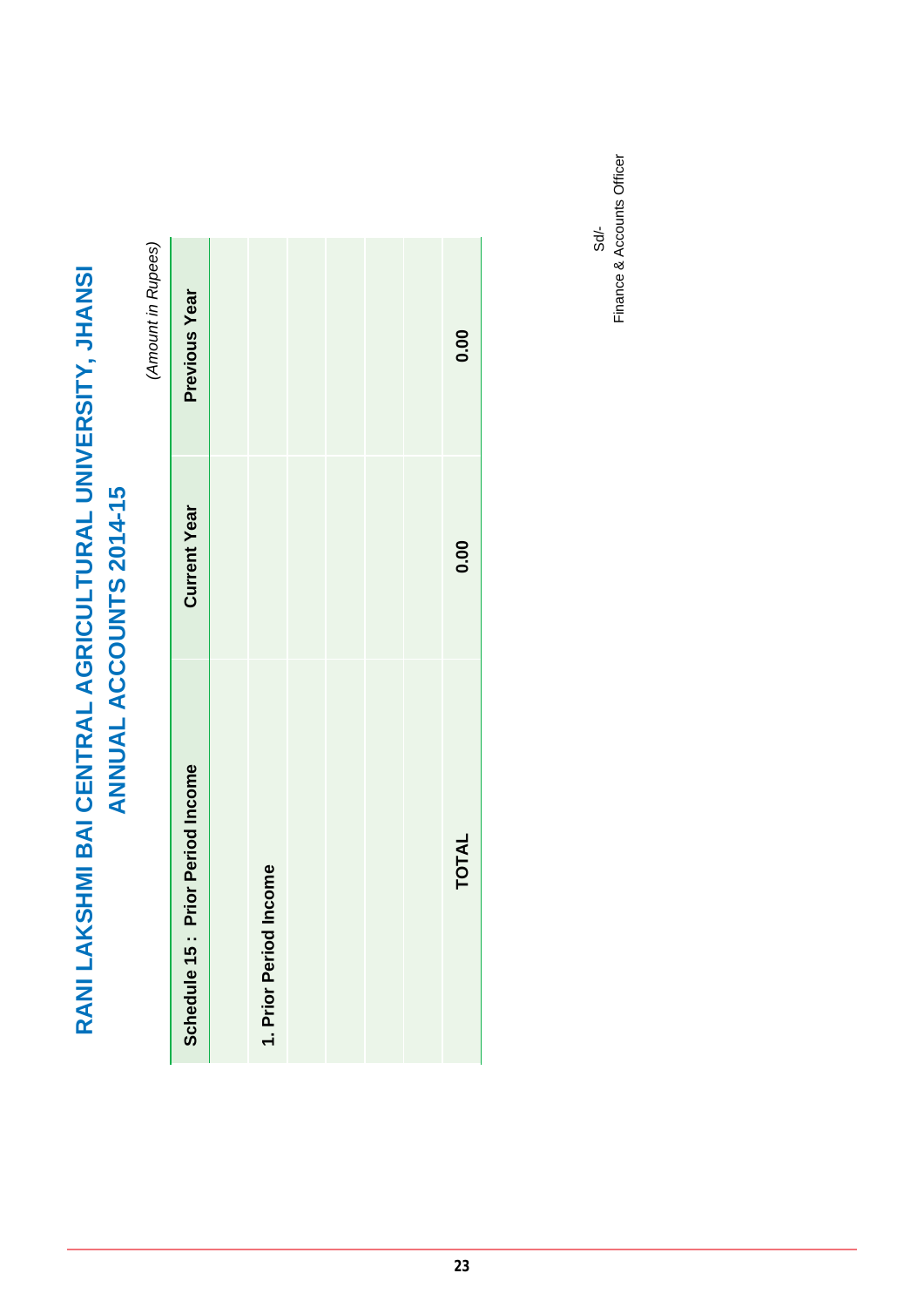|                                      |                     | (Amount in Rupees) |
|--------------------------------------|---------------------|--------------------|
| Prior Period Income<br>Schedule 15 : | <b>Current Year</b> | Previous Year      |
|                                      |                     |                    |
| Income<br>1. Prior Period            |                     |                    |
|                                      |                     |                    |
|                                      |                     |                    |
|                                      |                     |                    |
|                                      |                     |                    |
| <b>TOTAL</b>                         | 0.00                | 0.00               |
|                                      |                     |                    |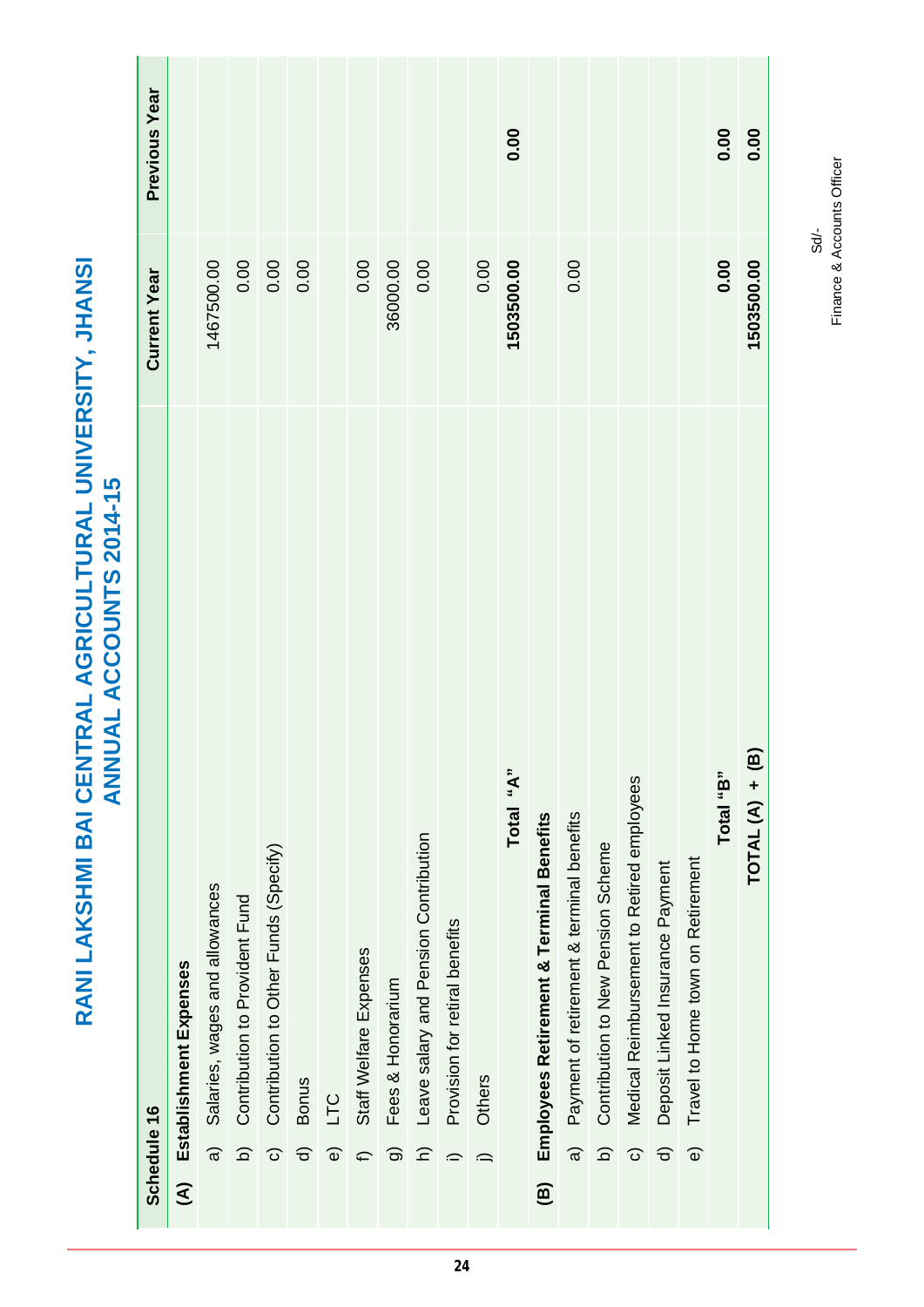RANI LAKSHMI BAI CENTRAL AGRICULTURAL UNIVERSITY, JHANSI<br>ANNUAL ACCOUNTS 2014-15 **RANI LAKSHMI BAI CENTRAL AGRICULTURAL UNIVERSITY, JHANSI ANNUAL ACCOUNTS 2014-15**

|                         |                         | Schedule 16                                | <b>Current Year</b> | <b>Previous Year</b> |
|-------------------------|-------------------------|--------------------------------------------|---------------------|----------------------|
| $\widehat{\mathcal{E}}$ |                         | Establishment Expenses                     |                     |                      |
|                         | $\widehat{a}$           | Salaries, wages and allowances             | 1467500.00          |                      |
|                         | $\widehat{\Omega}$      | Contribution to Provident Fund             | 0.00                |                      |
|                         | $\widehat{\circ}$       | Contribution to Other Funds (Specify)      | 0.00                |                      |
|                         | $\widehat{\sigma}$      | <b>Bonus</b>                               | 0.00                |                      |
|                         | $\widehat{\mathbf{e}}$  | <b>DLT</b>                                 |                     |                      |
|                         | €                       | Staff Welfare Expenses                     | 0.00                |                      |
|                         | $\widehat{\sigma}$      | Fees & Honorarium                          | 36000.00            |                      |
|                         | $\widehat{=}$           | Leave salary and Pension Contribution      | 0.00                |                      |
|                         | $\widehat{\phantom{a}}$ | Provision for retiral benefits             |                     |                      |
|                         | $\hat{=}$               | Others                                     | 0.00                |                      |
|                         |                         | Total "A"                                  | 1503500.00          | 0.00                 |
| $\widehat{B}$           |                         | Employees Retirement & Terminal Benefits   |                     |                      |
|                         | $\widehat{a}$           | Payment of retirement & terminal benefits  | 0.00                |                      |
|                         | $\widehat{\Omega}$      | Contribution to New Pension Scheme         |                     |                      |
|                         | $\widehat{\circ}$       | Medical Reimbursement to Retired employees |                     |                      |
|                         | $\widehat{\sigma}$      | Deposit Linked Insurance Payment           |                     |                      |
|                         | $\widehat{\mathbf{e}}$  | Travel to Home town on Retirement          |                     |                      |
|                         |                         | Total "B"                                  | 0.00                | 0.00                 |
|                         |                         | <u>ଳ</u><br>$TOTAL(A) +$                   | 1503500.00          | 0.00                 |
|                         |                         |                                            |                     |                      |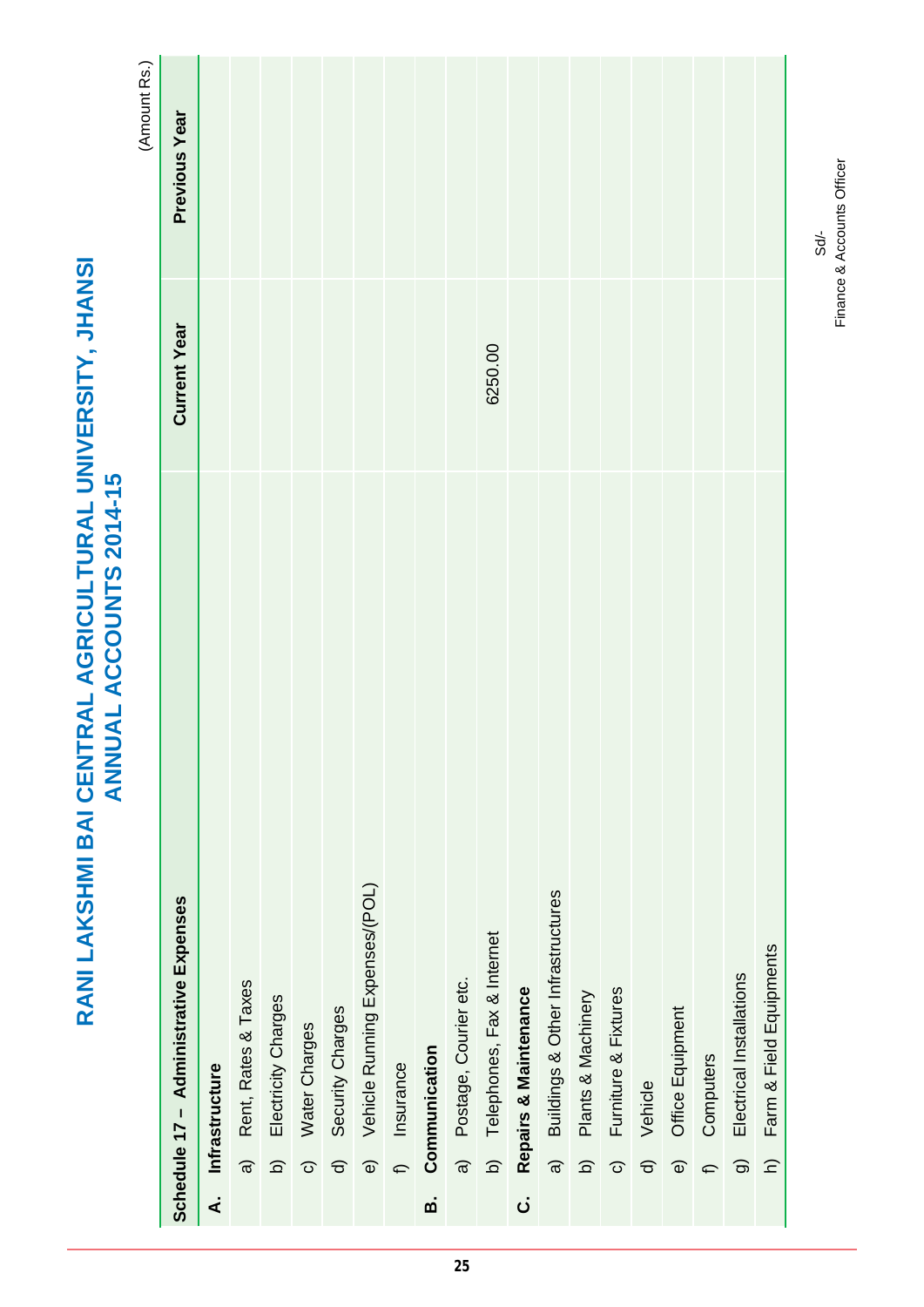# RANI LAKSHMI BAI CENTRAL AGRICULTURAL UNIVERSITY, JHANSI<br>ANNUAL ACCOUNTS 2014-15 **RANI LAKSHMI BAI CENTRAL AGRICULTURAL UNIVERSITY, JHANSI ANNUAL ACCOUNTS 2014-15**

(Amount Rs.) (Amount Rs.)

|                    |                        | Schedule 17 - Administrative Expenses | <b>Current Year</b> | Previous Year |
|--------------------|------------------------|---------------------------------------|---------------------|---------------|
| ∢๋                 |                        | Infrastructure                        |                     |               |
|                    | $\widehat{a}$          | Rent, Rates & Taxes                   |                     |               |
|                    | $\widehat{\Omega}$     | Electricity Charges                   |                     |               |
|                    | $\widehat{\mathbf{C}}$ | Water Charges                         |                     |               |
|                    | $\widehat{\sigma}$     | Security Charges                      |                     |               |
|                    | $\widehat{\mathbf{e}}$ | Vehicle Running Expenses/(POL)        |                     |               |
|                    | $\hat{=}$              | Insurance                             |                     |               |
| ø                  |                        | Communication                         |                     |               |
|                    | $\widehat{a}$          | Postage, Courier etc.                 |                     |               |
|                    | $\overline{a}$         | Telephones, Fax & Internet            | 6250.00             |               |
| $\dot{\mathbf{c}}$ |                        | Repairs & Maintenance                 |                     |               |
|                    | $\widehat{a}$          | Buildings & Other Infrastructures     |                     |               |
|                    | $\widehat{\Omega}$     | Plants & Machinery                    |                     |               |
|                    | $\widehat{\circ}$      | Furniture & Fixtures                  |                     |               |
|                    | $\widehat{\sigma}$     | Vehicle                               |                     |               |
|                    | $\widehat{\mathbb{O}}$ | Office Equipment                      |                     |               |
|                    | f                      | Computers                             |                     |               |
|                    | $\widehat{\sigma}$     | Electrical Installations              |                     |               |
|                    | $\widehat{z}$          | Farm & Field Equipments               |                     |               |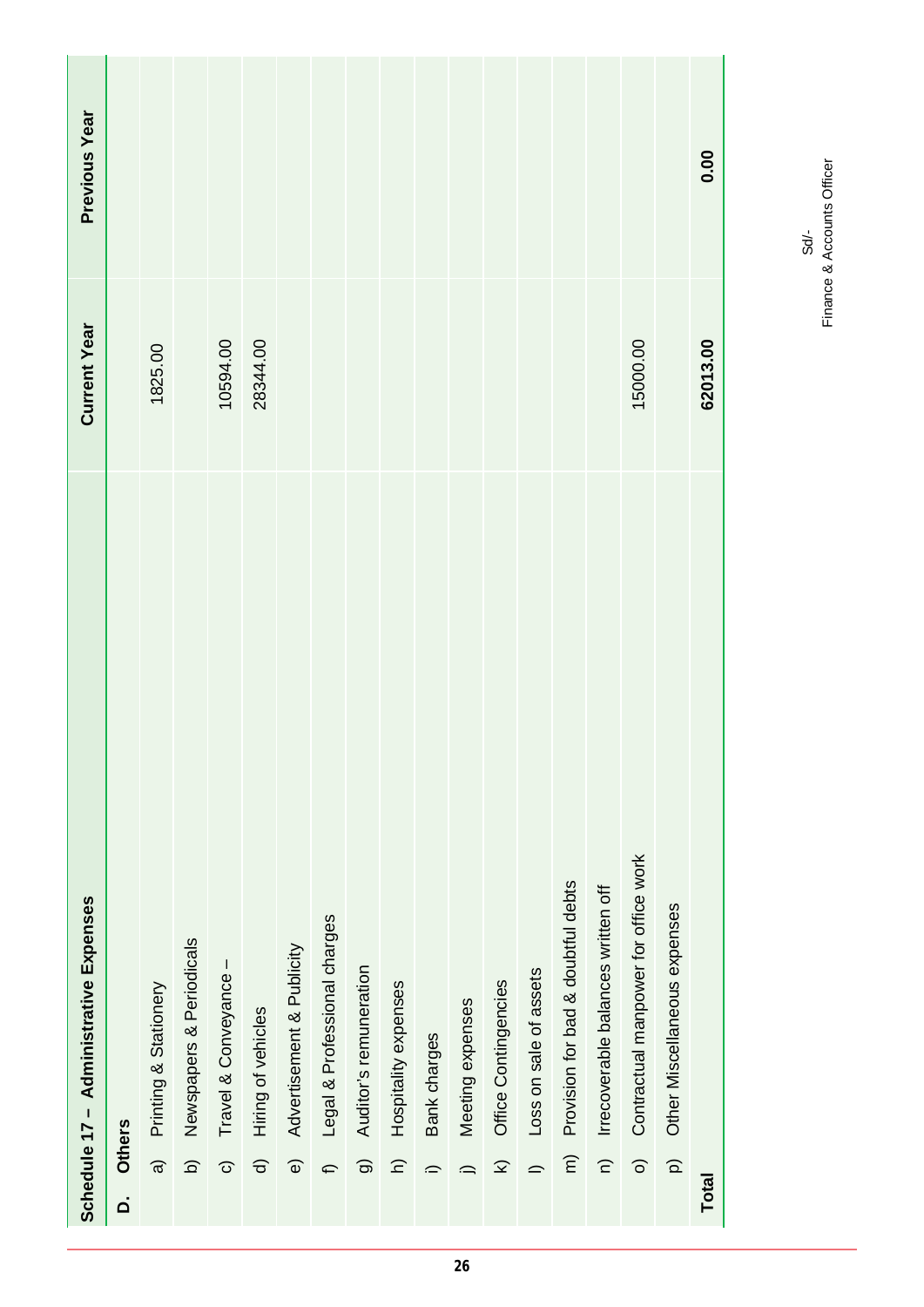| <b>Current Year</b><br>15000.00<br>62013.00<br>10594.00<br>28344.00<br>1825.00<br>Contractual manpower for office work<br>Provision for bad & doubtful debts<br>Irrecoverable balances written off<br>Schedule 17 - Administrative Expenses<br>Other Miscellaneous expenses<br>Legal & Professional charges<br>Newspapers & Periodicals<br>Advertisement & Publicity<br>$\mathsf{l}$<br>Auditor's remuneration<br>Loss on sale of assets<br>Travel & Conveyance<br>Office Contingencies<br>Hospitality expenses<br>Printing & Stationery<br>Meeting expenses<br>Hiring of vehicles<br>Bank charges<br><b>Others</b><br>$\widehat{c}$<br>$\widehat{\epsilon}$<br>$\Omega$<br>$\widehat{a}$<br>$\widehat{\circ}$<br>$\widehat{\Omega}$<br>$\widehat{\mathbf{z}}$<br>$\widehat{\sigma}$<br>$\widehat{z}$<br>$\widehat{\mathbf{e}}$<br>ම<br>$\widehat{\circ}$<br>f<br>$\equiv$<br>$\hat{=}$<br>≘<br><b>Total</b><br>$\overline{\mathsf{a}}$ | Previous Year |  |  |  |  |  |  |  |  | 0.00 |
|-----------------------------------------------------------------------------------------------------------------------------------------------------------------------------------------------------------------------------------------------------------------------------------------------------------------------------------------------------------------------------------------------------------------------------------------------------------------------------------------------------------------------------------------------------------------------------------------------------------------------------------------------------------------------------------------------------------------------------------------------------------------------------------------------------------------------------------------------------------------------------------------------------------------------------------------|---------------|--|--|--|--|--|--|--|--|------|
|                                                                                                                                                                                                                                                                                                                                                                                                                                                                                                                                                                                                                                                                                                                                                                                                                                                                                                                                         |               |  |  |  |  |  |  |  |  |      |
|                                                                                                                                                                                                                                                                                                                                                                                                                                                                                                                                                                                                                                                                                                                                                                                                                                                                                                                                         |               |  |  |  |  |  |  |  |  |      |
|                                                                                                                                                                                                                                                                                                                                                                                                                                                                                                                                                                                                                                                                                                                                                                                                                                                                                                                                         |               |  |  |  |  |  |  |  |  |      |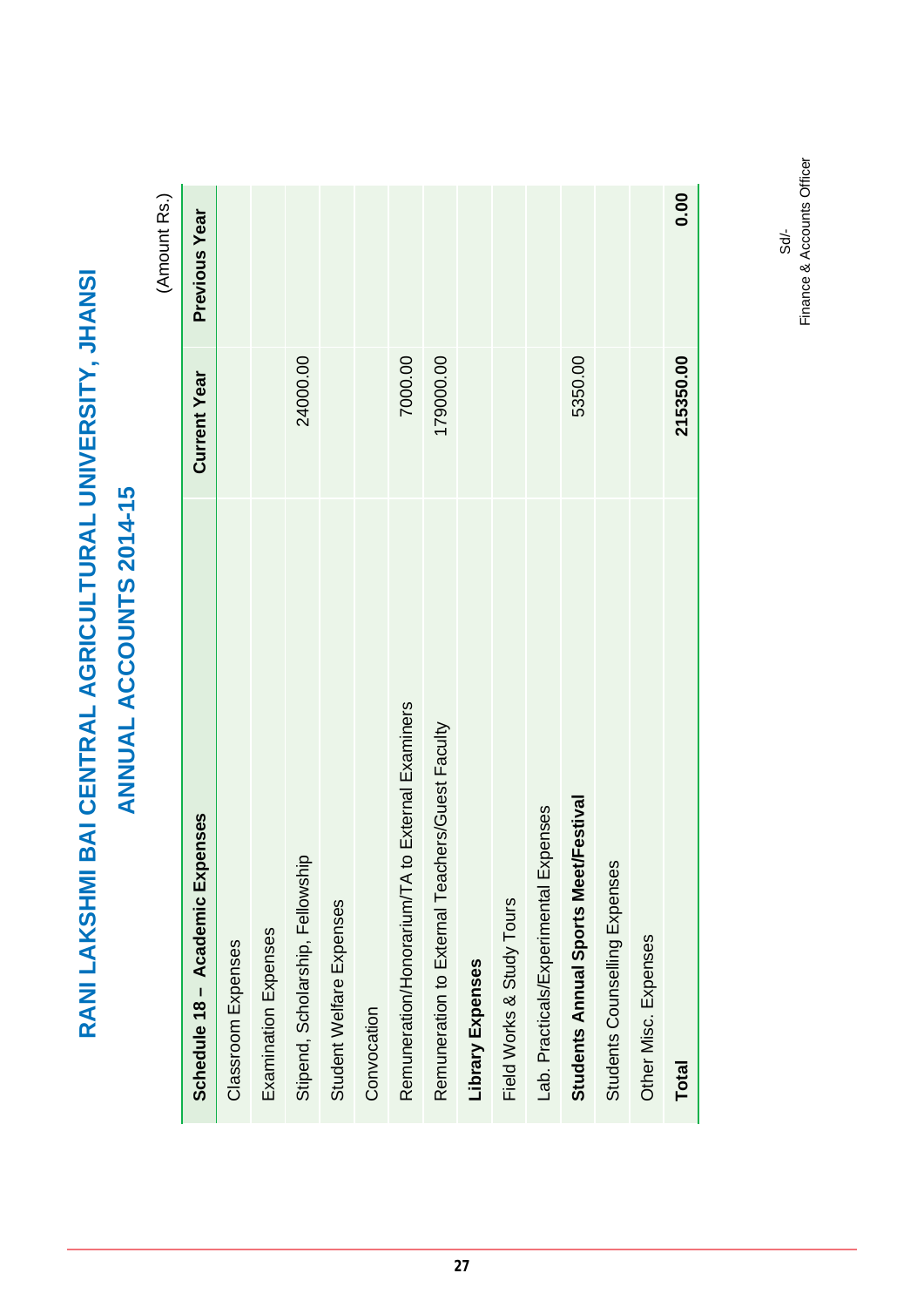(Amount Rs.) (Amount Rs.)

| Schedule 18 - Academic Expenses                     | <b>Current Year</b> | Previous Year |
|-----------------------------------------------------|---------------------|---------------|
| Classroom Expenses                                  |                     |               |
| Examination Expenses                                |                     |               |
| Stipend, Scholarship, Fellowship                    | 24000.00            |               |
| Student Welfare Expenses                            |                     |               |
| Convocation                                         |                     |               |
| to External Examiners<br>Remuneration/Honorarium/TA | 7000.00             |               |
| Remuneration to External Teachers/Guest Faculty     | 179000.00           |               |
| Library Expenses                                    |                     |               |
| Field Works & Study Tours                           |                     |               |
| Lab. Practicals/Experimental Expenses               |                     |               |
| Students Annual Sports Meet/Festival                | 5350.00             |               |
| Students Counselling Expenses                       |                     |               |
| Other Misc. Expenses                                |                     |               |
| <b>Total</b>                                        | 215350.00           | 0.00          |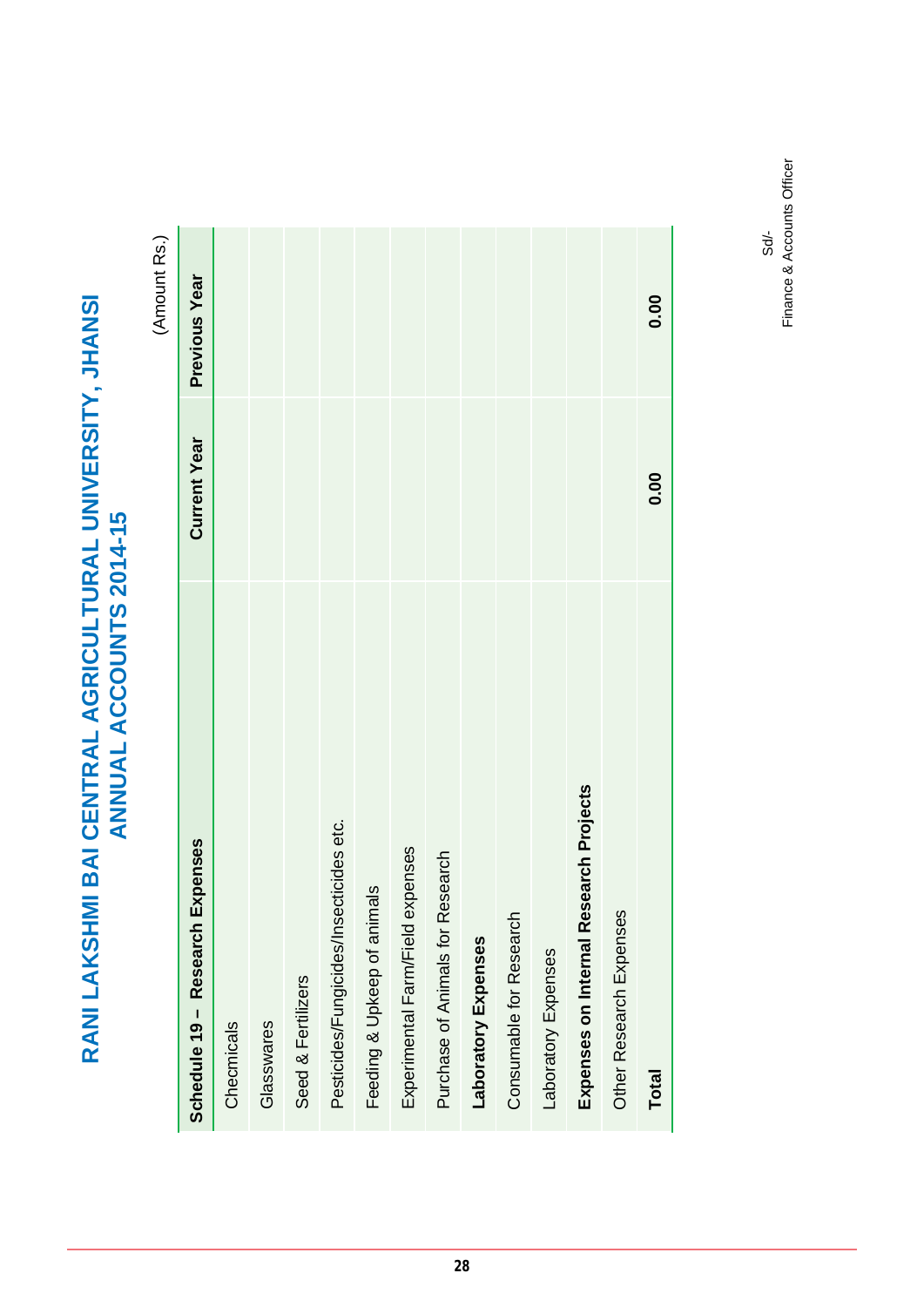# RANI LAKSHMI BAI CENTRAL AGRICULTURAL UNIVERSITY, JHANSI<br>ANNUAL ACCOUNTS 2014-15 **RANI LAKSHMI BAI CENTRAL AGRICULTURAL UNIVERSITY, JHANSI ANNUAL ACCOUNTS 2014-15**

(Amount Rs.) (Amount Rs.)

| Schedule 19 - Research Expenses         | <b>Current Year</b> | <b>Previous Year</b> |
|-----------------------------------------|---------------------|----------------------|
| Checmicals                              |                     |                      |
| Glasswares                              |                     |                      |
| Seed & Fertilizers                      |                     |                      |
| Pesticides/Fungicides/Insecticides etc. |                     |                      |
| als<br>Feeding & Upkeep of anim         |                     |                      |
| Experimental Farm/Field expenses        |                     |                      |
| Purchase of Animals for Research        |                     |                      |
| Laboratory Expenses                     |                     |                      |
| Consumable for Research                 |                     |                      |
| Laboratory Expenses                     |                     |                      |
| Expenses on Internal Research Projects  |                     |                      |
| Other Research Expenses                 |                     |                      |
| <b>Total</b>                            | 0.00                | 0.00                 |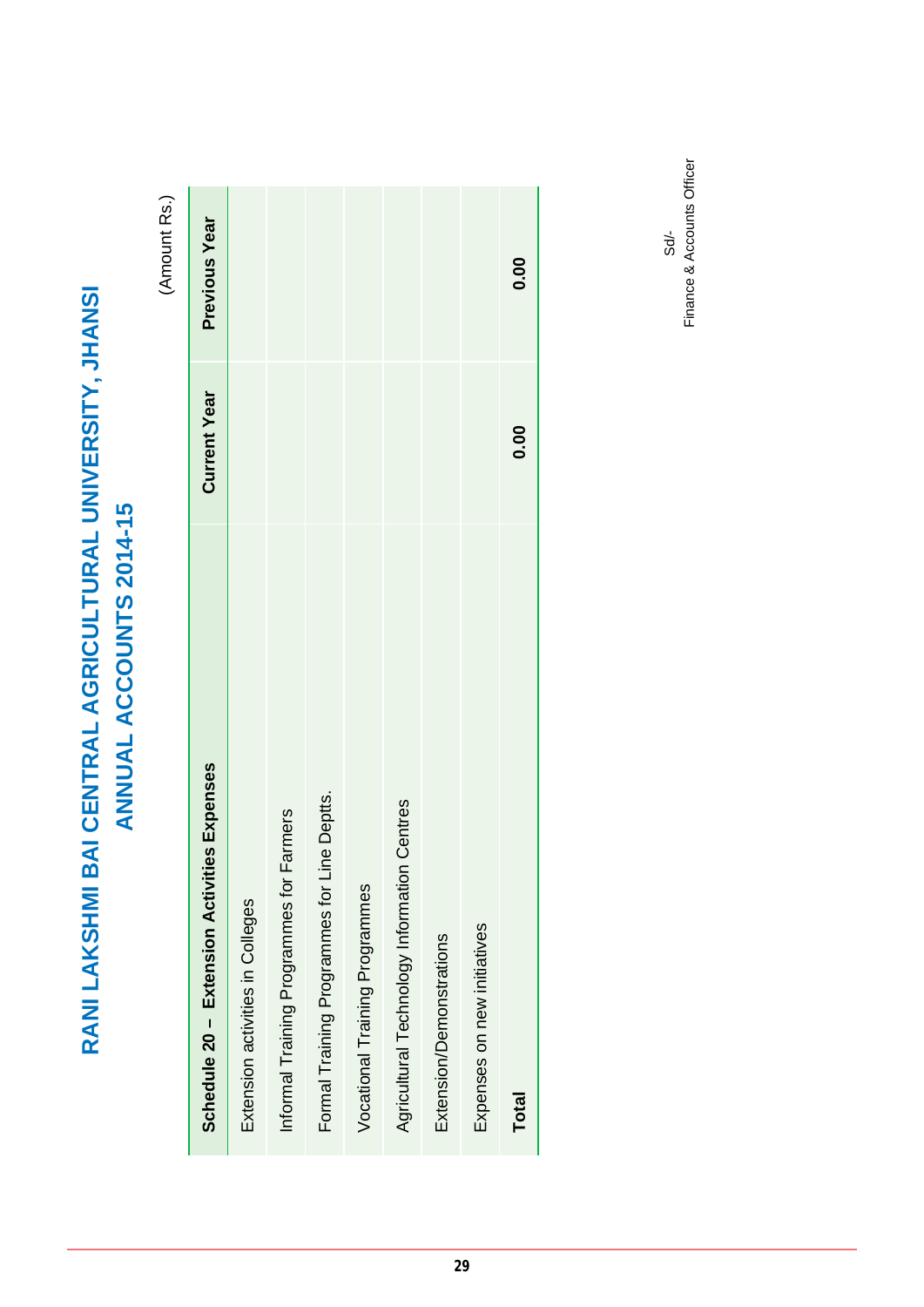(Amount Rs.) (Amount Rs.)

| ies Expenses<br>Schedule 20 - Extension Activiti   | <b>Current Year</b> | Previous Year |
|----------------------------------------------------|---------------------|---------------|
| Extension activities in Colleges                   |                     |               |
| <b>Farmers</b><br>Informal Training Programmes for |                     |               |
| ine Deptts.<br>Formal Training Programmes for Li   |                     |               |
| Vocational Training Programmes                     |                     |               |
| Agricultural Technology Information Centres        |                     |               |
| Extension/Demonstrations                           |                     |               |
| Expenses on new initiatives                        |                     |               |
| <b>Total</b>                                       | 0.00                | 0.00          |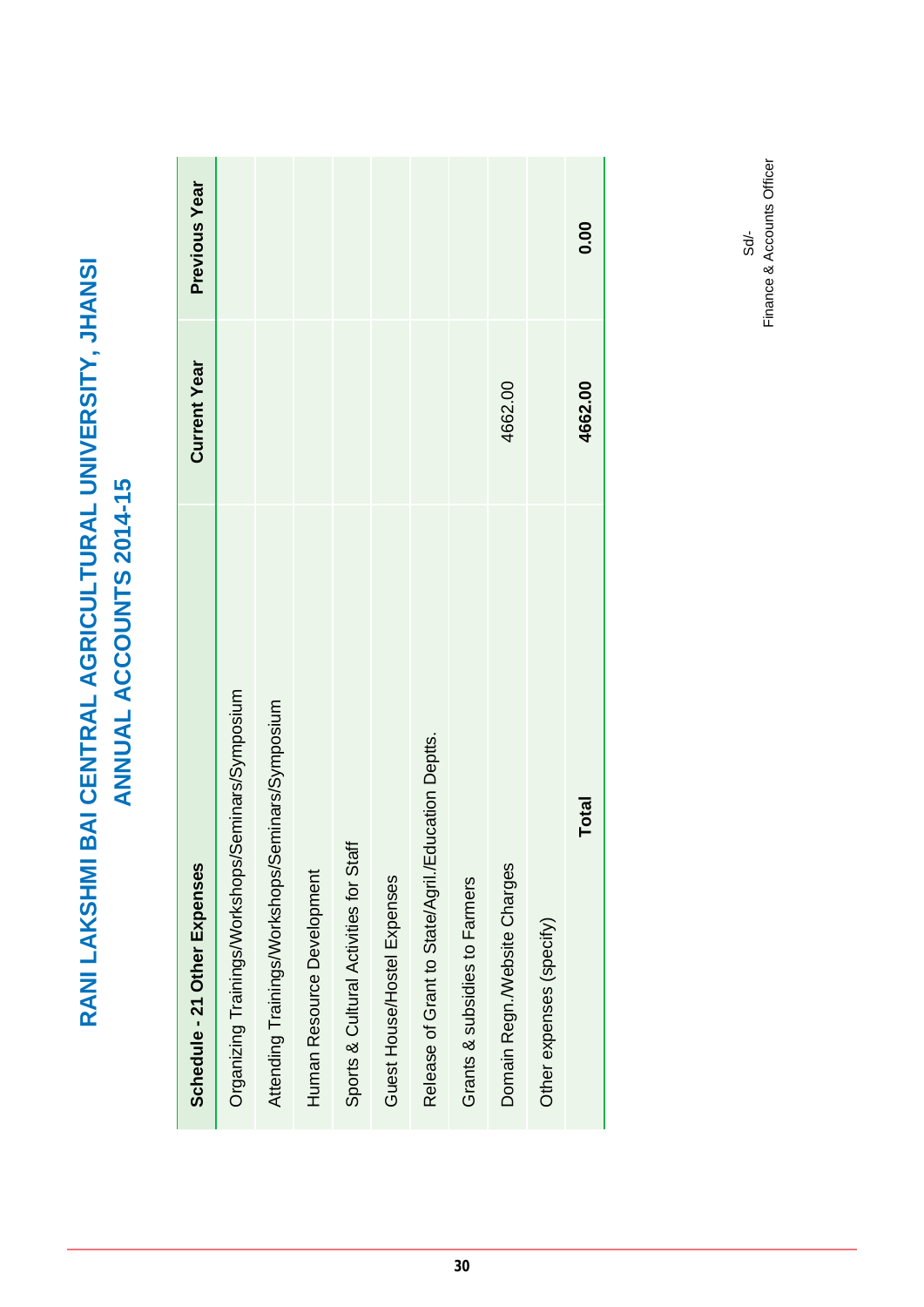| Schedule - 21 Other Expenses                       | <b>Current Year</b> | Previous Year |
|----------------------------------------------------|---------------------|---------------|
| Organizing Trainings/Workshops/Seminars/Symposium  |                     |               |
| Attending Trainings/Workshops/Seminars/Symposium   |                     |               |
| Human Resource Development                         |                     |               |
| Sports & Cultural Activities for Staff             |                     |               |
| Guest House/Hostel Expenses                        |                     |               |
| Release of Grant to State/Agril./Education Deptts. |                     |               |
| Grants & subsidies to Farmers                      |                     |               |
| Domain Regn./Website Charges                       | 4662.00             |               |
| Other expenses (specify)                           |                     |               |
| Total                                              | 4662.00             | 0.00          |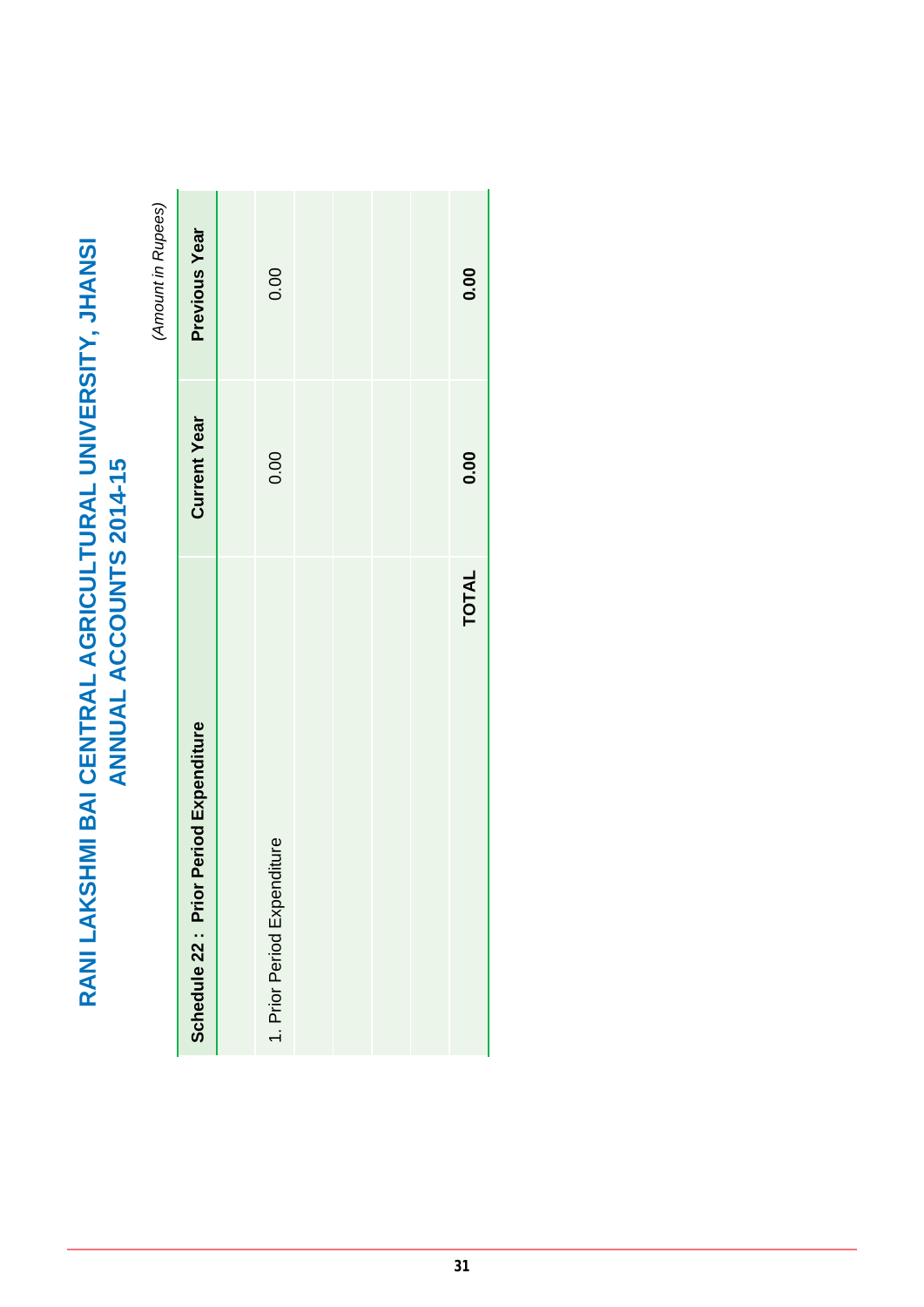# RANI LAKSHMI BAI CENTRAL AGRICULTURAL UNIVERSITY, JHANSI<br>ANNUAL ACCOUNTS 2014-15 **RANI LAKSHMI BAI CENTRAL AGRICULTURAL UNIVERSITY, JHANSI ANNUAL ACCOUNTS 2014-15**

(Amount in Rupees) *(Amount in Rupees)*

|                                           |                     | $\sum_{i=1}^{n}$ |
|-------------------------------------------|---------------------|------------------|
| Period Expenditure<br>Schedule 22 : Prior | <b>Current Year</b> | Previous Year    |
|                                           |                     |                  |
| 1. Prior Period Expenditure               | 0.00                | 0.00             |
|                                           |                     |                  |
|                                           |                     |                  |
|                                           |                     |                  |
|                                           |                     |                  |
| <b>TOTAL</b>                              | 0.00                | 0.00             |
|                                           |                     |                  |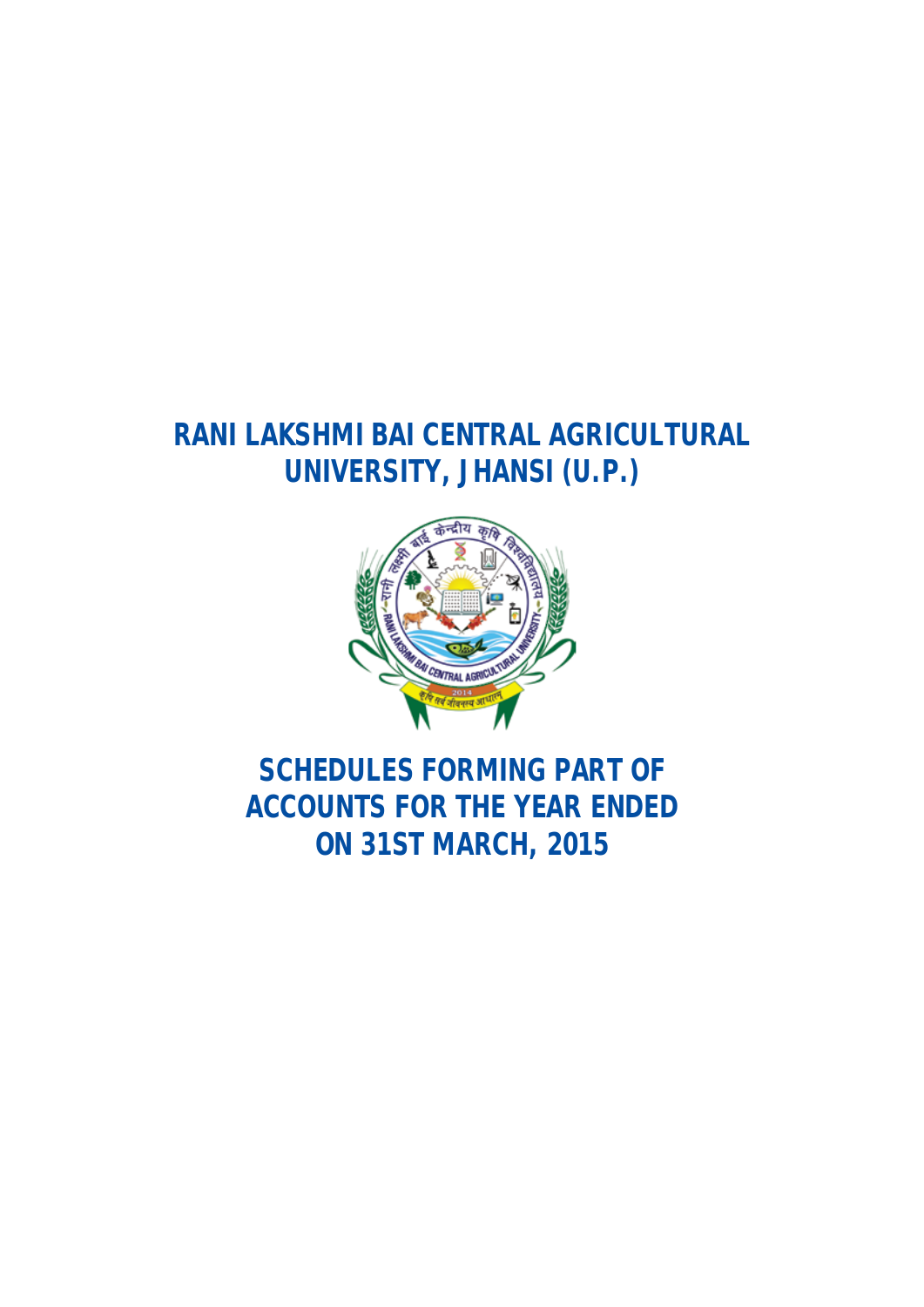### **RANI LAKSHMI BAI CENTRAL AGRICULTURAL UNIVERSITY, JHANSI (U.P.)**



### **SCHEDULES FORMING PART OF ACCOUNTS FOR THE YEAR ENDED ON 31ST MARCH, 2015**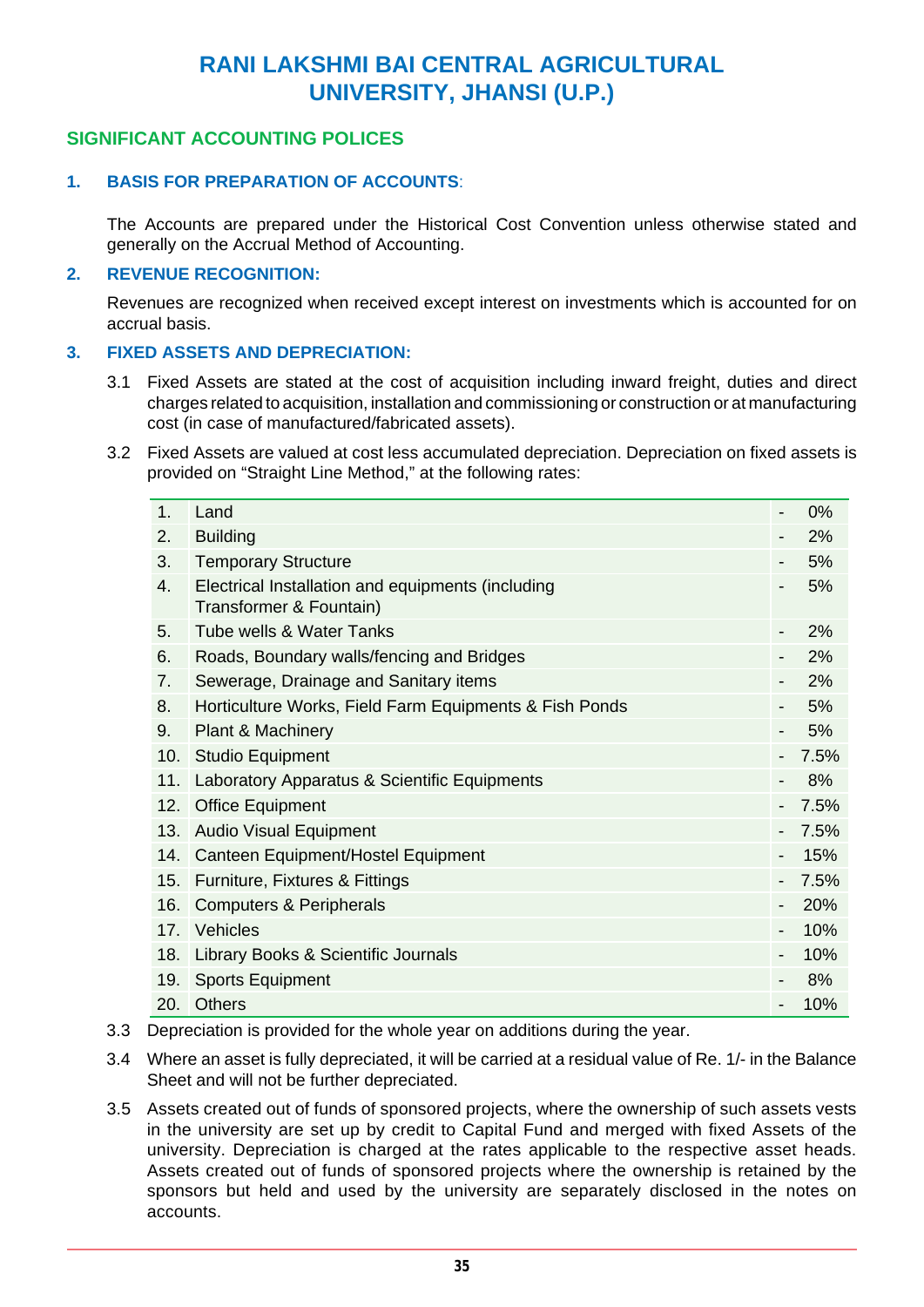### **RANI LAKSHMI BAI CENTRAL AGRICULTURAL UNIVERSITY, JHANSI (U.P.)**

### **SIGNIFICANT ACCOUNTING POLICES**

### **1. BASIS FOR PREPARATION OF ACCOUNTS**:

 The Accounts are prepared under the Historical Cost Convention unless otherwise stated and generally on the Accrual Method of Accounting.

### **2. REVENUE RECOGNITION:**

Revenues are recognized when received except interest on investments which is accounted for on accrual basis.

### **3. FIXED ASSETS AND DEPRECIATION:**

- 3.1 Fixed Assets are stated at the cost of acquisition including inward freight, duties and direct charges related to acquisition, installation and commissioning or construction or at manufacturing cost (in case of manufactured/fabricated assets).
- 3.2 Fixed Assets are valued at cost less accumulated depreciation. Depreciation on fixed assets is provided on "Straight Line Method," at the following rates:

| 1.<br>$0\%$<br>Land<br><b>Building</b><br>2%<br>2.<br>5%<br>3.<br><b>Temporary Structure</b><br>Electrical Installation and equipments (including<br>5%<br>4.<br>Transformer & Fountain)<br>Tube wells & Water Tanks<br>2%<br>5.<br>2%<br>6.<br>Roads, Boundary walls/fencing and Bridges<br>Sewerage, Drainage and Sanitary items<br>2%<br>7.<br>Horticulture Works, Field Farm Equipments & Fish Ponds<br>5%<br>8.<br>5%<br>Plant & Machinery<br>9.<br>7.5%<br><b>Studio Equipment</b><br>10.<br>8%<br>11.<br>Laboratory Apparatus & Scientific Equipments<br><b>Office Equipment</b><br>7.5%<br>12.<br><b>Audio Visual Equipment</b><br>7.5%<br>13.<br>15%<br>Canteen Equipment/Hostel Equipment<br>14.<br>7.5%<br>15.<br>Furniture, Fixtures & Fittings<br>20%<br><b>Computers &amp; Peripherals</b><br>16.<br><b>Vehicles</b><br>10%<br>17.<br>10%<br>18. Library Books & Scientific Journals<br><b>Sports Equipment</b><br>8%<br>19.<br><b>Others</b><br>10%<br>20. |  |  |
|---------------------------------------------------------------------------------------------------------------------------------------------------------------------------------------------------------------------------------------------------------------------------------------------------------------------------------------------------------------------------------------------------------------------------------------------------------------------------------------------------------------------------------------------------------------------------------------------------------------------------------------------------------------------------------------------------------------------------------------------------------------------------------------------------------------------------------------------------------------------------------------------------------------------------------------------------------------------------|--|--|
|                                                                                                                                                                                                                                                                                                                                                                                                                                                                                                                                                                                                                                                                                                                                                                                                                                                                                                                                                                           |  |  |
|                                                                                                                                                                                                                                                                                                                                                                                                                                                                                                                                                                                                                                                                                                                                                                                                                                                                                                                                                                           |  |  |
|                                                                                                                                                                                                                                                                                                                                                                                                                                                                                                                                                                                                                                                                                                                                                                                                                                                                                                                                                                           |  |  |
|                                                                                                                                                                                                                                                                                                                                                                                                                                                                                                                                                                                                                                                                                                                                                                                                                                                                                                                                                                           |  |  |
|                                                                                                                                                                                                                                                                                                                                                                                                                                                                                                                                                                                                                                                                                                                                                                                                                                                                                                                                                                           |  |  |
|                                                                                                                                                                                                                                                                                                                                                                                                                                                                                                                                                                                                                                                                                                                                                                                                                                                                                                                                                                           |  |  |
|                                                                                                                                                                                                                                                                                                                                                                                                                                                                                                                                                                                                                                                                                                                                                                                                                                                                                                                                                                           |  |  |
|                                                                                                                                                                                                                                                                                                                                                                                                                                                                                                                                                                                                                                                                                                                                                                                                                                                                                                                                                                           |  |  |
|                                                                                                                                                                                                                                                                                                                                                                                                                                                                                                                                                                                                                                                                                                                                                                                                                                                                                                                                                                           |  |  |
|                                                                                                                                                                                                                                                                                                                                                                                                                                                                                                                                                                                                                                                                                                                                                                                                                                                                                                                                                                           |  |  |
|                                                                                                                                                                                                                                                                                                                                                                                                                                                                                                                                                                                                                                                                                                                                                                                                                                                                                                                                                                           |  |  |
|                                                                                                                                                                                                                                                                                                                                                                                                                                                                                                                                                                                                                                                                                                                                                                                                                                                                                                                                                                           |  |  |
|                                                                                                                                                                                                                                                                                                                                                                                                                                                                                                                                                                                                                                                                                                                                                                                                                                                                                                                                                                           |  |  |
|                                                                                                                                                                                                                                                                                                                                                                                                                                                                                                                                                                                                                                                                                                                                                                                                                                                                                                                                                                           |  |  |
|                                                                                                                                                                                                                                                                                                                                                                                                                                                                                                                                                                                                                                                                                                                                                                                                                                                                                                                                                                           |  |  |
|                                                                                                                                                                                                                                                                                                                                                                                                                                                                                                                                                                                                                                                                                                                                                                                                                                                                                                                                                                           |  |  |
|                                                                                                                                                                                                                                                                                                                                                                                                                                                                                                                                                                                                                                                                                                                                                                                                                                                                                                                                                                           |  |  |
|                                                                                                                                                                                                                                                                                                                                                                                                                                                                                                                                                                                                                                                                                                                                                                                                                                                                                                                                                                           |  |  |
|                                                                                                                                                                                                                                                                                                                                                                                                                                                                                                                                                                                                                                                                                                                                                                                                                                                                                                                                                                           |  |  |
|                                                                                                                                                                                                                                                                                                                                                                                                                                                                                                                                                                                                                                                                                                                                                                                                                                                                                                                                                                           |  |  |

- 3.3 Depreciation is provided for the whole year on additions during the year.
- 3.4 Where an asset is fully depreciated, it will be carried at a residual value of Re. 1/- in the Balance Sheet and will not be further depreciated.
- 3.5 Assets created out of funds of sponsored projects, where the ownership of such assets vests in the university are set up by credit to Capital Fund and merged with fixed Assets of the university. Depreciation is charged at the rates applicable to the respective asset heads. Assets created out of funds of sponsored projects where the ownership is retained by the sponsors but held and used by the university are separately disclosed in the notes on accounts.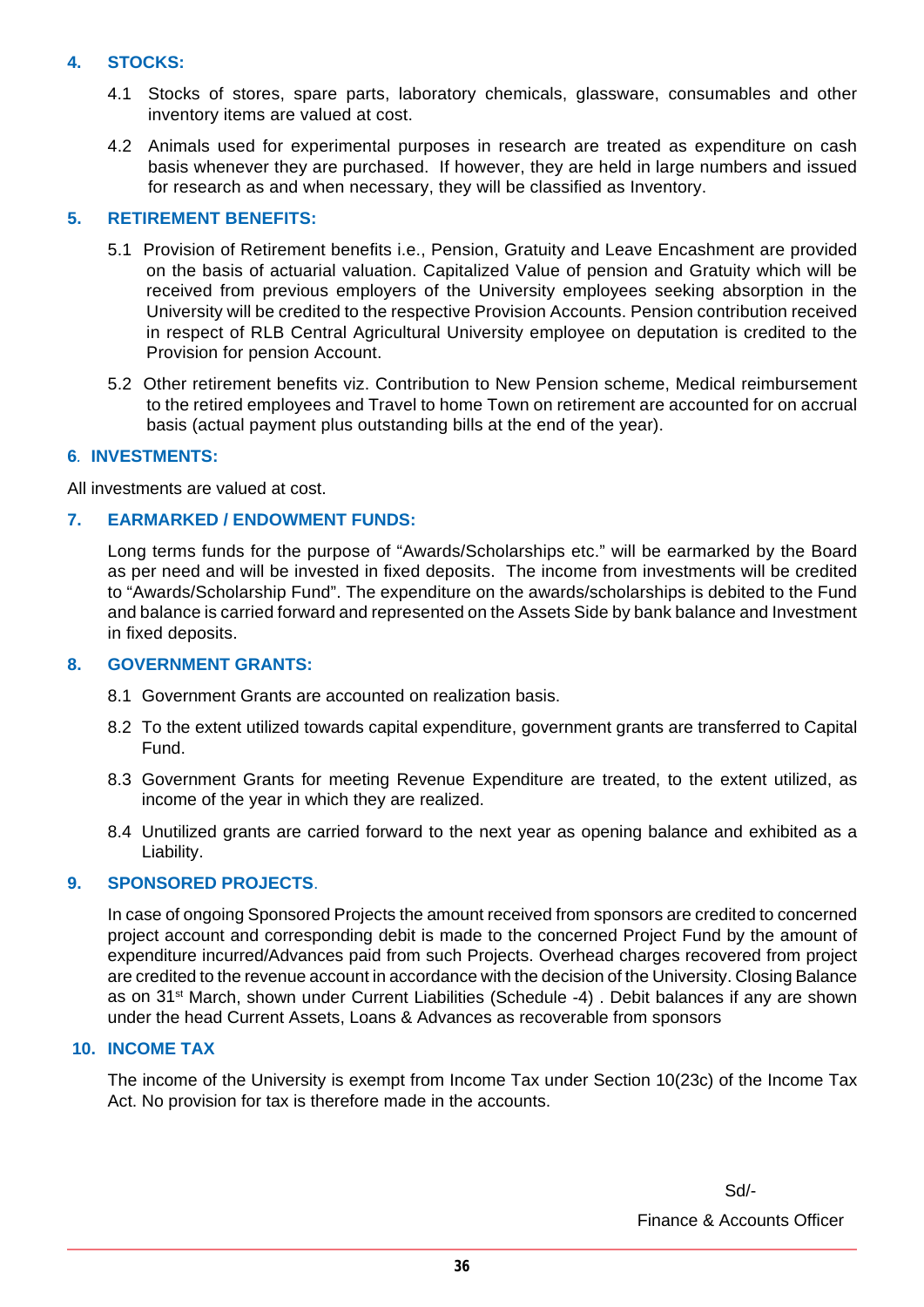### **4. STOCKS:**

- 4.1 Stocks of stores, spare parts, laboratory chemicals, glassware, consumables and other inventory items are valued at cost.
- 4.2 Animals used for experimental purposes in research are treated as expenditure on cash basis whenever they are purchased. If however, they are held in large numbers and issued for research as and when necessary, they will be classified as Inventory.

### **5. RETIREMENT BENEFITS:**

- 5.1 Provision of Retirement benefits i.e., Pension, Gratuity and Leave Encashment are provided on the basis of actuarial valuation. Capitalized Value of pension and Gratuity which will be received from previous employers of the University employees seeking absorption in the University will be credited to the respective Provision Accounts. Pension contribution received in respect of RLB Central Agricultural University employee on deputation is credited to the Provision for pension Account.
- 5.2 Other retirement benefits viz. Contribution to New Pension scheme, Medical reimbursement to the retired employees and Travel to home Town on retirement are accounted for on accrual basis (actual payment plus outstanding bills at the end of the year).

### **6***.* **INVESTMENTS:**

All investments are valued at cost.

### **7. EARMARKED / ENDOWMENT FUNDS:**

Long terms funds for the purpose of "Awards/Scholarships etc." will be earmarked by the Board as per need and will be invested in fixed deposits. The income from investments will be credited to "Awards/Scholarship Fund". The expenditure on the awards/scholarships is debited to the Fund and balance is carried forward and represented on the Assets Side by bank balance and Investment in fixed deposits.

### **8. GOVERNMENT GRANTS:**

- 8.1 Government Grants are accounted on realization basis.
- 8.2 To the extent utilized towards capital expenditure, government grants are transferred to Capital Fund.
- 8.3 Government Grants for meeting Revenue Expenditure are treated, to the extent utilized, as income of the year in which they are realized.
- 8.4 Unutilized grants are carried forward to the next year as opening balance and exhibited as a Liability.

### **9. SPONSORED PROJECTS**.

 In case of ongoing Sponsored Projects the amount received from sponsors are credited to concerned project account and corresponding debit is made to the concerned Project Fund by the amount of expenditure incurred/Advances paid from such Projects. Overhead charges recovered from project are credited to the revenue account in accordance with the decision of the University. Closing Balance as on 31st March, shown under Current Liabilities (Schedule -4) . Debit balances if any are shown under the head Current Assets, Loans & Advances as recoverable from sponsors

### **10. INCOME TAX**

The income of the University is exempt from Income Tax under Section 10(23c) of the Income Tax Act. No provision for tax is therefore made in the accounts.

Finance & Accounts Officer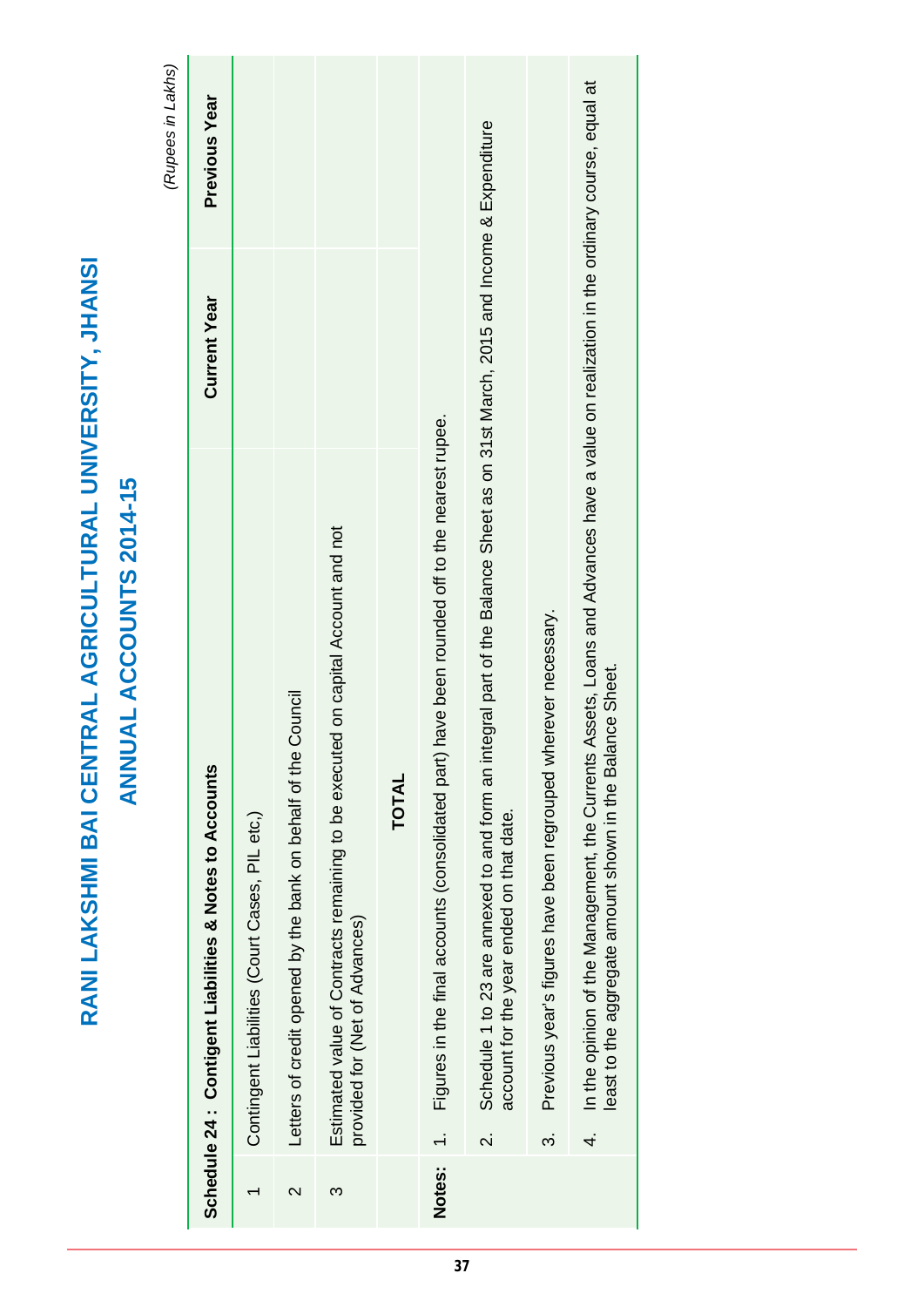|                 |                                                                                                                                                                                                              |                     | (Rupees in Lakhs)    |
|-----------------|--------------------------------------------------------------------------------------------------------------------------------------------------------------------------------------------------------------|---------------------|----------------------|
|                 | Schedule 24 : Contigent Liabilities & Notes to Accounts                                                                                                                                                      | <b>Current Year</b> | <b>Previous Year</b> |
|                 | Contingent Liabilities (Court Cases, PIL etc,)                                                                                                                                                               |                     |                      |
| $\mathsf{\sim}$ | Council<br>Letters of credit opened by the bank on behalf of the                                                                                                                                             |                     |                      |
| ო               | Estimated value of Contracts remaining to be executed on capital Account and not<br>provided for (Net of Advances)                                                                                           |                     |                      |
|                 | <b>TOTAL</b>                                                                                                                                                                                                 |                     |                      |
| Notes:          | have been rounded off to the nearest rupee.<br>Figures in the final accounts (consolidated part)                                                                                                             |                     |                      |
|                 | Schedule 1 to 23 are annexed to and form an integral part of the Balance Sheet as on 31st March, 2015 and Income & Expenditure<br>account for the year ended on that date.<br>$\overline{\mathcal{N}}$       |                     |                      |
|                 | Previous year's figures have been regrouped wherever necessary.<br>က                                                                                                                                         |                     |                      |
|                 | Assets, Loans and Advances have a value on realization in the ordinary course, equal at<br>least to the aggregate amount shown in the Balance Sheet.<br>In the opinion of the Management, the Currents<br>4. |                     |                      |

**RANI LAKSHMI BAI CENTRAL AGRICULTURAL UNIVERSITY, JHANSI**

RANI LAKSHMI BAI CENTRAL AGRICULTURAL UNIVERSITY, JHANSI

**ANNUAL ACCOUNTS 2014-15**

**ANNUAL ACCOUNTS 2014-15**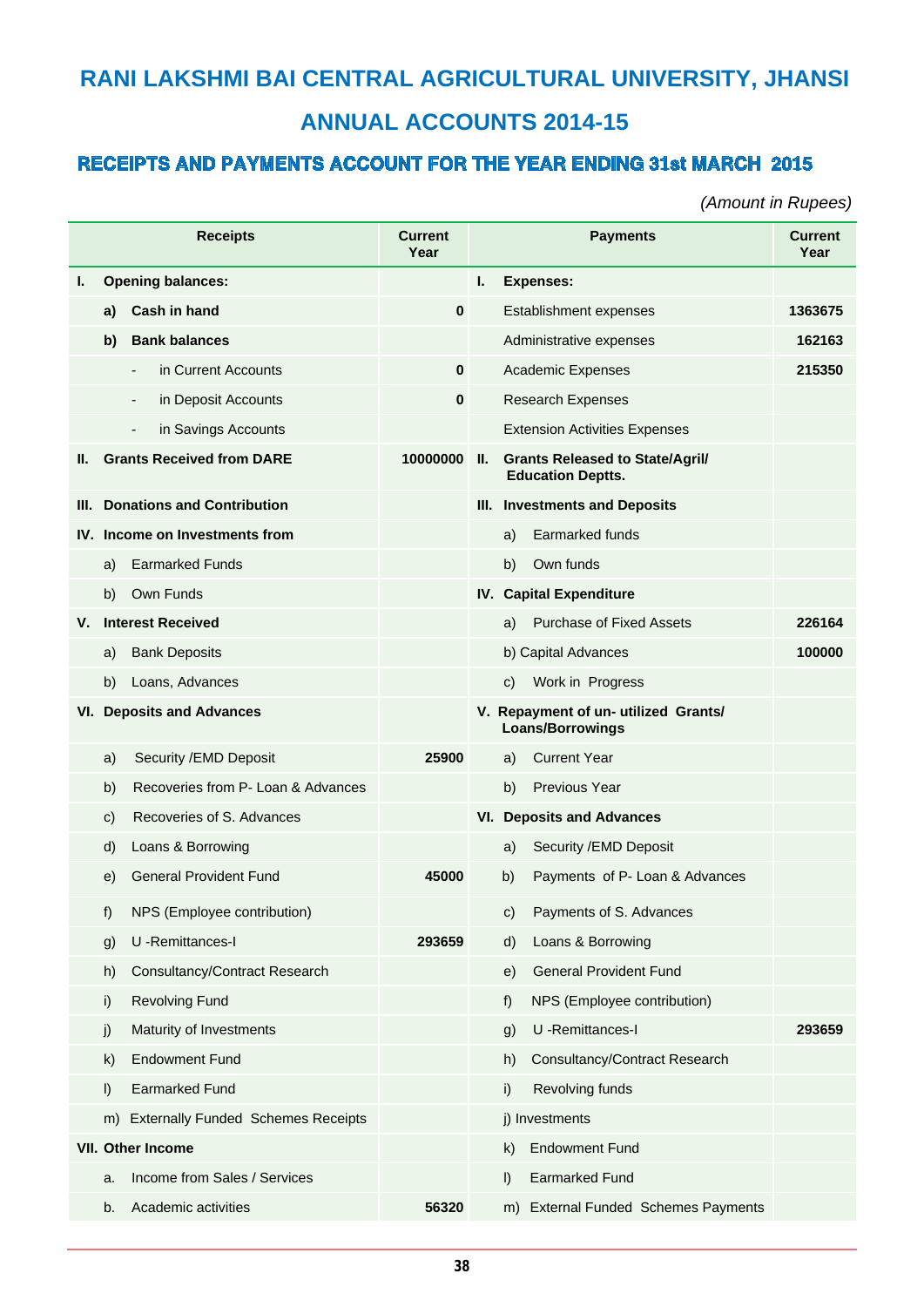### **RANI LAKSHMI BAI CENTRAL AGRICULTURAL UNIVERSITY, JHANSI ANNUAL ACCOUNTS 2014-15**

### **RECEIPTS AND PAYMENTS ACCOUNT FOR THE YEAR ENDING 31st MARCH 2015**

*(Amount in Rupees)*

|     |         | <b>Receipts</b>                                 | <b>Current</b><br>Year |     |              | <b>Payments</b>                                                    | <b>Current</b><br>Year |
|-----|---------|-------------------------------------------------|------------------------|-----|--------------|--------------------------------------------------------------------|------------------------|
| ı.  |         | <b>Opening balances:</b>                        |                        | L.  |              | <b>Expenses:</b>                                                   |                        |
|     | a)      | <b>Cash in hand</b>                             | 0                      |     |              | Establishment expenses                                             | 1363675                |
|     | b)      | <b>Bank balances</b>                            |                        |     |              | Administrative expenses                                            | 162163                 |
|     |         | in Current Accounts<br>$\overline{\phantom{a}}$ | $\mathbf{0}$           |     |              | <b>Academic Expenses</b>                                           | 215350                 |
|     |         | in Deposit Accounts<br>$\overline{\phantom{0}}$ | $\mathbf{0}$           |     |              | <b>Research Expenses</b>                                           |                        |
|     |         | in Savings Accounts<br>$\overline{a}$           |                        |     |              | <b>Extension Activities Expenses</b>                               |                        |
| н.  |         | <b>Grants Received from DARE</b>                | 10000000               | II. |              | <b>Grants Released to State/Agril/</b><br><b>Education Deptts.</b> |                        |
| Ш.  |         | <b>Donations and Contribution</b>               |                        |     |              | III. Investments and Deposits                                      |                        |
|     |         | IV. Income on Investments from                  |                        |     | a)           | Earmarked funds                                                    |                        |
|     | a)      | <b>Earmarked Funds</b>                          |                        |     | b)           | Own funds                                                          |                        |
|     | b)      | Own Funds                                       |                        |     |              | IV. Capital Expenditure                                            |                        |
| v.  |         | <b>Interest Received</b>                        |                        |     | a)           | <b>Purchase of Fixed Assets</b>                                    | 226164                 |
|     | a)      | <b>Bank Deposits</b>                            |                        |     |              | b) Capital Advances                                                | 100000                 |
|     | b)      | Loans, Advances                                 |                        |     | C)           | Work in Progress                                                   |                        |
| VI. |         | <b>Deposits and Advances</b>                    |                        |     |              | V. Repayment of un- utilized Grants/<br><b>Loans/Borrowings</b>    |                        |
|     | a)      | Security / EMD Deposit                          | 25900                  |     | a)           | <b>Current Year</b>                                                |                        |
|     | b)      | Recoveries from P- Loan & Advances              |                        |     | b)           | <b>Previous Year</b>                                               |                        |
|     | C)      | Recoveries of S. Advances                       |                        |     |              | <b>VI. Deposits and Advances</b>                                   |                        |
|     | d)      | Loans & Borrowing                               |                        |     | a)           | Security / EMD Deposit                                             |                        |
|     | e)      | <b>General Provident Fund</b>                   | 45000                  |     | b)           | Payments of P- Loan & Advances                                     |                        |
|     | f)      | NPS (Employee contribution)                     |                        |     |              | c) Payments of S. Advances                                         |                        |
|     | g)      | U -Remittances-I                                | 293659                 |     | $\mathsf{d}$ | Loans & Borrowing                                                  |                        |
|     | h)      | <b>Consultancy/Contract Research</b>            |                        |     | e)           | <b>General Provident Fund</b>                                      |                        |
|     | i)      | <b>Revolving Fund</b>                           |                        |     | f)           | NPS (Employee contribution)                                        |                        |
|     | j)      | Maturity of Investments                         |                        |     | g)           | U -Remittances-I                                                   | 293659                 |
|     | k)      | <b>Endowment Fund</b>                           |                        |     | h)           | Consultancy/Contract Research                                      |                        |
|     | $\vert$ | <b>Earmarked Fund</b>                           |                        |     | i)           | Revolving funds                                                    |                        |
|     | m)      | <b>Externally Funded Schemes Receipts</b>       |                        |     |              | j) Investments                                                     |                        |
|     |         | VII. Other Income                               |                        |     | $\mathsf{k}$ | <b>Endowment Fund</b>                                              |                        |
|     | a.      | Income from Sales / Services                    |                        |     | I)           | <b>Earmarked Fund</b>                                              |                        |
|     | b.      | Academic activities                             | 56320                  |     |              | m) External Funded Schemes Payments                                |                        |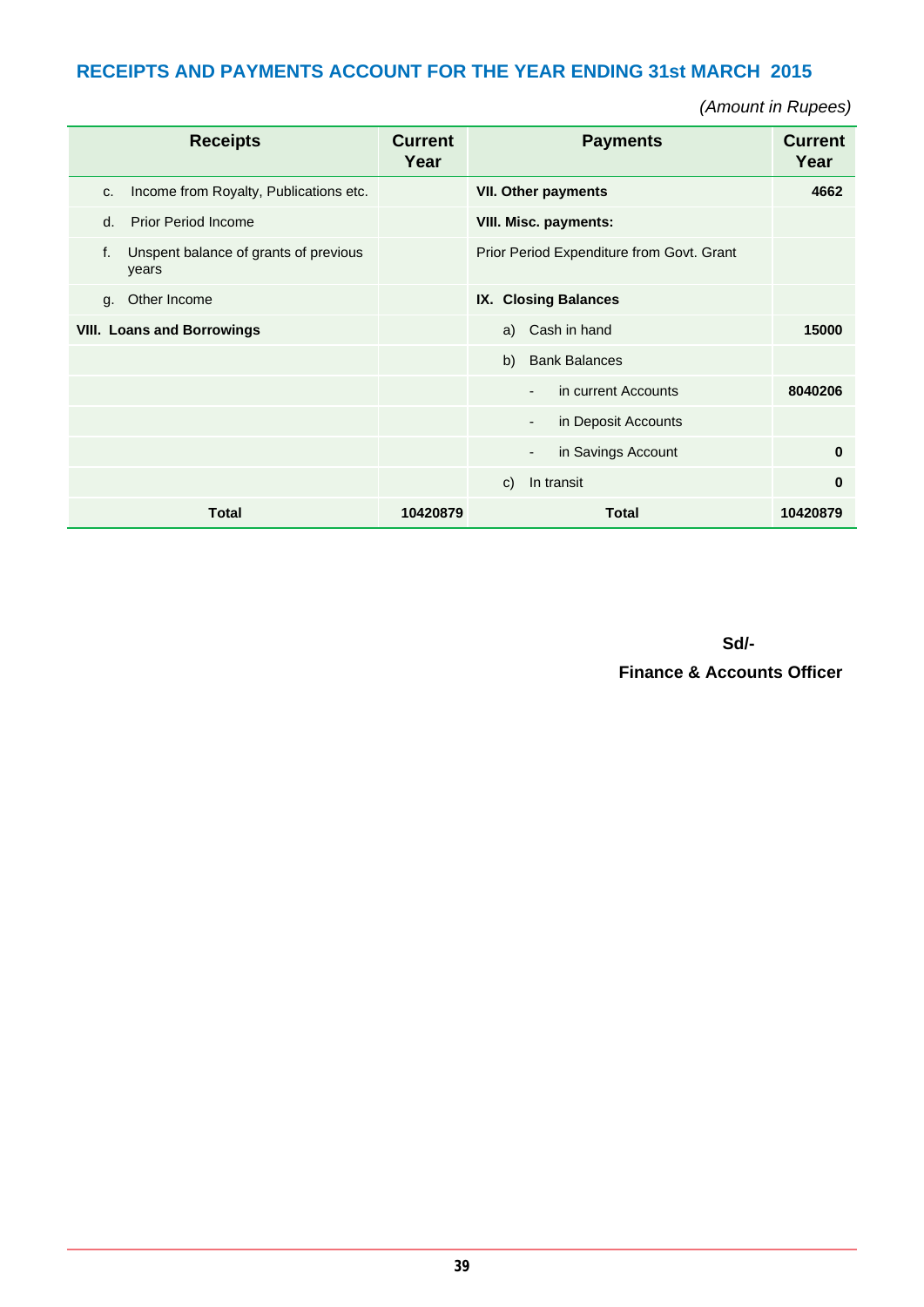### **RECEIPTS AND PAYMENTS ACCOUNT FOR THE YEAR ENDING 31st MARCH 2015**

*(Amount in Rupees)*

|                                   | <b>Receipts</b>                                | <b>Current</b><br>Year | <b>Payments</b>                                 | <b>Current</b><br>Year |
|-----------------------------------|------------------------------------------------|------------------------|-------------------------------------------------|------------------------|
| C.                                | Income from Royalty, Publications etc.         |                        | <b>VII. Other payments</b>                      | 4662                   |
| d.                                | <b>Prior Period Income</b>                     |                        | VIII. Misc. payments:                           |                        |
| f.                                | Unspent balance of grants of previous<br>years |                        | Prior Period Expenditure from Govt. Grant       |                        |
| g.                                | Other Income                                   |                        | IX. Closing Balances                            |                        |
| <b>VIII. Loans and Borrowings</b> |                                                |                        | a) Cash in hand                                 | 15000                  |
|                                   |                                                |                        | <b>Bank Balances</b><br>b)                      |                        |
|                                   |                                                |                        | in current Accounts<br>$\overline{\phantom{a}}$ | 8040206                |
|                                   |                                                |                        | in Deposit Accounts<br>٠                        |                        |
|                                   |                                                |                        | in Savings Account<br>$\overline{\phantom{a}}$  | $\bf{0}$               |
|                                   |                                                |                        | In transit<br>C)                                | 0                      |
|                                   | <b>Total</b>                                   | 10420879               | <b>Total</b>                                    | 10420879               |

 **Sd/-**

 **Finance & Accounts Officer**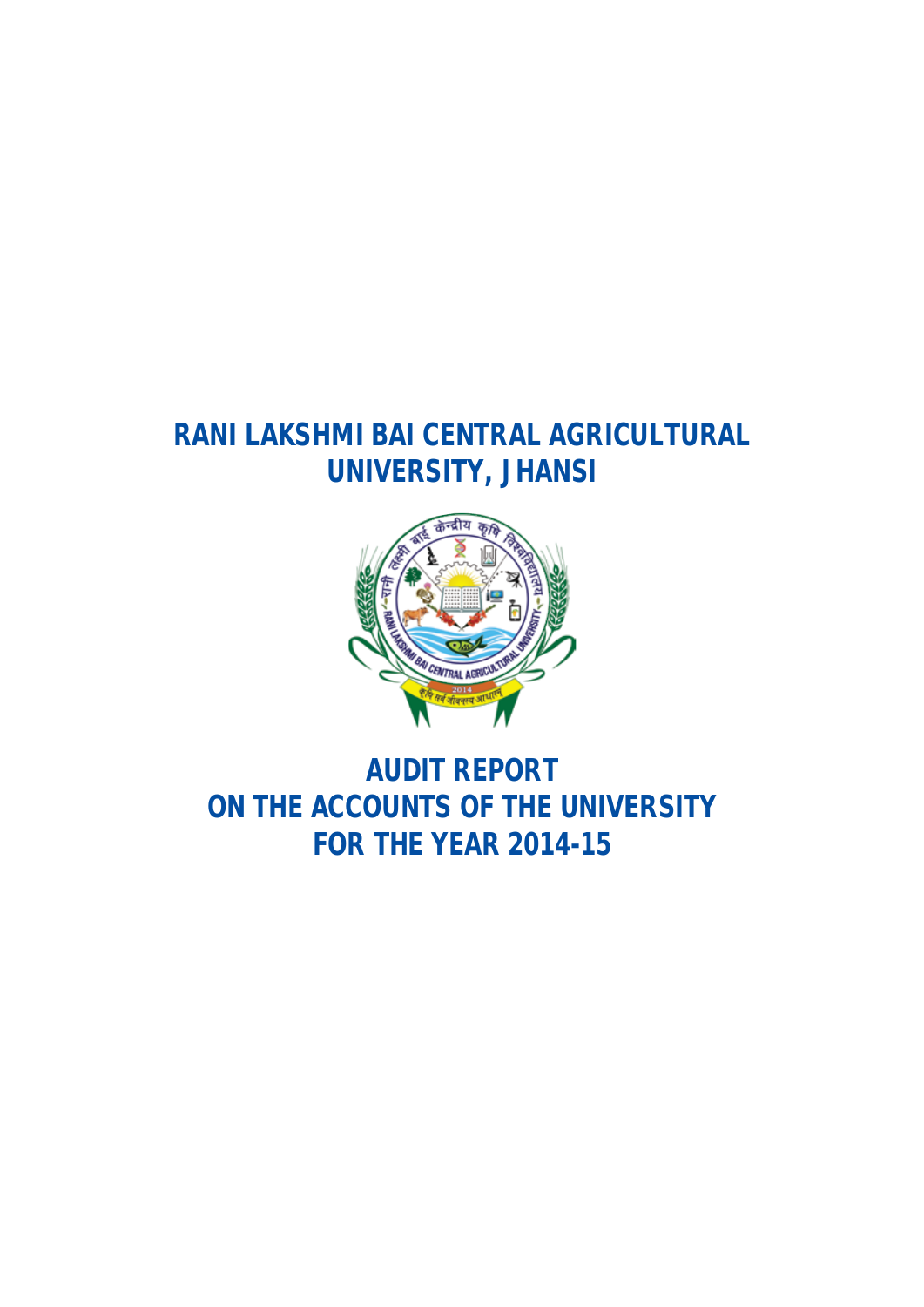### **RANI LAKSHMI BAI CENTRAL AGRICULTURAL UNIVERSITY, JHANSI**



**AUDIT REPORT ON THE ACCOUNTS OF THE UNIVERSITY FOR THE YEAR 2014-15**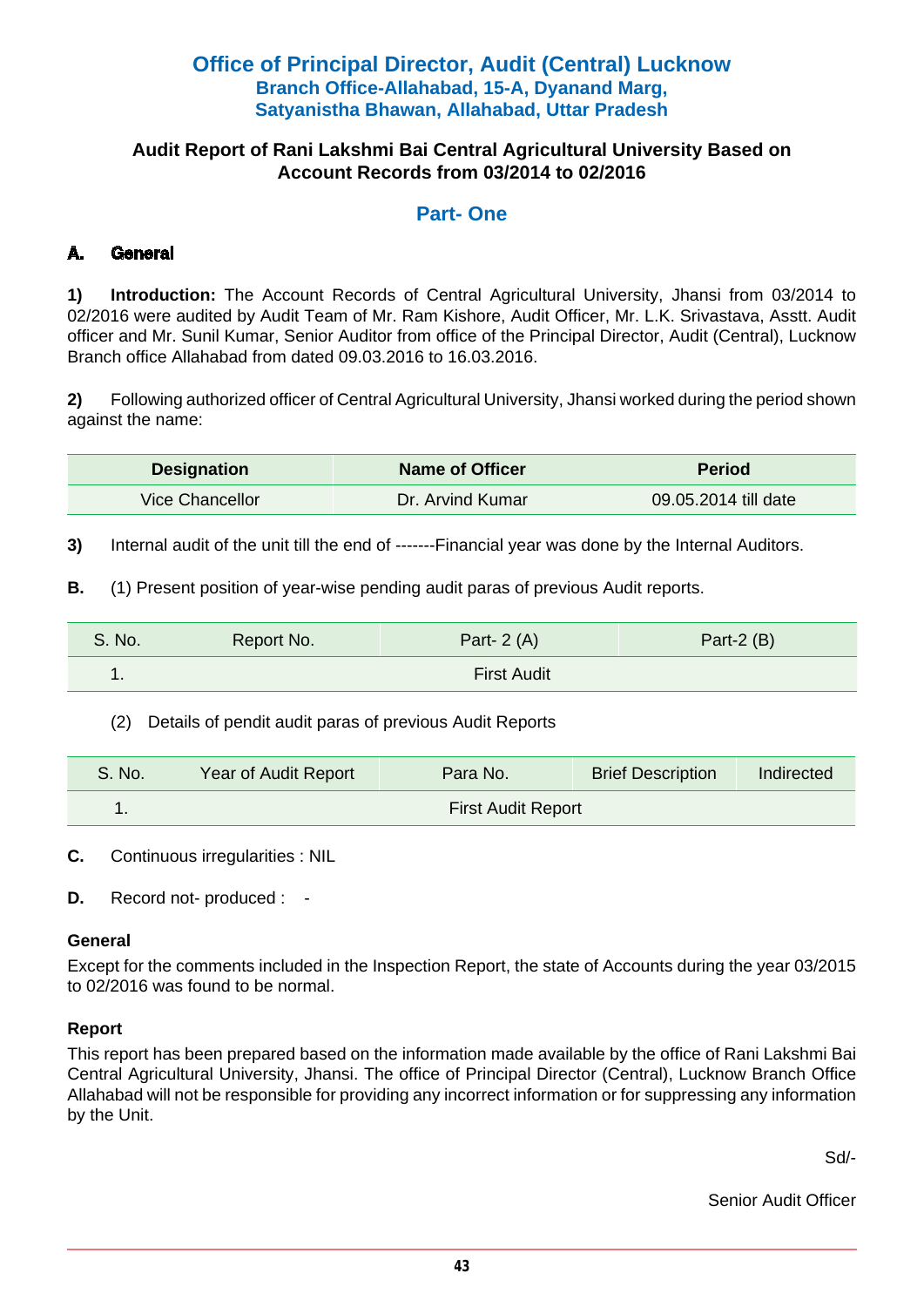### **Office of Principal Director, Audit (Central) Lucknow Branch Office-Allahabad, 15-A, Dyanand Marg, Satyanistha Bhawan, Allahabad, Uttar Pradesh**

### **Audit Report of Rani Lakshmi Bai Central Agricultural University Based on Account Records from 03/2014 to 02/2016**

### **Part- One**

### **A. General**

**1) Introduction:** The Account Records of Central Agricultural University, Jhansi from 03/2014 to 02/2016 were audited by Audit Team of Mr. Ram Kishore, Audit Officer, Mr. L.K. Srivastava, Asstt. Audit officer and Mr. Sunil Kumar, Senior Auditor from office of the Principal Director, Audit (Central), Lucknow Branch office Allahabad from dated 09.03.2016 to 16.03.2016.

**2)** Following authorized officer of Central Agricultural University, Jhansi worked during the period shown against the name:

| <b>Designation</b> | <b>Name of Officer</b> | <b>Period</b>        |
|--------------------|------------------------|----------------------|
| Vice Chancellor    | Dr. Arvind Kumar       | 09.05.2014 till date |

**3)** Internal audit of the unit till the end of -------Financial year was done by the Internal Auditors.

**B.** (1) Present position of year-wise pending audit paras of previous Audit reports.

| S. No. | Report No.         | Part- $2(A)$ | Part- $2(B)$ |
|--------|--------------------|--------------|--------------|
| . .    | <b>First Audit</b> |              |              |

(2) Details of pendit audit paras of previous Audit Reports

| S. No. | Year of Audit Report      | Para No. | <b>Brief Description</b> | Indirected |
|--------|---------------------------|----------|--------------------------|------------|
|        | <b>First Audit Report</b> |          |                          |            |

**C.** Continuous irregularities : NIL

**D.** Record not- produced : -

### **General**

Except for the comments included in the Inspection Report, the state of Accounts during the year 03/2015 to 02/2016 was found to be normal.

### **Report**

This report has been prepared based on the information made available by the office of Rani Lakshmi Bai Central Agricultural University, Jhansi. The office of Principal Director (Central), Lucknow Branch Office Allahabad will not be responsible for providing any incorrect information or for suppressing any information by the Unit.

Sd/-

Senior Audit Officer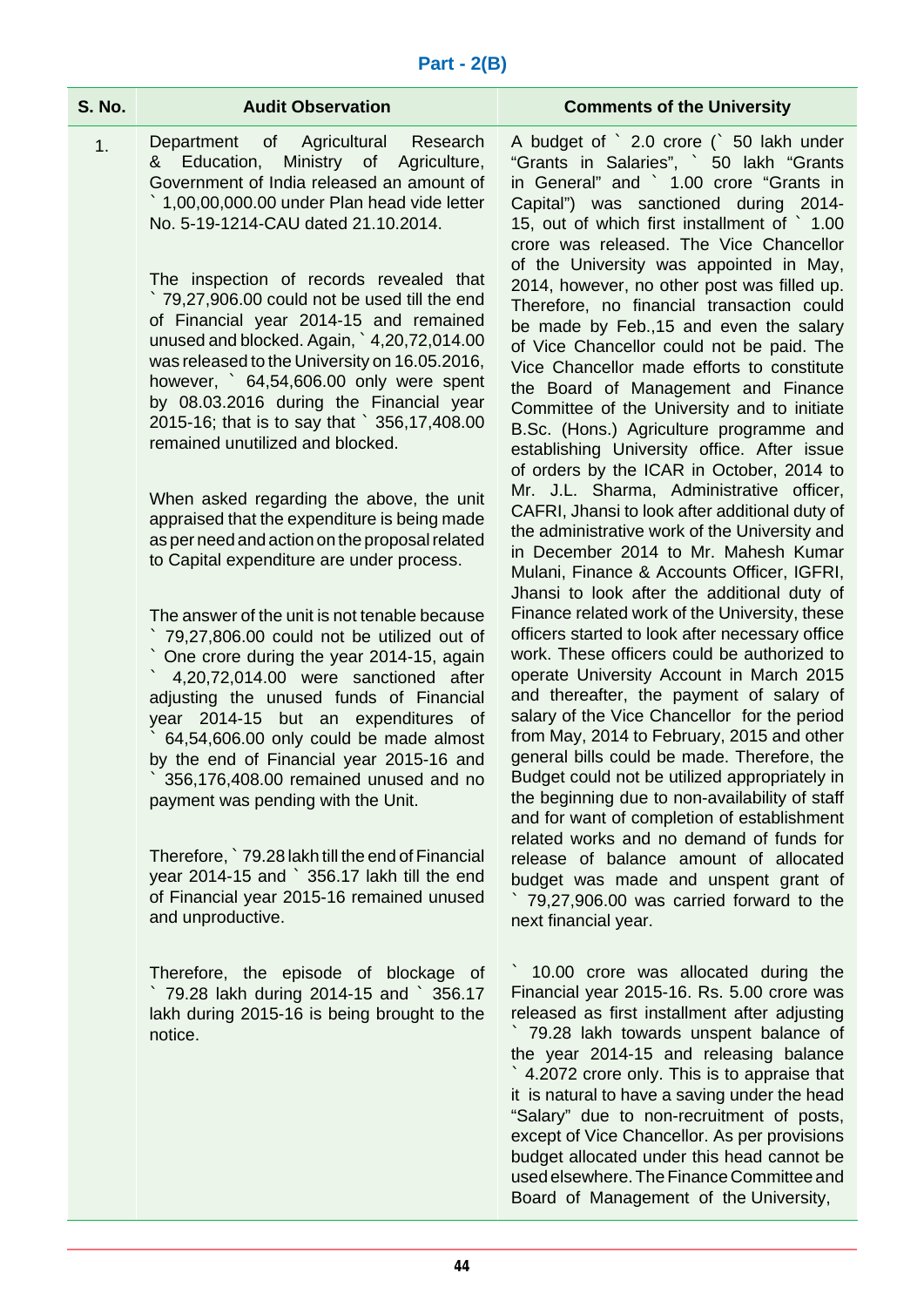| <b>S. No.</b> | <b>Audit Observation</b>                                                                                                                                                                                                                                                                                                                                                                                                                                                                                                                                                                                                                                                                                                                                                                             | <b>Comments of the University</b>                                                                                                                                                                                                                                                                                                                                                                                                                                                                                                                                                                                                                                                                                                                                                                                                                                                                                                                                                                                           |
|---------------|------------------------------------------------------------------------------------------------------------------------------------------------------------------------------------------------------------------------------------------------------------------------------------------------------------------------------------------------------------------------------------------------------------------------------------------------------------------------------------------------------------------------------------------------------------------------------------------------------------------------------------------------------------------------------------------------------------------------------------------------------------------------------------------------------|-----------------------------------------------------------------------------------------------------------------------------------------------------------------------------------------------------------------------------------------------------------------------------------------------------------------------------------------------------------------------------------------------------------------------------------------------------------------------------------------------------------------------------------------------------------------------------------------------------------------------------------------------------------------------------------------------------------------------------------------------------------------------------------------------------------------------------------------------------------------------------------------------------------------------------------------------------------------------------------------------------------------------------|
| 1.            | Department of Agricultural<br>Research<br>Ministry of Agriculture,<br>& Education,<br>Government of India released an amount of<br>$\degree$ 1,00,00,000.00 under Plan head vide letter<br>No. 5-19-1214-CAU dated 21.10.2014.<br>The inspection of records revealed that<br>79,27,906.00 could not be used till the end<br>of Financial year 2014-15 and remained<br>unused and blocked. Again, $\degree$ 4,20,72,014.00<br>was released to the University on 16.05.2016,<br>however, $64,54,606.00$ only were spent<br>by 08.03.2016 during the Financial year<br>2015-16; that is to say that ` 356,17,408.00<br>remained unutilized and blocked.                                                                                                                                                 | A budget of ` 2.0 crore (` 50 lakh under<br>"Grants in Salaries", ` 50 lakh "Grants<br>in General" and ` 1.00 crore "Grants in<br>Capital") was sanctioned during 2014-<br>15, out of which first installment of 1.00<br>crore was released. The Vice Chancellor<br>of the University was appointed in May,<br>2014, however, no other post was filled up.<br>Therefore, no financial transaction could<br>be made by Feb., 15 and even the salary<br>of Vice Chancellor could not be paid. The<br>Vice Chancellor made efforts to constitute<br>the Board of Management and Finance<br>Committee of the University and to initiate<br>B.Sc. (Hons.) Agriculture programme and<br>establishing University office. After issue<br>of orders by the ICAR in October, 2014 to                                                                                                                                                                                                                                                  |
|               | When asked regarding the above, the unit<br>appraised that the expenditure is being made<br>as per need and action on the proposal related<br>to Capital expenditure are under process.<br>The answer of the unit is not tenable because<br>79,27,806.00 could not be utilized out of<br>One crore during the year 2014-15, again<br>4,20,72,014.00 were sanctioned after<br>adjusting the unused funds of Financial<br>year 2014-15 but an expenditures of<br>64,54,606.00 only could be made almost<br>by the end of Financial year 2015-16 and<br>356,176,408.00 remained unused and no<br>payment was pending with the Unit.<br>Therefore, 79.28 lakh till the end of Financial<br>year 2014-15 and ` 356.17 lakh till the end<br>of Financial year 2015-16 remained unused<br>and unproductive. | Mr. J.L. Sharma, Administrative officer,<br>CAFRI, Jhansi to look after additional duty of<br>the administrative work of the University and<br>in December 2014 to Mr. Mahesh Kumar<br>Mulani, Finance & Accounts Officer, IGFRI,<br>Jhansi to look after the additional duty of<br>Finance related work of the University, these<br>officers started to look after necessary office<br>work. These officers could be authorized to<br>operate University Account in March 2015<br>and thereafter, the payment of salary of<br>salary of the Vice Chancellor for the period<br>from May, 2014 to February, 2015 and other<br>general bills could be made. Therefore, the<br>Budget could not be utilized appropriately in<br>the beginning due to non-availability of staff<br>and for want of completion of establishment<br>related works and no demand of funds for<br>release of balance amount of allocated<br>budget was made and unspent grant of<br>79,27,906.00 was carried forward to the<br>next financial year. |
|               | Therefore, the episode of blockage of<br>79.28 lakh during 2014-15 and ` 356.17<br>lakh during 2015-16 is being brought to the<br>notice.                                                                                                                                                                                                                                                                                                                                                                                                                                                                                                                                                                                                                                                            | 10.00 crore was allocated during the<br>Financial year 2015-16. Rs. 5.00 crore was<br>released as first installment after adjusting<br>79.28 lakh towards unspent balance of<br>the year 2014-15 and releasing balance<br>4.2072 crore only. This is to appraise that<br>it is natural to have a saving under the head<br>"Salary" due to non-recruitment of posts,<br>except of Vice Chancellor. As per provisions<br>budget allocated under this head cannot be                                                                                                                                                                                                                                                                                                                                                                                                                                                                                                                                                           |

used elsewhere. The Finance Committee and Board of Management of the University,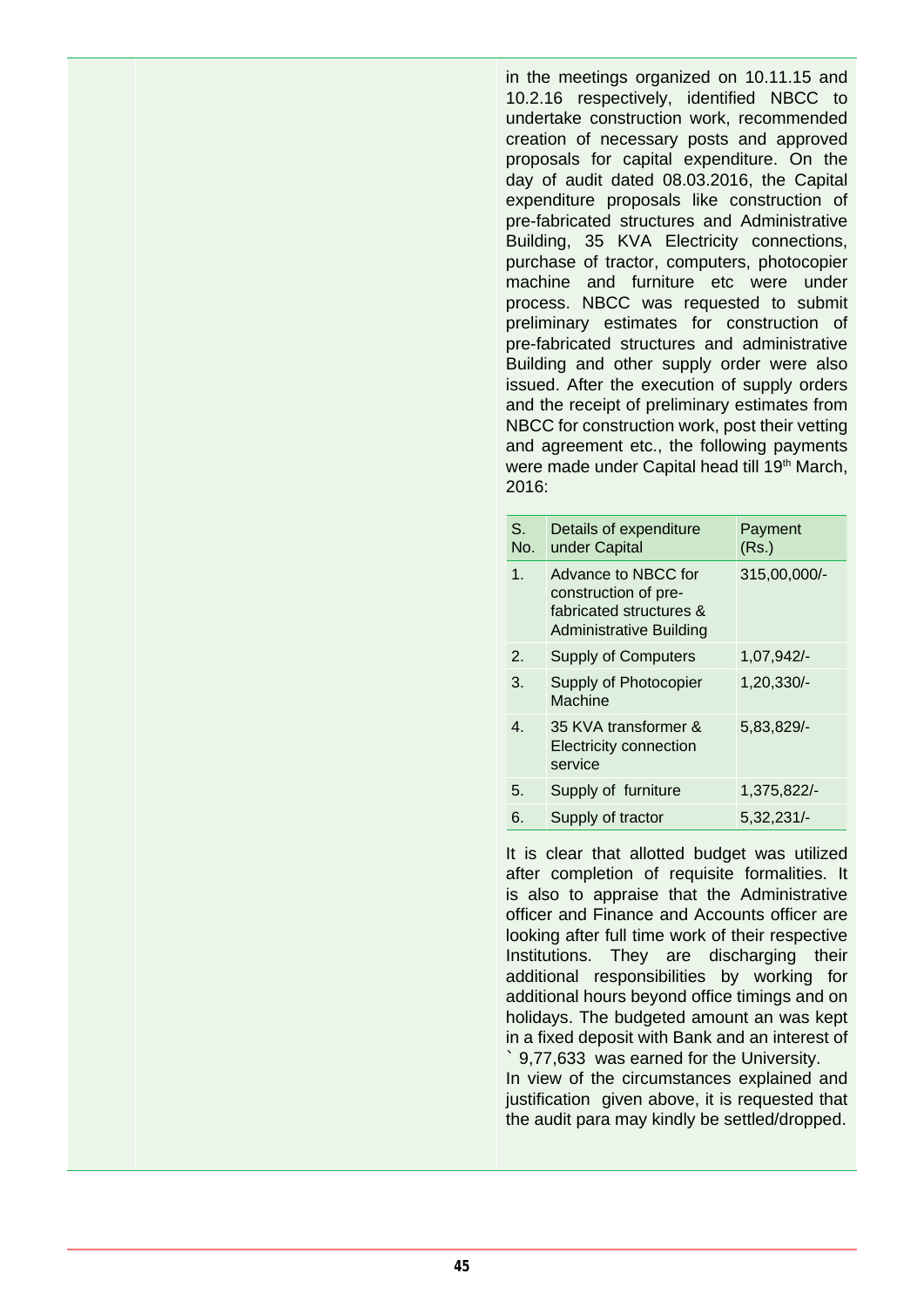in the meetings organized on 10.11.15 and 10.2.16 respectively, identified NBCC to undertake construction work, recommended creation of necessary posts and approved proposals for capital expenditure. On the day of audit dated 08.03.2016, the Capital expenditure proposals like construction of pre-fabricated structures and Administrative Building, 35 KVA Electricity connections, purchase of tractor, computers, photocopier machine and furniture etc were under process. NBCC was requested to submit preliminary estimates for construction of pre-fabricated structures and administrative Building and other supply order were also issued. After the execution of supply orders and the receipt of preliminary estimates from NBCC for construction work, post their vetting and agreement etc., the following payments were made under Capital head till 19<sup>th</sup> March, 2016:

| S.<br>No.      | Details of expenditure<br>under Capital                                                                  | Payment<br>(Rs.) |
|----------------|----------------------------------------------------------------------------------------------------------|------------------|
| 1 <sub>1</sub> | Advance to NBCC for<br>construction of pre-<br>fabricated structures &<br><b>Administrative Building</b> | 315,00,000/-     |
| 2.             | <b>Supply of Computers</b>                                                                               | 1,07,942/        |
| 3.             | Supply of Photocopier<br>Machine                                                                         | 1,20,330/-       |
| 4.             | 35 KVA transformer &<br><b>Electricity connection</b><br>service                                         | 5,83,829/-       |
| 5.             | Supply of furniture                                                                                      | 1,375,822/-      |
| 6.             | Supply of tractor                                                                                        | 5,32,231/        |

It is clear that allotted budget was utilized after completion of requisite formalities. It is also to appraise that the Administrative officer and Finance and Accounts officer are looking after full time work of their respective Institutions. They are discharging their additional responsibilities by working for additional hours beyond office timings and on holidays. The budgeted amount an was kept in a fixed deposit with Bank and an interest of ` 9,77,633 was earned for the University.

In view of the circumstances explained and justification given above, it is requested that the audit para may kindly be settled/dropped.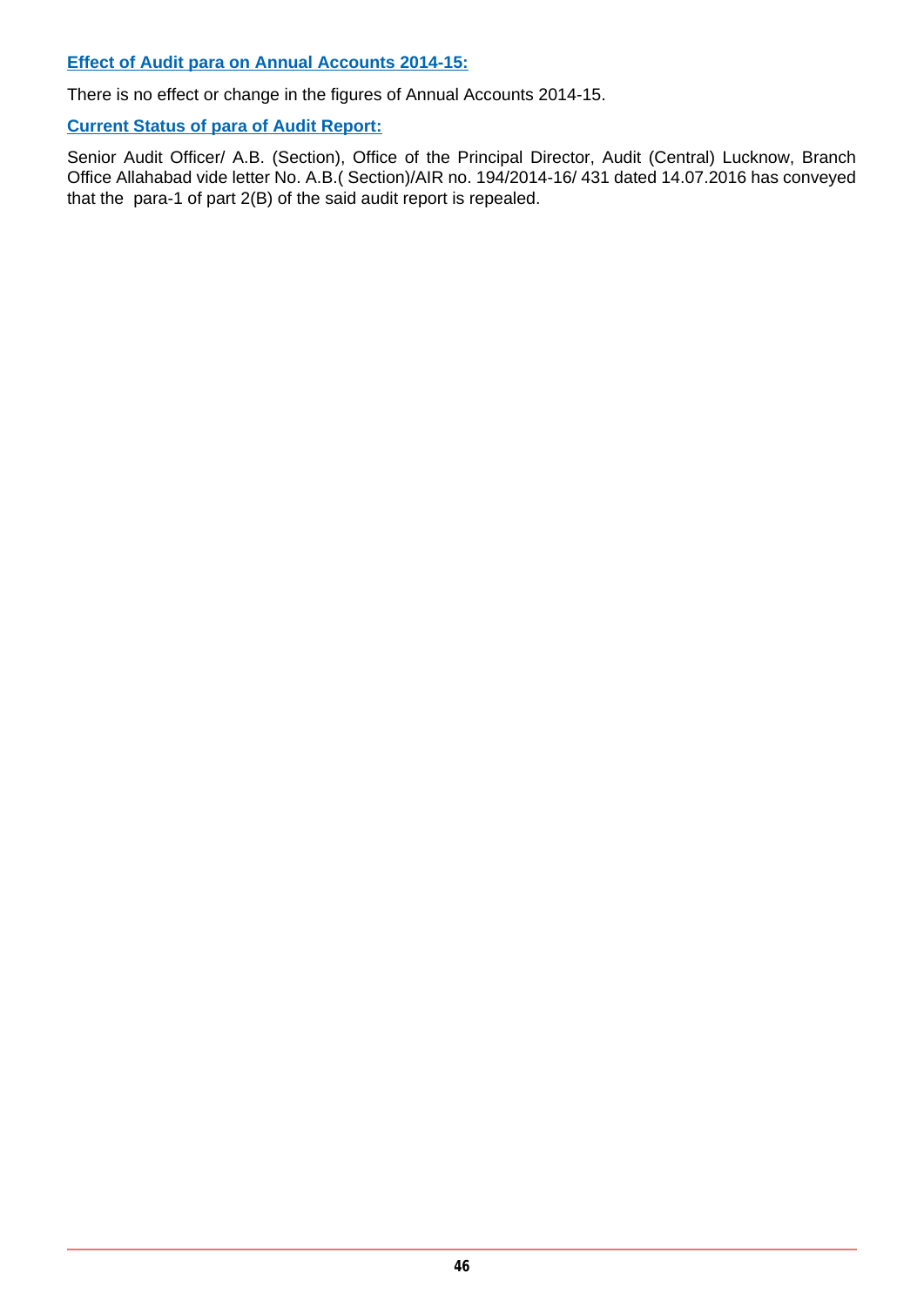**Effect of Audit para on Annual Accounts 2014-15:**

There is no effect or change in the figures of Annual Accounts 2014-15.

**Current Status of para of Audit Report:**

Senior Audit Officer/ A.B. (Section), Office of the Principal Director, Audit (Central) Lucknow, Branch Office Allahabad vide letter No. A.B.( Section)/AIR no. 194/2014-16/ 431 dated 14.07.2016 has conveyed that the para-1 of part 2(B) of the said audit report is repealed.